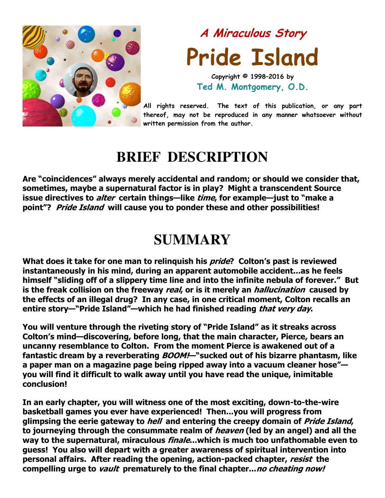

# A Miraculous Story Pride Island Copyright © 1998–2016 by

Ted M. Montgomery, O.D.

All rights reserved. The text of this publication, or any part thereof, may not be reproduced in any manner whatsoever without written permission from the author.

## **BRIEF DESCRIPTION**

Are "coincidences" always merely accidental and random; or should we consider that, sometimes, maybe a supernatural factor is in play? Might a transcendent Source issue directives to *alter* certain things—like *time*, for example—just to "make a point"? Pride Island will cause you to ponder these and other possibilities!

## **SUMMARY**

What does it take for one man to relinguish his *pride*? Colton's past is reviewed instantaneously in his mind, during an apparent automobile accident...as he feels himself "sliding off of a slippery time line and into the infinite nebula of forever." But is the freak collision on the freeway *real*, or is it merely an *hallucination* caused by the effects of an illegal drug? In any case, in one critical moment, Colton recalls an entire story—"Pride Island"—which he had finished reading *that very day*.

You will venture through the riveting story of "Pride Island" as it streaks across Colton's mind—discovering, before long, that the main character, Pierce, bears an uncanny resemblance to Colton. From the moment Pierce is awakened out of a fantastic dream by a reverberating BOOM!- "sucked out of his bizarre phantasm, like a paper man on a magazine page being ripped away into a vacuum cleaner hose" you will find it difficult to walk away until you have read the unique, inimitable conclusion!

In an early chapter, you will witness one of the most exciting, down-to-the-wire basketball games you ever have experienced! Then...you will progress from glimpsing the eerie gateway to *hell* and entering the creepy domain of *Pride Island*, to journeying through the consummate realm of *heaven* (led by an angel) and all the way to the supernatural, miraculous *finale*...which is much too unfathomable even to guess! You also will depart with a greater awareness of spiritual intervention into personal affairs. After reading the opening, action-packed chapter, resist the compelling urge to vault prematurely to the final chapter...no cheating now!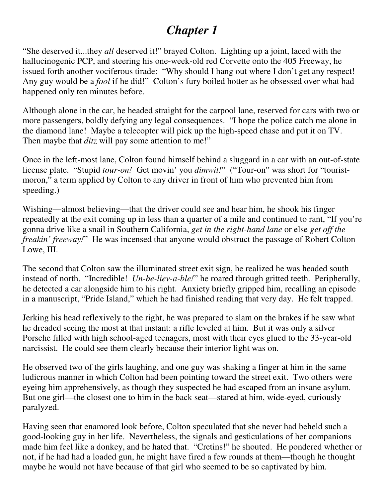## *Chapter 1*

"She deserved it...they *all* deserved it!" brayed Colton. Lighting up a joint, laced with the hallucinogenic PCP, and steering his one-week-old red Corvette onto the 405 Freeway, he issued forth another vociferous tirade: "Why should I hang out where I don't get any respect! Any guy would be a *fool* if he did!" Colton's fury boiled hotter as he obsessed over what had happened only ten minutes before.

Although alone in the car, he headed straight for the carpool lane, reserved for cars with two or more passengers, boldly defying any legal consequences. "I hope the police catch me alone in the diamond lane! Maybe a telecopter will pick up the high-speed chase and put it on TV. Then maybe that *ditz* will pay some attention to me!"

Once in the left-most lane, Colton found himself behind a sluggard in a car with an out-of-state license plate. "Stupid *tour-on!* Get movin' you *dimwit!*" ("Tour-on" was short for "touristmoron," a term applied by Colton to any driver in front of him who prevented him from speeding.)

Wishing—almost believing—that the driver could see and hear him, he shook his finger repeatedly at the exit coming up in less than a quarter of a mile and continued to rant, "If you're gonna drive like a snail in Southern California, *get in the right-hand lane* or else *get off the freakin' freeway!*" He was incensed that anyone would obstruct the passage of Robert Colton Lowe, III.

The second that Colton saw the illuminated street exit sign, he realized he was headed south instead of north. "Incredible! *Un-be-liev-a-ble!*" he roared through gritted teeth. Peripherally, he detected a car alongside him to his right. Anxiety briefly gripped him, recalling an episode in a manuscript, "Pride Island," which he had finished reading that very day. He felt trapped.

Jerking his head reflexively to the right, he was prepared to slam on the brakes if he saw what he dreaded seeing the most at that instant: a rifle leveled at him. But it was only a silver Porsche filled with high school-aged teenagers, most with their eyes glued to the 33-year-old narcissist. He could see them clearly because their interior light was on.

He observed two of the girls laughing, and one guy was shaking a finger at him in the same ludicrous manner in which Colton had been pointing toward the street exit. Two others were eyeing him apprehensively, as though they suspected he had escaped from an insane asylum. But one girl—the closest one to him in the back seat—stared at him, wide-eyed, curiously paralyzed.

Having seen that enamored look before, Colton speculated that she never had beheld such a good-looking guy in her life. Nevertheless, the signals and gesticulations of her companions made him feel like a donkey, and he hated that. "Cretins!" he shouted. He pondered whether or not, if he had had a loaded gun, he might have fired a few rounds at them—though he thought maybe he would not have because of that girl who seemed to be so captivated by him.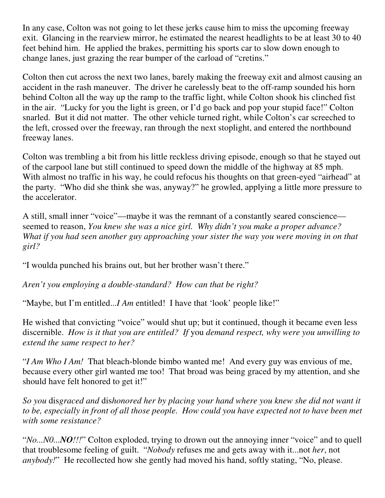In any case, Colton was not going to let these jerks cause him to miss the upcoming freeway exit. Glancing in the rearview mirror, he estimated the nearest headlights to be at least 30 to 40 feet behind him. He applied the brakes, permitting his sports car to slow down enough to change lanes, just grazing the rear bumper of the carload of "cretins."

Colton then cut across the next two lanes, barely making the freeway exit and almost causing an accident in the rash maneuver. The driver he carelessly beat to the off-ramp sounded his horn behind Colton all the way up the ramp to the traffic light, while Colton shook his clinched fist in the air. "Lucky for you the light is green, or I'd go back and pop your stupid face!" Colton snarled. But it did not matter. The other vehicle turned right, while Colton's car screeched to the left, crossed over the freeway, ran through the next stoplight, and entered the northbound freeway lanes.

Colton was trembling a bit from his little reckless driving episode, enough so that he stayed out of the carpool lane but still continued to speed down the middle of the highway at 85 mph. With almost no traffic in his way, he could refocus his thoughts on that green-eyed "airhead" at the party. "Who did she think she was, anyway?" he growled, applying a little more pressure to the accelerator.

A still, small inner "voice"—maybe it was the remnant of a constantly seared conscience seemed to reason, *You knew she was a nice girl. Why didn't you make a proper advance? What if you had seen another guy approaching your sister the way you were moving in on that girl?*

"I woulda punched his brains out, but her brother wasn't there."

*Aren't you employing a double-standard? How can that be right?*

"Maybe, but I'm entitled...*I Am* entitled! I have that 'look' people like!"

He wished that convicting "voice" would shut up; but it continued, though it became even less discernible. *How is it that you are entitled? If* you *demand respect, why were you unwilling to extend the same respect to her?*

"*I Am Who I Am!* That bleach-blonde bimbo wanted me! And every guy was envious of me, because every other girl wanted me too! That broad was being graced by my attention, and she should have felt honored to get it!"

*So you* dis*graced and* dis*honored her by placing your hand where you knew she did not want it to be, especially in front of all those people. How could you have expected not to have been met with some resistance?*

"*No...N0...NO!!!*" Colton exploded, trying to drown out the annoying inner "voice" and to quell that troublesome feeling of guilt. "*Nobody* refuses me and gets away with it...not *her*, not *anybody!*" He recollected how she gently had moved his hand, softly stating, "No, please.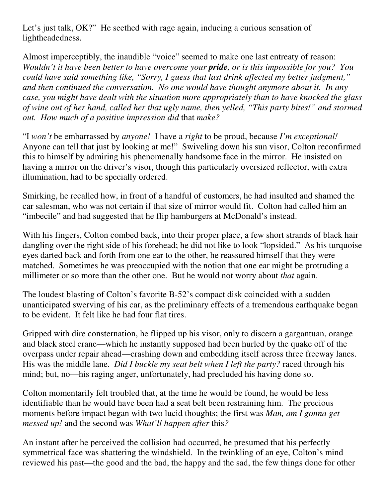Let's just talk, OK?" He seethed with rage again, inducing a curious sensation of lightheadedness.

Almost imperceptibly, the inaudible "voice" seemed to make one last entreaty of reason: *Wouldn't it have been better to have overcome your pride, or is this impossible for you? You could have said something like, "Sorry, I guess that last drink affected my better judgment," and then continued the conversation. No one would have thought anymore about it. In any case, you might have dealt with the situation more appropriately than to have knocked the glass of wine out of her hand, called her that ugly name, then yelled, "This party bites!" and stormed out. How much of a positive impression did* that *make?*

"I *won't* be embarrassed by *anyone!* I have a *right* to be proud, because *I'm exceptional!* Anyone can tell that just by looking at me!" Swiveling down his sun visor, Colton reconfirmed this to himself by admiring his phenomenally handsome face in the mirror. He insisted on having a mirror on the driver's visor, though this particularly oversized reflector, with extra illumination, had to be specially ordered.

Smirking, he recalled how, in front of a handful of customers, he had insulted and shamed the car salesman, who was not certain if that size of mirror would fit. Colton had called him an "imbecile" and had suggested that he flip hamburgers at McDonald's instead.

With his fingers, Colton combed back, into their proper place, a few short strands of black hair dangling over the right side of his forehead; he did not like to look "lopsided." As his turquoise eyes darted back and forth from one ear to the other, he reassured himself that they were matched. Sometimes he was preoccupied with the notion that one ear might be protruding a millimeter or so more than the other one. But he would not worry about *that* again.

The loudest blasting of Colton's favorite B-52's compact disk coincided with a sudden unanticipated swerving of his car, as the preliminary effects of a tremendous earthquake began to be evident. It felt like he had four flat tires.

Gripped with dire consternation, he flipped up his visor, only to discern a gargantuan, orange and black steel crane—which he instantly supposed had been hurled by the quake off of the overpass under repair ahead—crashing down and embedding itself across three freeway lanes. His was the middle lane. *Did I buckle my seat belt when I left the party?* raced through his mind; but, no—his raging anger, unfortunately, had precluded his having done so.

Colton momentarily felt troubled that, at the time he would be found, he would be less identifiable than he would have been had a seat belt been restraining him. The precious moments before impact began with two lucid thoughts; the first was *Man, am I gonna get messed up!* and the second was *What'll happen after* this*?*

An instant after he perceived the collision had occurred, he presumed that his perfectly symmetrical face was shattering the windshield. In the twinkling of an eye, Colton's mind reviewed his past—the good and the bad, the happy and the sad, the few things done for other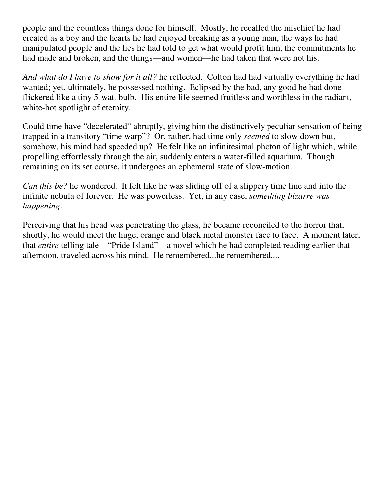people and the countless things done for himself. Mostly, he recalled the mischief he had created as a boy and the hearts he had enjoyed breaking as a young man, the ways he had manipulated people and the lies he had told to get what would profit him, the commitments he had made and broken, and the things—and women—he had taken that were not his.

*And what do I have to show for it all?* he reflected. Colton had had virtually everything he had wanted; yet, ultimately, he possessed nothing. Eclipsed by the bad, any good he had done flickered like a tiny 5-watt bulb. His entire life seemed fruitless and worthless in the radiant, white-hot spotlight of eternity.

Could time have "decelerated" abruptly, giving him the distinctively peculiar sensation of being trapped in a transitory "time warp"? Or, rather, had time only *seemed* to slow down but, somehow, his mind had speeded up? He felt like an infinitesimal photon of light which, while propelling effortlessly through the air, suddenly enters a water-filled aquarium. Though remaining on its set course, it undergoes an ephemeral state of slow-motion.

*Can this be?* he wondered. It felt like he was sliding off of a slippery time line and into the infinite nebula of forever. He was powerless. Yet, in any case, *something bizarre was happening*.

Perceiving that his head was penetrating the glass, he became reconciled to the horror that, shortly, he would meet the huge, orange and black metal monster face to face. A moment later, that *entire* telling tale—"Pride Island"—a novel which he had completed reading earlier that afternoon, traveled across his mind. He remembered...he remembered....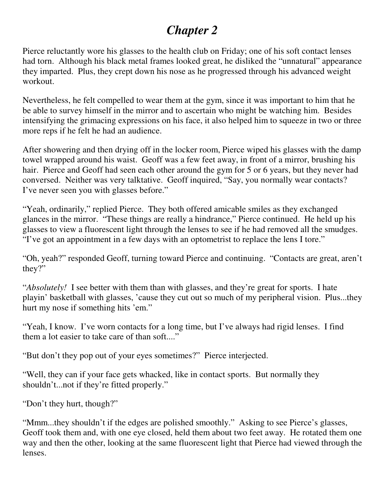## *Chapter 2*

Pierce reluctantly wore his glasses to the health club on Friday; one of his soft contact lenses had torn. Although his black metal frames looked great, he disliked the "unnatural" appearance they imparted. Plus, they crept down his nose as he progressed through his advanced weight workout.

Nevertheless, he felt compelled to wear them at the gym, since it was important to him that he be able to survey himself in the mirror and to ascertain who might be watching him. Besides intensifying the grimacing expressions on his face, it also helped him to squeeze in two or three more reps if he felt he had an audience.

After showering and then drying off in the locker room, Pierce wiped his glasses with the damp towel wrapped around his waist. Geoff was a few feet away, in front of a mirror, brushing his hair. Pierce and Geoff had seen each other around the gym for 5 or 6 years, but they never had conversed. Neither was very talktative. Geoff inquired, "Say, you normally wear contacts? I've never seen you with glasses before."

"Yeah, ordinarily," replied Pierce. They both offered amicable smiles as they exchanged glances in the mirror. "These things are really a hindrance," Pierce continued. He held up his glasses to view a fluorescent light through the lenses to see if he had removed all the smudges. "I've got an appointment in a few days with an optometrist to replace the lens I tore."

"Oh, yeah?" responded Geoff, turning toward Pierce and continuing. "Contacts are great, aren't they?"

"*Absolutely!* I see better with them than with glasses, and they're great for sports. I hate playin' basketball with glasses, 'cause they cut out so much of my peripheral vision. Plus...they hurt my nose if something hits 'em."

"Yeah, I know. I've worn contacts for a long time, but I've always had rigid lenses. I find them a lot easier to take care of than soft...."

"But don't they pop out of your eyes sometimes?" Pierce interjected.

"Well, they can if your face gets whacked, like in contact sports. But normally they shouldn't...not if they're fitted properly."

"Don't they hurt, though?"

"Mmm...they shouldn't if the edges are polished smoothly." Asking to see Pierce's glasses, Geoff took them and, with one eye closed, held them about two feet away. He rotated them one way and then the other, looking at the same fluorescent light that Pierce had viewed through the lenses.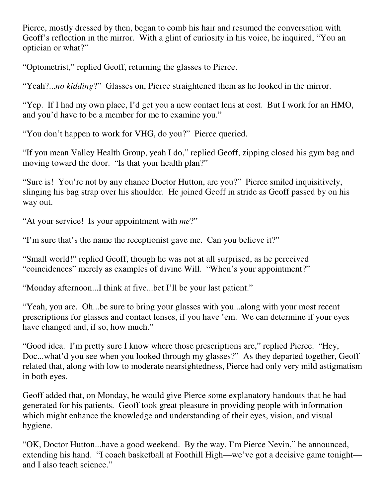Pierce, mostly dressed by then, began to comb his hair and resumed the conversation with Geoff's reflection in the mirror. With a glint of curiosity in his voice, he inquired, "You an optician or what?"

"Optometrist," replied Geoff, returning the glasses to Pierce.

"Yeah?...*no kidding*?" Glasses on, Pierce straightened them as he looked in the mirror.

"Yep. If I had my own place, I'd get you a new contact lens at cost. But I work for an HMO, and you'd have to be a member for me to examine you."

"You don't happen to work for VHG, do you?" Pierce queried.

"If you mean Valley Health Group, yeah I do," replied Geoff, zipping closed his gym bag and moving toward the door. "Is that your health plan?"

"Sure is! You're not by any chance Doctor Hutton, are you?" Pierce smiled inquisitively, slinging his bag strap over his shoulder. He joined Geoff in stride as Geoff passed by on his way out.

"At your service! Is your appointment with *me*?"

"I'm sure that's the name the receptionist gave me. Can you believe it?"

"Small world!" replied Geoff, though he was not at all surprised, as he perceived "coincidences" merely as examples of divine Will. "When's your appointment?"

"Monday afternoon...I think at five...bet I'll be your last patient."

"Yeah, you are. Oh...be sure to bring your glasses with you...along with your most recent prescriptions for glasses and contact lenses, if you have 'em. We can determine if your eyes have changed and, if so, how much."

"Good idea. I'm pretty sure I know where those prescriptions are," replied Pierce. "Hey, Doc...what'd you see when you looked through my glasses?" As they departed together, Geoff related that, along with low to moderate nearsightedness, Pierce had only very mild astigmatism in both eyes.

Geoff added that, on Monday, he would give Pierce some explanatory handouts that he had generated for his patients. Geoff took great pleasure in providing people with information which might enhance the knowledge and understanding of their eyes, vision, and visual hygiene.

"OK, Doctor Hutton...have a good weekend. By the way, I'm Pierce Nevin," he announced, extending his hand. "I coach basketball at Foothill High—we've got a decisive game tonight and I also teach science."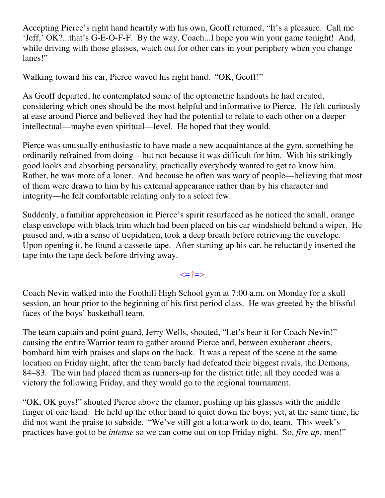Accepting Pierce's right hand heartily with his own, Geoff returned, "It's a pleasure. Call me 'Jeff,' OK?...that's G-E-O-F-F. By the way, Coach...I hope you win your game tonight! And, while driving with those glasses, watch out for other cars in your periphery when you change lanes!"

Walking toward his car, Pierce waved his right hand. "OK, Geoff!"

As Geoff departed, he contemplated some of the optometric handouts he had created, considering which ones should be the most helpful and informative to Pierce. He felt curiously at ease around Pierce and believed they had the potential to relate to each other on a deeper intellectual—maybe even spiritual—level. He hoped that they would.

Pierce was unusually enthusiastic to have made a new acquaintance at the gym, something he ordinarily refrained from doing—but not because it was difficult for him. With his strikingly good looks and absorbing personality, practically everybody wanted to get to know him. Rather, he was more of a loner. And because he often was wary of people—believing that most of them were drawn to him by his external appearance rather than by his character and integrity—he felt comfortable relating only to a select few.

Suddenly, a familiar apprehension in Pierce's spirit resurfaced as he noticed the small, orange clasp envelope with black trim which had been placed on his car windshield behind a wiper. He paused and, with a sense of trepidation, took a deep breath before retrieving the envelope. Upon opening it, he found a cassette tape. After starting up his car, he reluctantly inserted the tape into the tape deck before driving away.

<=†=>

Coach Nevin walked into the Foothill High School gym at 7:00 a.m. on Monday for a skull session, an hour prior to the beginning of his first period class. He was greeted by the blissful faces of the boys' basketball team.

The team captain and point guard, Jerry Wells, shouted, "Let's hear it for Coach Nevin!" causing the entire Warrior team to gather around Pierce and, between exuberant cheers, bombard him with praises and slaps on the back. It was a repeat of the scene at the same location on Friday night, after the team barely had defeated their biggest rivals, the Demons, 84–83. The win had placed them as runners-up for the district title; all they needed was a victory the following Friday, and they would go to the regional tournament.

"OK, OK guys!" shouted Pierce above the clamor, pushing up his glasses with the middle finger of one hand. He held up the other hand to quiet down the boys; yet, at the same time, he did not want the praise to subside. "We've still got a lotta work to do, team. This week's practices have got to be *intense* so we can come out on top Friday night. So, *fire up*, men!"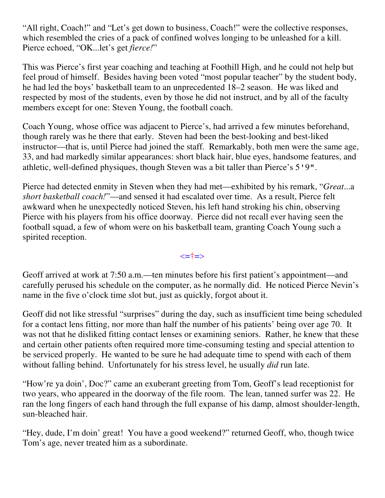"All right, Coach!" and "Let's get down to business, Coach!" were the collective responses, which resembled the cries of a pack of confined wolves longing to be unleashed for a kill. Pierce echoed, "OK...let's get *fierce!*"

This was Pierce's first year coaching and teaching at Foothill High, and he could not help but feel proud of himself. Besides having been voted "most popular teacher" by the student body, he had led the boys' basketball team to an unprecedented 18–2 season. He was liked and respected by most of the students, even by those he did not instruct, and by all of the faculty members except for one: Steven Young, the football coach.

Coach Young, whose office was adjacent to Pierce's, had arrived a few minutes beforehand, though rarely was he there that early. Steven had been the best-looking and best-liked instructor—that is, until Pierce had joined the staff. Remarkably, both men were the same age, 33, and had markedly similar appearances: short black hair, blue eyes, handsome features, and athletic, well-defined physiques, though Steven was a bit taller than Pierce's 5'9".

Pierce had detected enmity in Steven when they had met—exhibited by his remark, "*Great*...a *short basketball coach!*"—and sensed it had escalated over time. As a result, Pierce felt awkward when he unexpectedly noticed Steven, his left hand stroking his chin, observing Pierce with his players from his office doorway. Pierce did not recall ever having seen the football squad, a few of whom were on his basketball team, granting Coach Young such a spirited reception.

<=†=>

Geoff arrived at work at 7:50 a.m.—ten minutes before his first patient's appointment—and carefully perused his schedule on the computer, as he normally did. He noticed Pierce Nevin's name in the five o'clock time slot but, just as quickly, forgot about it.

Geoff did not like stressful "surprises" during the day, such as insufficient time being scheduled for a contact lens fitting, nor more than half the number of his patients' being over age 70. It was not that he disliked fitting contact lenses or examining seniors. Rather, he knew that these and certain other patients often required more time-consuming testing and special attention to be serviced properly. He wanted to be sure he had adequate time to spend with each of them without falling behind. Unfortunately for his stress level, he usually *did* run late.

"How're ya doin', Doc?" came an exuberant greeting from Tom, Geoff's lead receptionist for two years, who appeared in the doorway of the file room. The lean, tanned surfer was 22. He ran the long fingers of each hand through the full expanse of his damp, almost shoulder-length, sun-bleached hair.

"Hey, dude, I'm doin' great! You have a good weekend?" returned Geoff, who, though twice Tom's age, never treated him as a subordinate.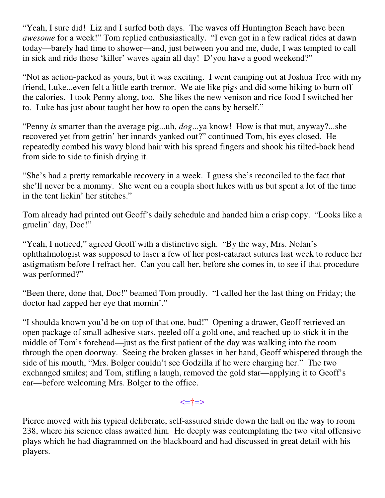"Yeah, I sure did! Liz and I surfed both days. The waves off Huntington Beach have been *awesome* for a week!" Tom replied enthusiastically. "I even got in a few radical rides at dawn today—barely had time to shower—and, just between you and me, dude, I was tempted to call in sick and ride those 'killer' waves again all day! D'you have a good weekend?"

"Not as action-packed as yours, but it was exciting. I went camping out at Joshua Tree with my friend, Luke...even felt a little earth tremor. We ate like pigs and did some hiking to burn off the calories. I took Penny along, too. She likes the new venison and rice food I switched her to. Luke has just about taught her how to open the cans by herself."

"Penny *is* smarter than the average pig...uh, *dog*...ya know! How is that mut, anyway?...she recovered yet from gettin' her innards yanked out?" continued Tom, his eyes closed. He repeatedly combed his wavy blond hair with his spread fingers and shook his tilted-back head from side to side to finish drying it.

"She's had a pretty remarkable recovery in a week. I guess she's reconciled to the fact that she'll never be a mommy. She went on a coupla short hikes with us but spent a lot of the time in the tent lickin' her stitches."

Tom already had printed out Geoff's daily schedule and handed him a crisp copy. "Looks like a gruelin' day, Doc!"

"Yeah, I noticed," agreed Geoff with a distinctive sigh. "By the way, Mrs. Nolan's ophthalmologist was supposed to laser a few of her post-cataract sutures last week to reduce her astigmatism before I refract her. Can you call her, before she comes in, to see if that procedure was performed?"

"Been there, done that, Doc!" beamed Tom proudly. "I called her the last thing on Friday; the doctor had zapped her eye that mornin'."

"I shoulda known you'd be on top of that one, bud!" Opening a drawer, Geoff retrieved an open package of small adhesive stars, peeled off a gold one, and reached up to stick it in the middle of Tom's forehead—just as the first patient of the day was walking into the room through the open doorway. Seeing the broken glasses in her hand, Geoff whispered through the side of his mouth, "Mrs. Bolger couldn't see Godzilla if he were charging her." The two exchanged smiles; and Tom, stifling a laugh, removed the gold star—applying it to Geoff's ear—before welcoming Mrs. Bolger to the office.

<=†=>

Pierce moved with his typical deliberate, self-assured stride down the hall on the way to room 238, where his science class awaited him. He deeply was contemplating the two vital offensive plays which he had diagrammed on the blackboard and had discussed in great detail with his players.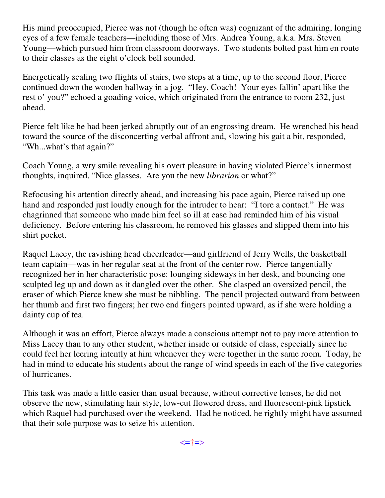His mind preoccupied, Pierce was not (though he often was) cognizant of the admiring, longing eyes of a few female teachers—including those of Mrs. Andrea Young, a.k.a. Mrs. Steven Young—which pursued him from classroom doorways. Two students bolted past him en route to their classes as the eight o'clock bell sounded.

Energetically scaling two flights of stairs, two steps at a time, up to the second floor, Pierce continued down the wooden hallway in a jog. "Hey, Coach! Your eyes fallin' apart like the rest o' you?" echoed a goading voice, which originated from the entrance to room 232, just ahead.

Pierce felt like he had been jerked abruptly out of an engrossing dream. He wrenched his head toward the source of the disconcerting verbal affront and, slowing his gait a bit, responded, "Wh...what's that again?"

Coach Young, a wry smile revealing his overt pleasure in having violated Pierce's innermost thoughts, inquired, "Nice glasses. Are you the new *librarian* or what?"

Refocusing his attention directly ahead, and increasing his pace again, Pierce raised up one hand and responded just loudly enough for the intruder to hear: "I tore a contact." He was chagrinned that someone who made him feel so ill at ease had reminded him of his visual deficiency. Before entering his classroom, he removed his glasses and slipped them into his shirt pocket.

Raquel Lacey, the ravishing head cheerleader—and girlfriend of Jerry Wells, the basketball team captain—was in her regular seat at the front of the center row. Pierce tangentially recognized her in her characteristic pose: lounging sideways in her desk, and bouncing one sculpted leg up and down as it dangled over the other. She clasped an oversized pencil, the eraser of which Pierce knew she must be nibbling. The pencil projected outward from between her thumb and first two fingers; her two end fingers pointed upward, as if she were holding a dainty cup of tea.

Although it was an effort, Pierce always made a conscious attempt not to pay more attention to Miss Lacey than to any other student, whether inside or outside of class, especially since he could feel her leering intently at him whenever they were together in the same room. Today, he had in mind to educate his students about the range of wind speeds in each of the five categories of hurricanes.

This task was made a little easier than usual because, without corrective lenses, he did not observe the new, stimulating hair style, low-cut flowered dress, and fluorescent-pink lipstick which Raquel had purchased over the weekend. Had he noticed, he rightly might have assumed that their sole purpose was to seize his attention.

<=†=>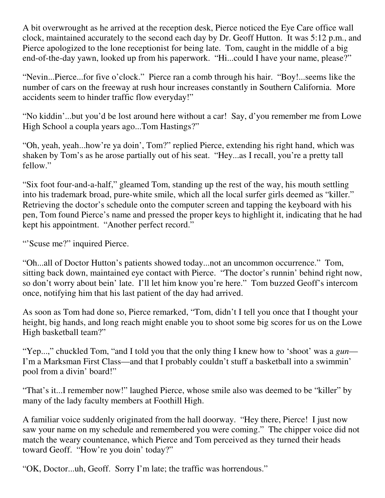A bit overwrought as he arrived at the reception desk, Pierce noticed the Eye Care office wall clock, maintained accurately to the second each day by Dr. Geoff Hutton. It was 5:12 p.m., and Pierce apologized to the lone receptionist for being late. Tom, caught in the middle of a big end-of-the-day yawn, looked up from his paperwork. "Hi...could I have your name, please?"

"Nevin...Pierce...for five o'clock." Pierce ran a comb through his hair. "Boy!...seems like the number of cars on the freeway at rush hour increases constantly in Southern California. More accidents seem to hinder traffic flow everyday!"

"No kiddin'...but you'd be lost around here without a car! Say, d'you remember me from Lowe High School a coupla years ago...Tom Hastings?"

"Oh, yeah, yeah...how're ya doin', Tom?" replied Pierce, extending his right hand, which was shaken by Tom's as he arose partially out of his seat. "Hey...as I recall, you're a pretty tall fellow."

"Six foot four-and-a-half," gleamed Tom, standing up the rest of the way, his mouth settling into his trademark broad, pure-white smile, which all the local surfer girls deemed as "killer." Retrieving the doctor's schedule onto the computer screen and tapping the keyboard with his pen, Tom found Pierce's name and pressed the proper keys to highlight it, indicating that he had kept his appointment. "Another perfect record."

"Scuse me?" inquired Pierce.

"Oh...all of Doctor Hutton's patients showed today...not an uncommon occurrence." Tom, sitting back down, maintained eye contact with Pierce. "The doctor's runnin' behind right now, so don't worry about bein' late. I'll let him know you're here." Tom buzzed Geoff's intercom once, notifying him that his last patient of the day had arrived.

As soon as Tom had done so, Pierce remarked, "Tom, didn't I tell you once that I thought your height, big hands, and long reach might enable you to shoot some big scores for us on the Lowe High basketball team?"

"Yep...," chuckled Tom, "and I told you that the only thing I knew how to 'shoot' was a *gun*— I'm a Marksman First Class—and that I probably couldn't stuff a basketball into a swimmin' pool from a divin' board!"

"That's it...I remember now!" laughed Pierce, whose smile also was deemed to be "killer" by many of the lady faculty members at Foothill High.

A familiar voice suddenly originated from the hall doorway. "Hey there, Pierce! I just now saw your name on my schedule and remembered you were coming." The chipper voice did not match the weary countenance, which Pierce and Tom perceived as they turned their heads toward Geoff. "How're you doin' today?"

"OK, Doctor...uh, Geoff. Sorry I'm late; the traffic was horrendous."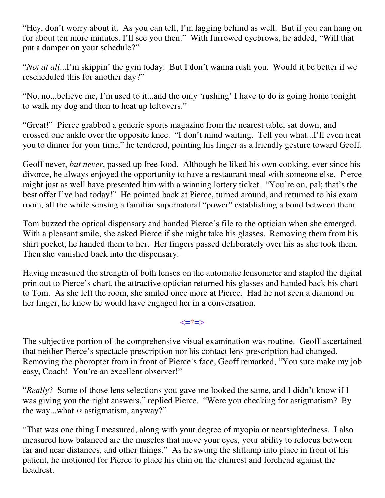"Hey, don't worry about it. As you can tell, I'm lagging behind as well. But if you can hang on for about ten more minutes, I'll see you then." With furrowed eyebrows, he added, "Will that put a damper on your schedule?"

"*Not at all*...I'm skippin' the gym today. But I don't wanna rush you. Would it be better if we rescheduled this for another day?"

"No, no...believe me, I'm used to it...and the only 'rushing' I have to do is going home tonight to walk my dog and then to heat up leftovers."

"Great!" Pierce grabbed a generic sports magazine from the nearest table, sat down, and crossed one ankle over the opposite knee. "I don't mind waiting. Tell you what...I'll even treat you to dinner for your time," he tendered, pointing his finger as a friendly gesture toward Geoff.

Geoff never, *but never*, passed up free food. Although he liked his own cooking, ever since his divorce, he always enjoyed the opportunity to have a restaurant meal with someone else. Pierce might just as well have presented him with a winning lottery ticket. "You're on, pal; that's the best offer I've had today!" He pointed back at Pierce, turned around, and returned to his exam room, all the while sensing a familiar supernatural "power" establishing a bond between them.

Tom buzzed the optical dispensary and handed Pierce's file to the optician when she emerged. With a pleasant smile, she asked Pierce if she might take his glasses. Removing them from his shirt pocket, he handed them to her. Her fingers passed deliberately over his as she took them. Then she vanished back into the dispensary.

Having measured the strength of both lenses on the automatic lensometer and stapled the digital printout to Pierce's chart, the attractive optician returned his glasses and handed back his chart to Tom. As she left the room, she smiled once more at Pierce. Had he not seen a diamond on her finger, he knew he would have engaged her in a conversation.

#### <=†=>

The subjective portion of the comprehensive visual examination was routine. Geoff ascertained that neither Pierce's spectacle prescription nor his contact lens prescription had changed. Removing the phoropter from in front of Pierce's face, Geoff remarked, "You sure make my job easy, Coach! You're an excellent observer!"

"*Really*? Some of those lens selections you gave me looked the same, and I didn't know if I was giving you the right answers," replied Pierce. "Were you checking for astigmatism? By the way...what *is* astigmatism, anyway?"

"That was one thing I measured, along with your degree of myopia or nearsightedness. I also measured how balanced are the muscles that move your eyes, your ability to refocus between far and near distances, and other things." As he swung the slitlamp into place in front of his patient, he motioned for Pierce to place his chin on the chinrest and forehead against the headrest.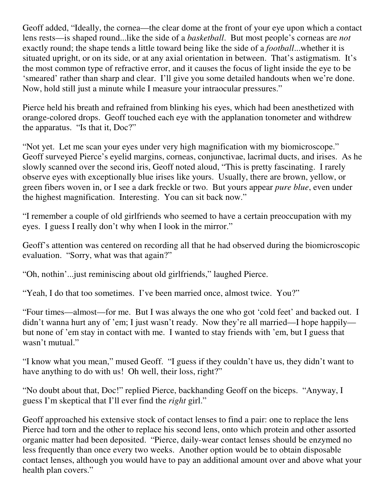Geoff added, "Ideally, the cornea—the clear dome at the front of your eye upon which a contact lens rests—is shaped round...like the side of a *basketball*. But most people's corneas are *not* exactly round; the shape tends a little toward being like the side of a *football*...whether it is situated upright, or on its side, or at any axial orientation in between. That's astigmatism. It's the most common type of refractive error, and it causes the focus of light inside the eye to be 'smeared' rather than sharp and clear. I'll give you some detailed handouts when we're done. Now, hold still just a minute while I measure your intraocular pressures."

Pierce held his breath and refrained from blinking his eyes, which had been anesthetized with orange-colored drops. Geoff touched each eye with the applanation tonometer and withdrew the apparatus. "Is that it, Doc?"

"Not yet. Let me scan your eyes under very high magnification with my biomicroscope." Geoff surveyed Pierce's eyelid margins, corneas, conjunctivae, lacrimal ducts, and irises. As he slowly scanned over the second iris, Geoff noted aloud, "This is pretty fascinating. I rarely observe eyes with exceptionally blue irises like yours. Usually, there are brown, yellow, or green fibers woven in, or I see a dark freckle or two. But yours appear *pure blue*, even under the highest magnification. Interesting. You can sit back now."

"I remember a couple of old girlfriends who seemed to have a certain preoccupation with my eyes. I guess I really don't why when I look in the mirror."

Geoff's attention was centered on recording all that he had observed during the biomicroscopic evaluation. "Sorry, what was that again?"

"Oh, nothin'...just reminiscing about old girlfriends," laughed Pierce.

"Yeah, I do that too sometimes. I've been married once, almost twice. You?"

"Four times—almost—for me. But I was always the one who got 'cold feet' and backed out. I didn't wanna hurt any of 'em; I just wasn't ready. Now they're all married—I hope happily but none of 'em stay in contact with me. I wanted to stay friends with 'em, but I guess that wasn't mutual."

"I know what you mean," mused Geoff. "I guess if they couldn't have us, they didn't want to have anything to do with us! Oh well, their loss, right?"

"No doubt about that, Doc!" replied Pierce, backhanding Geoff on the biceps. "Anyway, I guess I'm skeptical that I'll ever find the *right* girl."

Geoff approached his extensive stock of contact lenses to find a pair: one to replace the lens Pierce had torn and the other to replace his second lens, onto which protein and other assorted organic matter had been deposited. "Pierce, daily-wear contact lenses should be enzymed no less frequently than once every two weeks. Another option would be to obtain disposable contact lenses, although you would have to pay an additional amount over and above what your health plan covers."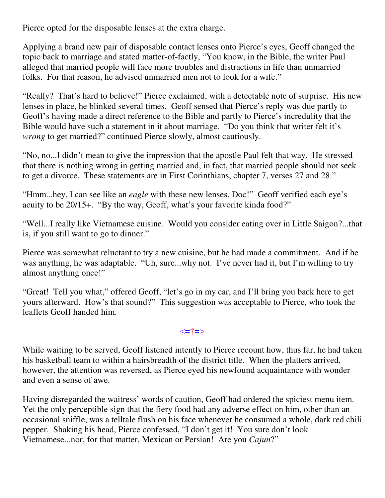Pierce opted for the disposable lenses at the extra charge.

Applying a brand new pair of disposable contact lenses onto Pierce's eyes, Geoff changed the topic back to marriage and stated matter-of-factly, "You know, in the Bible, the writer Paul alleged that married people will face more troubles and distractions in life than unmarried folks. For that reason, he advised unmarried men not to look for a wife."

"Really? That's hard to believe!" Pierce exclaimed, with a detectable note of surprise. His new lenses in place, he blinked several times. Geoff sensed that Pierce's reply was due partly to Geoff's having made a direct reference to the Bible and partly to Pierce's incredulity that the Bible would have such a statement in it about marriage. "Do you think that writer felt it's *wrong* to get married?" continued Pierce slowly, almost cautiously.

"No, no...I didn't mean to give the impression that the apostle Paul felt that way. He stressed that there is nothing wrong in getting married and, in fact, that married people should not seek to get a divorce. These statements are in First Corinthians, chapter 7, verses 27 and 28."

"Hmm...hey, I can see like an *eagle* with these new lenses, Doc!" Geoff verified each eye's acuity to be 20/15+. "By the way, Geoff, what's your favorite kinda food?"

"Well...I really like Vietnamese cuisine. Would you consider eating over in Little Saigon?...that is, if you still want to go to dinner."

Pierce was somewhat reluctant to try a new cuisine, but he had made a commitment. And if he was anything, he was adaptable. "Uh, sure...why not. I've never had it, but I'm willing to try almost anything once!"

"Great! Tell you what," offered Geoff, "let's go in my car, and I'll bring you back here to get yours afterward. How's that sound?" This suggestion was acceptable to Pierce, who took the leaflets Geoff handed him.

#### <=†=>

While waiting to be served, Geoff listened intently to Pierce recount how, thus far, he had taken his basketball team to within a hairsbreadth of the district title. When the platters arrived, however, the attention was reversed, as Pierce eyed his newfound acquaintance with wonder and even a sense of awe.

Having disregarded the waitress' words of caution, Geoff had ordered the spiciest menu item. Yet the only perceptible sign that the fiery food had any adverse effect on him, other than an occasional sniffle, was a telltale flush on his face whenever he consumed a whole, dark red chili pepper. Shaking his head, Pierce confessed, "I don't get it! You sure don't look Vietnamese...nor, for that matter, Mexican or Persian! Are you *Cajun*?"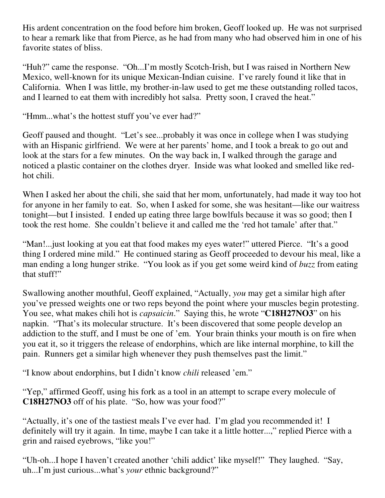His ardent concentration on the food before him broken, Geoff looked up. He was not surprised to hear a remark like that from Pierce, as he had from many who had observed him in one of his favorite states of bliss.

"Huh?" came the response. "Oh...I'm mostly Scotch-Irish, but I was raised in Northern New Mexico, well-known for its unique Mexican-Indian cuisine. I've rarely found it like that in California. When I was little, my brother-in-law used to get me these outstanding rolled tacos, and I learned to eat them with incredibly hot salsa. Pretty soon, I craved the heat."

"Hmm...what's the hottest stuff you've ever had?"

Geoff paused and thought. "Let's see...probably it was once in college when I was studying with an Hispanic girlfriend. We were at her parents' home, and I took a break to go out and look at the stars for a few minutes. On the way back in, I walked through the garage and noticed a plastic container on the clothes dryer. Inside was what looked and smelled like redhot chili.

When I asked her about the chili, she said that her mom, unfortunately, had made it way too hot for anyone in her family to eat. So, when I asked for some, she was hesitant—like our waitress tonight—but I insisted. I ended up eating three large bowlfuls because it was so good; then I took the rest home. She couldn't believe it and called me the 'red hot tamale' after that."

"Man!...just looking at you eat that food makes my eyes water!" uttered Pierce. "It's a good thing I ordered mine mild." He continued staring as Geoff proceeded to devour his meal, like a man ending a long hunger strike. "You look as if you get some weird kind of *buzz* from eating that stuff!"

Swallowing another mouthful, Geoff explained, "Actually, *you* may get a similar high after you've pressed weights one or two reps beyond the point where your muscles begin protesting. You see, what makes chili hot is *capsaicin*." Saying this, he wrote "**C18H27NO3**" on his napkin. "That's its molecular structure. It's been discovered that some people develop an addiction to the stuff, and I must be one of 'em. Your brain thinks your mouth is on fire when you eat it, so it triggers the release of endorphins, which are like internal morphine, to kill the pain. Runners get a similar high whenever they push themselves past the limit."

"I know about endorphins, but I didn't know *chili* released 'em."

"Yep," affirmed Geoff, using his fork as a tool in an attempt to scrape every molecule of **C18H27NO3** off of his plate. "So, how was your food?"

"Actually, it's one of the tastiest meals I've ever had. I'm glad you recommended it! I definitely will try it again. In time, maybe I can take it a little hotter...," replied Pierce with a grin and raised eyebrows, "like you!"

"Uh-oh...I hope I haven't created another 'chili addict' like myself!" They laughed. "Say, uh...I'm just curious...what's *your* ethnic background?"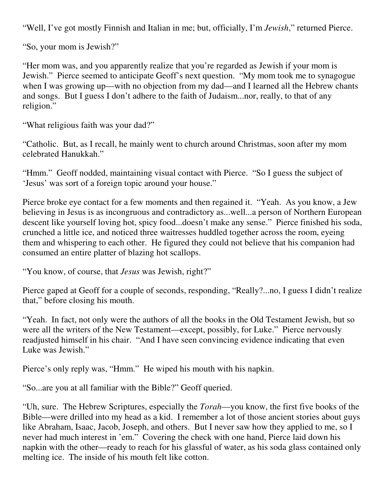"Well, I've got mostly Finnish and Italian in me; but, officially, I'm *Jewish*," returned Pierce.

"So, your mom is Jewish?"

"Her mom was, and you apparently realize that you're regarded as Jewish if your mom is Jewish." Pierce seemed to anticipate Geoff's next question. "My mom took me to synagogue when I was growing up—with no objection from my dad—and I learned all the Hebrew chants and songs. But I guess I don't adhere to the faith of Judaism...nor, really, to that of any religion."

"What religious faith was your dad?"

"Catholic. But, as I recall, he mainly went to church around Christmas, soon after my mom celebrated Hanukkah."

"Hmm." Geoff nodded, maintaining visual contact with Pierce. "So I guess the subject of 'Jesus' was sort of a foreign topic around your house."

Pierce broke eye contact for a few moments and then regained it. "Yeah. As you know, a Jew believing in Jesus is as incongruous and contradictory as...well...a person of Northern European descent like yourself loving hot, spicy food...doesn't make any sense." Pierce finished his soda, crunched a little ice, and noticed three waitresses huddled together across the room, eyeing them and whispering to each other. He figured they could not believe that his companion had consumed an entire platter of blazing hot scallops.

"You know, of course, that *Jesus* was Jewish, right?"

Pierce gaped at Geoff for a couple of seconds, responding, "Really?...no, I guess I didn't realize that," before closing his mouth.

"Yeah. In fact, not only were the authors of all the books in the Old Testament Jewish, but so were all the writers of the New Testament—except, possibly, for Luke." Pierce nervously readjusted himself in his chair. "And I have seen convincing evidence indicating that even Luke was Jewish."

Pierce's only reply was, "Hmm." He wiped his mouth with his napkin.

"So...are you at all familiar with the Bible?" Geoff queried.

"Uh, sure. The Hebrew Scriptures, especially the *Torah*—you know, the first five books of the Bible—were drilled into my head as a kid. I remember a lot of those ancient stories about guys like Abraham, Isaac, Jacob, Joseph, and others. But I never saw how they applied to me, so I never had much interest in 'em." Covering the check with one hand, Pierce laid down his napkin with the other—ready to reach for his glassful of water, as his soda glass contained only melting ice. The inside of his mouth felt like cotton.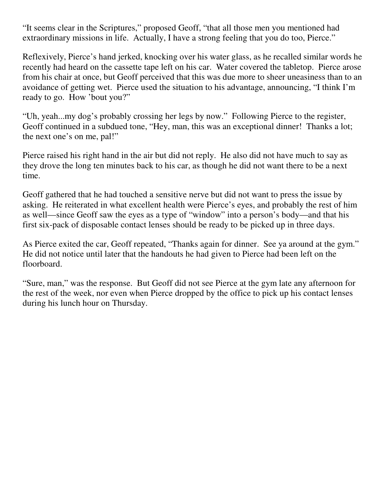"It seems clear in the Scriptures," proposed Geoff, "that all those men you mentioned had extraordinary missions in life. Actually, I have a strong feeling that you do too, Pierce."

Reflexively, Pierce's hand jerked, knocking over his water glass, as he recalled similar words he recently had heard on the cassette tape left on his car. Water covered the tabletop. Pierce arose from his chair at once, but Geoff perceived that this was due more to sheer uneasiness than to an avoidance of getting wet. Pierce used the situation to his advantage, announcing, "I think I'm ready to go. How 'bout you?"

"Uh, yeah...my dog's probably crossing her legs by now." Following Pierce to the register, Geoff continued in a subdued tone, "Hey, man, this was an exceptional dinner! Thanks a lot; the next one's on me, pal!"

Pierce raised his right hand in the air but did not reply. He also did not have much to say as they drove the long ten minutes back to his car, as though he did not want there to be a next time.

Geoff gathered that he had touched a sensitive nerve but did not want to press the issue by asking. He reiterated in what excellent health were Pierce's eyes, and probably the rest of him as well—since Geoff saw the eyes as a type of "window" into a person's body—and that his first six-pack of disposable contact lenses should be ready to be picked up in three days.

As Pierce exited the car, Geoff repeated, "Thanks again for dinner. See ya around at the gym." He did not notice until later that the handouts he had given to Pierce had been left on the floorboard.

"Sure, man," was the response. But Geoff did not see Pierce at the gym late any afternoon for the rest of the week, nor even when Pierce dropped by the office to pick up his contact lenses during his lunch hour on Thursday.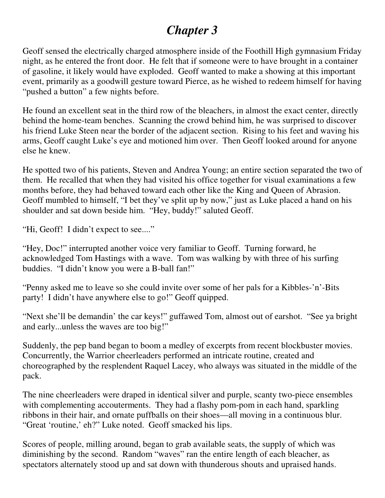## *Chapter 3*

Geoff sensed the electrically charged atmosphere inside of the Foothill High gymnasium Friday night, as he entered the front door. He felt that if someone were to have brought in a container of gasoline, it likely would have exploded. Geoff wanted to make a showing at this important event, primarily as a goodwill gesture toward Pierce, as he wished to redeem himself for having "pushed a button" a few nights before.

He found an excellent seat in the third row of the bleachers, in almost the exact center, directly behind the home-team benches. Scanning the crowd behind him, he was surprised to discover his friend Luke Steen near the border of the adjacent section. Rising to his feet and waving his arms, Geoff caught Luke's eye and motioned him over. Then Geoff looked around for anyone else he knew.

He spotted two of his patients, Steven and Andrea Young; an entire section separated the two of them. He recalled that when they had visited his office together for visual examinations a few months before, they had behaved toward each other like the King and Queen of Abrasion. Geoff mumbled to himself, "I bet they've split up by now," just as Luke placed a hand on his shoulder and sat down beside him. "Hey, buddy!" saluted Geoff.

"Hi, Geoff! I didn't expect to see...."

"Hey, Doc!" interrupted another voice very familiar to Geoff. Turning forward, he acknowledged Tom Hastings with a wave. Tom was walking by with three of his surfing buddies. "I didn't know you were a B-ball fan!"

"Penny asked me to leave so she could invite over some of her pals for a Kibbles-'n'-Bits party! I didn't have anywhere else to go!" Geoff quipped.

"Next she'll be demandin' the car keys!" guffawed Tom, almost out of earshot. "See ya bright and early...unless the waves are too big!"

Suddenly, the pep band began to boom a medley of excerpts from recent blockbuster movies. Concurrently, the Warrior cheerleaders performed an intricate routine, created and choreographed by the resplendent Raquel Lacey, who always was situated in the middle of the pack.

The nine cheerleaders were draped in identical silver and purple, scanty two-piece ensembles with complementing accouterments. They had a flashy pom-pom in each hand, sparkling ribbons in their hair, and ornate puffballs on their shoes—all moving in a continuous blur. "Great 'routine,' eh?" Luke noted. Geoff smacked his lips.

Scores of people, milling around, began to grab available seats, the supply of which was diminishing by the second. Random "waves" ran the entire length of each bleacher, as spectators alternately stood up and sat down with thunderous shouts and upraised hands.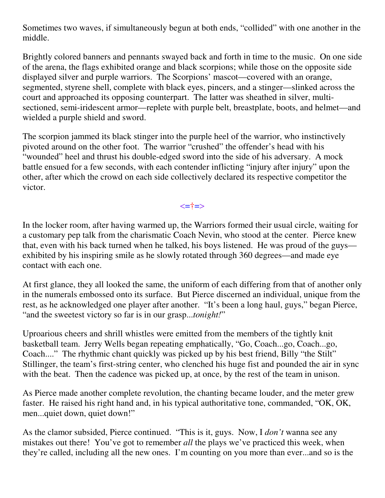Sometimes two waves, if simultaneously begun at both ends, "collided" with one another in the middle.

Brightly colored banners and pennants swayed back and forth in time to the music. On one side of the arena, the flags exhibited orange and black scorpions; while those on the opposite side displayed silver and purple warriors. The Scorpions' mascot—covered with an orange, segmented, styrene shell, complete with black eyes, pincers, and a stinger—slinked across the court and approached its opposing counterpart. The latter was sheathed in silver, multisectioned, semi-iridescent armor—replete with purple belt, breastplate, boots, and helmet—and wielded a purple shield and sword.

The scorpion jammed its black stinger into the purple heel of the warrior, who instinctively pivoted around on the other foot. The warrior "crushed" the offender's head with his "wounded" heel and thrust his double-edged sword into the side of his adversary. A mock battle ensued for a few seconds, with each contender inflicting "injury after injury" upon the other, after which the crowd on each side collectively declared its respective competitor the victor.

<=†=>

In the locker room, after having warmed up, the Warriors formed their usual circle, waiting for a customary pep talk from the charismatic Coach Nevin, who stood at the center. Pierce knew that, even with his back turned when he talked, his boys listened. He was proud of the guys exhibited by his inspiring smile as he slowly rotated through 360 degrees—and made eye contact with each one.

At first glance, they all looked the same, the uniform of each differing from that of another only in the numerals embossed onto its surface. But Pierce discerned an individual, unique from the rest, as he acknowledged one player after another. "It's been a long haul, guys," began Pierce, "and the sweetest victory so far is in our grasp...*tonight!*"

Uproarious cheers and shrill whistles were emitted from the members of the tightly knit basketball team. Jerry Wells began repeating emphatically, "Go, Coach...go, Coach...go, Coach...." The rhythmic chant quickly was picked up by his best friend, Billy "the Stilt" Stillinger, the team's first-string center, who clenched his huge fist and pounded the air in sync with the beat. Then the cadence was picked up, at once, by the rest of the team in unison.

As Pierce made another complete revolution, the chanting became louder, and the meter grew faster. He raised his right hand and, in his typical authoritative tone, commanded, "OK, OK, men...quiet down, quiet down!"

As the clamor subsided, Pierce continued. "This is it, guys. Now, I *don't* wanna see any mistakes out there! You've got to remember *all* the plays we've practiced this week, when they're called, including all the new ones. I'm counting on you more than ever...and so is the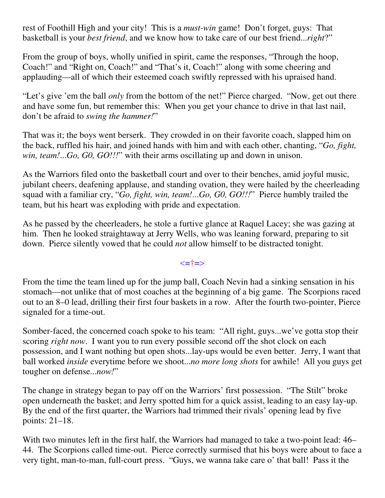rest of Foothill High and your city! This is a *must-win* game! Don't forget, guys: That basketball is your *best friend*, and we know how to take care of our best friend...*right*?"

From the group of boys, wholly unified in spirit, came the responses, "Through the hoop, Coach!" and "Right on, Coach!" and "That's it, Coach!" along with some cheering and applauding—all of which their esteemed coach swiftly repressed with his upraised hand.

"Let's give 'em the ball *only* from the bottom of the net!" Pierce charged. "Now, get out there and have some fun, but remember this: When you get your chance to drive in that last nail, don't be afraid to *swing the hammer!*"

That was it; the boys went berserk. They crowded in on their favorite coach, slapped him on the back, ruffled his hair, and joined hands with him and with each other, chanting, "*Go, fight, win, team!*...*Go, G0, GO!!!*" with their arms oscillating up and down in unison.

As the Warriors filed onto the basketball court and over to their benches, amid joyful music, jubilant cheers, deafening applause, and standing ovation, they were hailed by the cheerleading squad with a familiar cry, "*Go, fight, win, team!*...*Go, G0, GO!!!*" Pierce humbly trailed the team, but his heart was exploding with pride and expectation.

As he passed by the cheerleaders, he stole a furtive glance at Raquel Lacey; she was gazing at him. Then he looked straightaway at Jerry Wells, who was leaning forward, preparing to sit down. Pierce silently vowed that he could *not* allow himself to be distracted tonight.

<=†=>

From the time the team lined up for the jump ball, Coach Nevin had a sinking sensation in his stomach—not unlike that of most coaches at the beginning of a big game. The Scorpions raced out to an 8–0 lead, drilling their first four baskets in a row. After the fourth two-pointer, Pierce signaled for a time-out.

Somber-faced, the concerned coach spoke to his team: "All right, guys...we've gotta stop their scoring *right now*. I want you to run every possible second off the shot clock on each possession, and I want nothing but open shots...lay-ups would be even better. Jerry, I want that ball worked *inside* everytime before we shoot...*no more long shots* for awhile! All you guys get tougher on defense...*now!*"

The change in strategy began to pay off on the Warriors' first possession. "The Stilt" broke open underneath the basket; and Jerry spotted him for a quick assist, leading to an easy lay-up. By the end of the first quarter, the Warriors had trimmed their rivals' opening lead by five points: 21–18.

With two minutes left in the first half, the Warriors had managed to take a two-point lead: 46– 44. The Scorpions called time-out. Pierce correctly surmised that his boys were about to face a very tight, man-to-man, full-court press. "Guys, we wanna take care o' that ball! Pass it the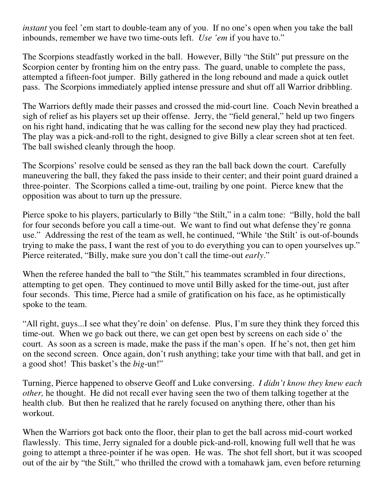*instant* you feel 'em start to double-team any of you. If no one's open when you take the ball inbounds, remember we have two time-outs left. *Use 'em* if you have to."

The Scorpions steadfastly worked in the ball. However, Billy "the Stilt" put pressure on the Scorpion center by fronting him on the entry pass. The guard, unable to complete the pass, attempted a fifteen-foot jumper. Billy gathered in the long rebound and made a quick outlet pass. The Scorpions immediately applied intense pressure and shut off all Warrior dribbling.

The Warriors deftly made their passes and crossed the mid-court line. Coach Nevin breathed a sigh of relief as his players set up their offense. Jerry, the "field general," held up two fingers on his right hand, indicating that he was calling for the second new play they had practiced. The play was a pick-and-roll to the right, designed to give Billy a clear screen shot at ten feet. The ball swished cleanly through the hoop.

The Scorpions' resolve could be sensed as they ran the ball back down the court. Carefully maneuvering the ball, they faked the pass inside to their center; and their point guard drained a three-pointer. The Scorpions called a time-out, trailing by one point. Pierce knew that the opposition was about to turn up the pressure.

Pierce spoke to his players, particularly to Billy "the Stilt," in a calm tone: "Billy, hold the ball for four seconds before you call a time-out. We want to find out what defense they're gonna use." Addressing the rest of the team as well, he continued, "While 'the Stilt' is out-of-bounds trying to make the pass, I want the rest of you to do everything you can to open yourselves up." Pierce reiterated, "Billy, make sure you don't call the time-out *early*."

When the referee handed the ball to "the Stilt," his teammates scrambled in four directions, attempting to get open. They continued to move until Billy asked for the time-out, just after four seconds. This time, Pierce had a smile of gratification on his face, as he optimistically spoke to the team.

"All right, guys...I see what they're doin' on defense. Plus, I'm sure they think they forced this time-out. When we go back out there, we can get open best by screens on each side o' the court. As soon as a screen is made, make the pass if the man's open. If he's not, then get him on the second screen. Once again, don't rush anything; take your time with that ball, and get in a good shot! This basket's the *big*-un!"

Turning, Pierce happened to observe Geoff and Luke conversing. *I didn't know they knew each other,* he thought. He did not recall ever having seen the two of them talking together at the health club. But then he realized that he rarely focused on anything there, other than his workout.

When the Warriors got back onto the floor, their plan to get the ball across mid-court worked flawlessly. This time, Jerry signaled for a double pick-and-roll, knowing full well that he was going to attempt a three-pointer if he was open. He was. The shot fell short, but it was scooped out of the air by "the Stilt," who thrilled the crowd with a tomahawk jam, even before returning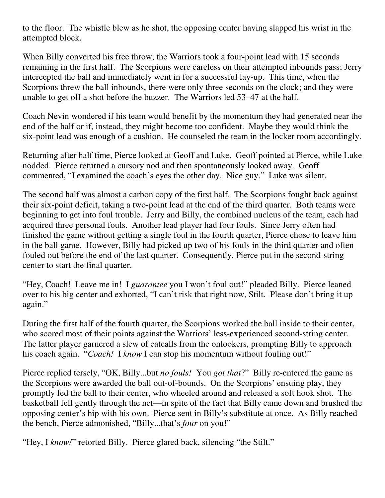to the floor. The whistle blew as he shot, the opposing center having slapped his wrist in the attempted block.

When Billy converted his free throw, the Warriors took a four-point lead with 15 seconds remaining in the first half. The Scorpions were careless on their attempted inbounds pass; Jerry intercepted the ball and immediately went in for a successful lay-up. This time, when the Scorpions threw the ball inbounds, there were only three seconds on the clock; and they were unable to get off a shot before the buzzer. The Warriors led 53–47 at the half.

Coach Nevin wondered if his team would benefit by the momentum they had generated near the end of the half or if, instead, they might become too confident. Maybe they would think the six-point lead was enough of a cushion. He counseled the team in the locker room accordingly.

Returning after half time, Pierce looked at Geoff and Luke. Geoff pointed at Pierce, while Luke nodded. Pierce returned a cursory nod and then spontaneously looked away. Geoff commented, "I examined the coach's eyes the other day. Nice guy." Luke was silent.

The second half was almost a carbon copy of the first half. The Scorpions fought back against their six-point deficit, taking a two-point lead at the end of the third quarter. Both teams were beginning to get into foul trouble. Jerry and Billy, the combined nucleus of the team, each had acquired three personal fouls. Another lead player had four fouls. Since Jerry often had finished the game without getting a single foul in the fourth quarter, Pierce chose to leave him in the ball game. However, Billy had picked up two of his fouls in the third quarter and often fouled out before the end of the last quarter. Consequently, Pierce put in the second-string center to start the final quarter.

"Hey, Coach! Leave me in! I *guarantee* you I won't foul out!" pleaded Billy. Pierce leaned over to his big center and exhorted, "I can't risk that right now, Stilt. Please don't bring it up again."

During the first half of the fourth quarter, the Scorpions worked the ball inside to their center, who scored most of their points against the Warriors' less-experienced second-string center. The latter player garnered a slew of catcalls from the onlookers, prompting Billy to approach his coach again. "*Coach!* I *know* I can stop his momentum without fouling out!"

Pierce replied tersely, "OK, Billy...but *no fouls!* You *got that*?" Billy re-entered the game as the Scorpions were awarded the ball out-of-bounds. On the Scorpions' ensuing play, they promptly fed the ball to their center, who wheeled around and released a soft hook shot. The basketball fell gently through the net—in spite of the fact that Billy came down and brushed the opposing center's hip with his own. Pierce sent in Billy's substitute at once. As Billy reached the bench, Pierce admonished, "Billy...that's *four* on you!"

"Hey, I *know!*" retorted Billy. Pierce glared back, silencing "the Stilt."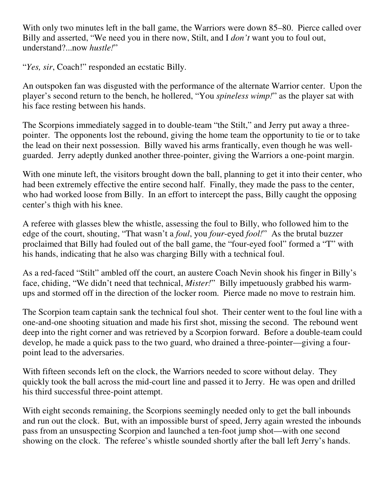With only two minutes left in the ball game, the Warriors were down 85–80. Pierce called over Billy and asserted, "We need you in there now, Stilt, and I *don't* want you to foul out, understand?...now *hustle!*"

"*Yes, sir*, Coach!" responded an ecstatic Billy.

An outspoken fan was disgusted with the performance of the alternate Warrior center. Upon the player's second return to the bench, he hollered, "You *spineless wimp!*" as the player sat with his face resting between his hands.

The Scorpions immediately sagged in to double-team "the Stilt," and Jerry put away a threepointer. The opponents lost the rebound, giving the home team the opportunity to tie or to take the lead on their next possession. Billy waved his arms frantically, even though he was wellguarded. Jerry adeptly dunked another three-pointer, giving the Warriors a one-point margin.

With one minute left, the visitors brought down the ball, planning to get it into their center, who had been extremely effective the entire second half. Finally, they made the pass to the center, who had worked loose from Billy. In an effort to intercept the pass, Billy caught the opposing center's thigh with his knee.

A referee with glasses blew the whistle, assessing the foul to Billy, who followed him to the edge of the court, shouting, "That wasn't a *foul*, you *four*-eyed *fool!*" As the brutal buzzer proclaimed that Billy had fouled out of the ball game, the "four-eyed fool" formed a "T" with his hands, indicating that he also was charging Billy with a technical foul.

As a red-faced "Stilt" ambled off the court, an austere Coach Nevin shook his finger in Billy's face, chiding, "We didn't need that technical, *Mister!*" Billy impetuously grabbed his warmups and stormed off in the direction of the locker room. Pierce made no move to restrain him.

The Scorpion team captain sank the technical foul shot. Their center went to the foul line with a one-and-one shooting situation and made his first shot, missing the second. The rebound went deep into the right corner and was retrieved by a Scorpion forward. Before a double-team could develop, he made a quick pass to the two guard, who drained a three-pointer—giving a fourpoint lead to the adversaries.

With fifteen seconds left on the clock, the Warriors needed to score without delay. They quickly took the ball across the mid-court line and passed it to Jerry. He was open and drilled his third successful three-point attempt.

With eight seconds remaining, the Scorpions seemingly needed only to get the ball inbounds and run out the clock. But, with an impossible burst of speed, Jerry again wrested the inbounds pass from an unsuspecting Scorpion and launched a ten-foot jump shot—with one second showing on the clock. The referee's whistle sounded shortly after the ball left Jerry's hands.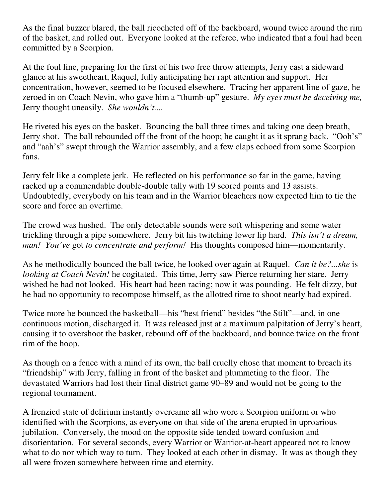As the final buzzer blared, the ball ricocheted off of the backboard, wound twice around the rim of the basket, and rolled out. Everyone looked at the referee, who indicated that a foul had been committed by a Scorpion.

At the foul line, preparing for the first of his two free throw attempts, Jerry cast a sideward glance at his sweetheart, Raquel, fully anticipating her rapt attention and support. Her concentration, however, seemed to be focused elsewhere. Tracing her apparent line of gaze, he zeroed in on Coach Nevin, who gave him a "thumb-up" gesture. *My eyes must be deceiving me,* Jerry thought uneasily. *She wouldn't....*

He riveted his eyes on the basket. Bouncing the ball three times and taking one deep breath, Jerry shot. The ball rebounded off the front of the hoop; he caught it as it sprang back. "Ooh's" and "aah's" swept through the Warrior assembly, and a few claps echoed from some Scorpion fans.

Jerry felt like a complete jerk. He reflected on his performance so far in the game, having racked up a commendable double-double tally with 19 scored points and 13 assists. Undoubtedly, everybody on his team and in the Warrior bleachers now expected him to tie the score and force an overtime.

The crowd was hushed. The only detectable sounds were soft whispering and some water trickling through a pipe somewhere. Jerry bit his twitching lower lip hard. *This isn't a dream, man! You've* got *to concentrate and perform!* His thoughts composed him—momentarily.

As he methodically bounced the ball twice, he looked over again at Raquel. *Can it be?...she* is *looking at Coach Nevin!* he cogitated. This time, Jerry saw Pierce returning her stare. Jerry wished he had not looked. His heart had been racing; now it was pounding. He felt dizzy, but he had no opportunity to recompose himself, as the allotted time to shoot nearly had expired.

Twice more he bounced the basketball—his "best friend" besides "the Stilt"—and, in one continuous motion, discharged it. It was released just at a maximum palpitation of Jerry's heart, causing it to overshoot the basket, rebound off of the backboard, and bounce twice on the front rim of the hoop.

As though on a fence with a mind of its own, the ball cruelly chose that moment to breach its "friendship" with Jerry, falling in front of the basket and plummeting to the floor. The devastated Warriors had lost their final district game 90–89 and would not be going to the regional tournament.

A frenzied state of delirium instantly overcame all who wore a Scorpion uniform or who identified with the Scorpions, as everyone on that side of the arena erupted in uproarious jubilation. Conversely, the mood on the opposite side tended toward confusion and disorientation. For several seconds, every Warrior or Warrior-at-heart appeared not to know what to do nor which way to turn. They looked at each other in dismay. It was as though they all were frozen somewhere between time and eternity.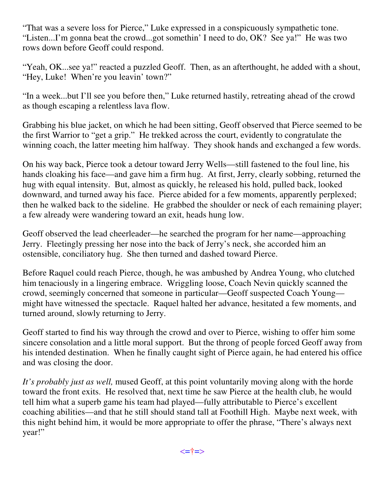"That was a severe loss for Pierce," Luke expressed in a conspicuously sympathetic tone. "Listen...I'm gonna beat the crowd...got somethin' I need to do, OK? See ya!" He was two rows down before Geoff could respond.

"Yeah, OK...see ya!" reacted a puzzled Geoff. Then, as an afterthought, he added with a shout, "Hey, Luke! When're you leavin' town?"

"In a week...but I'll see you before then," Luke returned hastily, retreating ahead of the crowd as though escaping a relentless lava flow.

Grabbing his blue jacket, on which he had been sitting, Geoff observed that Pierce seemed to be the first Warrior to "get a grip." He trekked across the court, evidently to congratulate the winning coach, the latter meeting him halfway. They shook hands and exchanged a few words.

On his way back, Pierce took a detour toward Jerry Wells—still fastened to the foul line, his hands cloaking his face—and gave him a firm hug. At first, Jerry, clearly sobbing, returned the hug with equal intensity. But, almost as quickly, he released his hold, pulled back, looked downward, and turned away his face. Pierce abided for a few moments, apparently perplexed; then he walked back to the sideline. He grabbed the shoulder or neck of each remaining player; a few already were wandering toward an exit, heads hung low.

Geoff observed the lead cheerleader—he searched the program for her name—approaching Jerry. Fleetingly pressing her nose into the back of Jerry's neck, she accorded him an ostensible, conciliatory hug. She then turned and dashed toward Pierce.

Before Raquel could reach Pierce, though, he was ambushed by Andrea Young, who clutched him tenaciously in a lingering embrace. Wriggling loose, Coach Nevin quickly scanned the crowd, seemingly concerned that someone in particular—Geoff suspected Coach Young might have witnessed the spectacle. Raquel halted her advance, hesitated a few moments, and turned around, slowly returning to Jerry.

Geoff started to find his way through the crowd and over to Pierce, wishing to offer him some sincere consolation and a little moral support. But the throng of people forced Geoff away from his intended destination. When he finally caught sight of Pierce again, he had entered his office and was closing the door.

*It's probably just as well,* mused Geoff, at this point voluntarily moving along with the horde toward the front exits. He resolved that, next time he saw Pierce at the health club, he would tell him what a superb game his team had played—fully attributable to Pierce's excellent coaching abilities—and that he still should stand tall at Foothill High. Maybe next week, with this night behind him, it would be more appropriate to offer the phrase, "There's always next year!"

<=†=>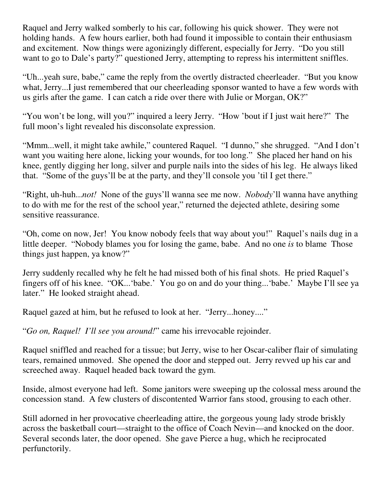Raquel and Jerry walked somberly to his car, following his quick shower. They were not holding hands. A few hours earlier, both had found it impossible to contain their enthusiasm and excitement. Now things were agonizingly different, especially for Jerry. "Do you still want to go to Dale's party?" questioned Jerry, attempting to repress his intermittent sniffles.

"Uh...yeah sure, babe," came the reply from the overtly distracted cheerleader. "But you know what, Jerry...I just remembered that our cheerleading sponsor wanted to have a few words with us girls after the game. I can catch a ride over there with Julie or Morgan, OK?"

"You won't be long, will you?" inquired a leery Jerry. "How 'bout if I just wait here?" The full moon's light revealed his disconsolate expression.

"Mmm...well, it might take awhile," countered Raquel. "I dunno," she shrugged. "And I don't want you waiting here alone, licking your wounds, for too long." She placed her hand on his knee, gently digging her long, silver and purple nails into the sides of his leg. He always liked that. "Some of the guys'll be at the party, and they'll console you 'til I get there."

"Right, uh-huh...*not!* None of the guys'll wanna see me now. *Nobody*'ll wanna have anything to do with me for the rest of the school year," returned the dejected athlete, desiring some sensitive reassurance.

"Oh, come on now, Jer! You know nobody feels that way about you!" Raquel's nails dug in a little deeper. "Nobody blames you for losing the game, babe. And no one *is* to blame Those things just happen, ya know?"

Jerry suddenly recalled why he felt he had missed both of his final shots. He pried Raquel's fingers off of his knee. "OK...'babe.' You go on and do your thing...'babe.' Maybe I'll see ya later." He looked straight ahead.

Raquel gazed at him, but he refused to look at her. "Jerry...honey...."

"*Go on, Raquel! I'll see you around!*" came his irrevocable rejoinder.

Raquel sniffled and reached for a tissue; but Jerry, wise to her Oscar-caliber flair of simulating tears, remained unmoved. She opened the door and stepped out. Jerry revved up his car and screeched away. Raquel headed back toward the gym.

Inside, almost everyone had left. Some janitors were sweeping up the colossal mess around the concession stand. A few clusters of discontented Warrior fans stood, grousing to each other.

Still adorned in her provocative cheerleading attire, the gorgeous young lady strode briskly across the basketball court—straight to the office of Coach Nevin—and knocked on the door. Several seconds later, the door opened. She gave Pierce a hug, which he reciprocated perfunctorily.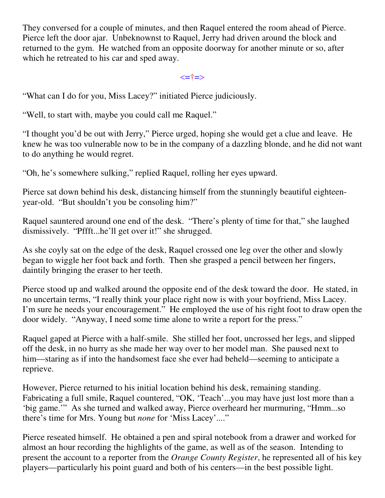They conversed for a couple of minutes, and then Raquel entered the room ahead of Pierce. Pierce left the door ajar. Unbeknownst to Raquel, Jerry had driven around the block and returned to the gym. He watched from an opposite doorway for another minute or so, after which he retreated to his car and sped away.

<=†=>

"What can I do for you, Miss Lacey?" initiated Pierce judiciously.

"Well, to start with, maybe you could call me Raquel."

"I thought you'd be out with Jerry," Pierce urged, hoping she would get a clue and leave. He knew he was too vulnerable now to be in the company of a dazzling blonde, and he did not want to do anything he would regret.

"Oh, he's somewhere sulking," replied Raquel, rolling her eyes upward.

Pierce sat down behind his desk, distancing himself from the stunningly beautiful eighteenyear-old. "But shouldn't you be consoling him?"

Raquel sauntered around one end of the desk. "There's plenty of time for that," she laughed dismissively. "Pffft...he'll get over it!" she shrugged.

As she coyly sat on the edge of the desk, Raquel crossed one leg over the other and slowly began to wiggle her foot back and forth. Then she grasped a pencil between her fingers, daintily bringing the eraser to her teeth.

Pierce stood up and walked around the opposite end of the desk toward the door. He stated, in no uncertain terms, "I really think your place right now is with your boyfriend, Miss Lacey. I'm sure he needs your encouragement." He employed the use of his right foot to draw open the door widely. "Anyway, I need some time alone to write a report for the press."

Raquel gaped at Pierce with a half-smile. She stilled her foot, uncrossed her legs, and slipped off the desk, in no hurry as she made her way over to her model man. She paused next to him—staring as if into the handsomest face she ever had beheld—seeming to anticipate a reprieve.

However, Pierce returned to his initial location behind his desk, remaining standing. Fabricating a full smile, Raquel countered, "OK, 'Teach'...you may have just lost more than a 'big game.'" As she turned and walked away, Pierce overheard her murmuring, "Hmm...so there's time for Mrs. Young but *none* for 'Miss Lacey'...."

Pierce reseated himself. He obtained a pen and spiral notebook from a drawer and worked for almost an hour recording the highlights of the game, as well as of the season. Intending to present the account to a reporter from the *Orange County Register*, he represented all of his key players—particularly his point guard and both of his centers—in the best possible light.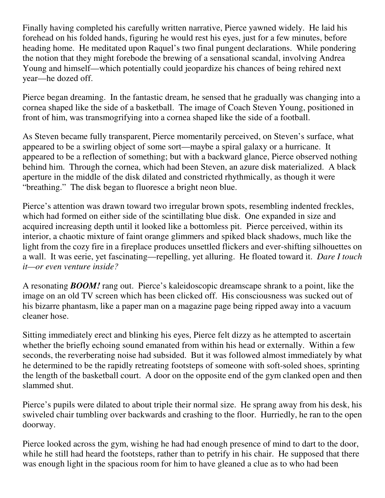Finally having completed his carefully written narrative, Pierce yawned widely. He laid his forehead on his folded hands, figuring he would rest his eyes, just for a few minutes, before heading home. He meditated upon Raquel's two final pungent declarations. While pondering the notion that they might forebode the brewing of a sensational scandal, involving Andrea Young and himself—which potentially could jeopardize his chances of being rehired next year—he dozed off.

Pierce began dreaming. In the fantastic dream, he sensed that he gradually was changing into a cornea shaped like the side of a basketball. The image of Coach Steven Young, positioned in front of him, was transmogrifying into a cornea shaped like the side of a football.

As Steven became fully transparent, Pierce momentarily perceived, on Steven's surface, what appeared to be a swirling object of some sort—maybe a spiral galaxy or a hurricane. It appeared to be a reflection of something; but with a backward glance, Pierce observed nothing behind him. Through the cornea, which had been Steven, an azure disk materialized. A black aperture in the middle of the disk dilated and constricted rhythmically, as though it were "breathing." The disk began to fluoresce a bright neon blue.

Pierce's attention was drawn toward two irregular brown spots, resembling indented freckles, which had formed on either side of the scintillating blue disk. One expanded in size and acquired increasing depth until it looked like a bottomless pit. Pierce perceived, within its interior, a chaotic mixture of faint orange glimmers and spiked black shadows, much like the light from the cozy fire in a fireplace produces unsettled flickers and ever-shifting silhouettes on a wall. It was eerie, yet fascinating—repelling, yet alluring. He floated toward it. *Dare I touch it—or even venture inside?*

A resonating *BOOM!* rang out. Pierce's kaleidoscopic dreamscape shrank to a point, like the image on an old TV screen which has been clicked off. His consciousness was sucked out of his bizarre phantasm, like a paper man on a magazine page being ripped away into a vacuum cleaner hose.

Sitting immediately erect and blinking his eyes, Pierce felt dizzy as he attempted to ascertain whether the briefly echoing sound emanated from within his head or externally. Within a few seconds, the reverberating noise had subsided. But it was followed almost immediately by what he determined to be the rapidly retreating footsteps of someone with soft-soled shoes, sprinting the length of the basketball court. A door on the opposite end of the gym clanked open and then slammed shut.

Pierce's pupils were dilated to about triple their normal size. He sprang away from his desk, his swiveled chair tumbling over backwards and crashing to the floor. Hurriedly, he ran to the open doorway.

Pierce looked across the gym, wishing he had had enough presence of mind to dart to the door, while he still had heard the footsteps, rather than to petrify in his chair. He supposed that there was enough light in the spacious room for him to have gleaned a clue as to who had been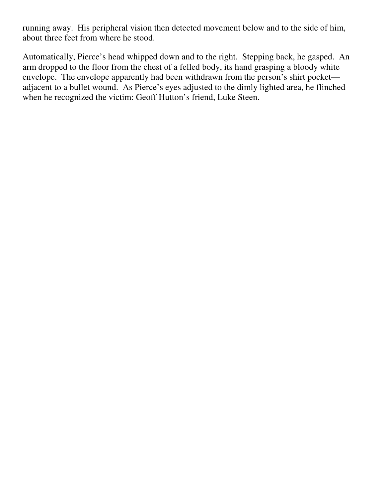running away. His peripheral vision then detected movement below and to the side of him, about three feet from where he stood.

Automatically, Pierce's head whipped down and to the right. Stepping back, he gasped. An arm dropped to the floor from the chest of a felled body, its hand grasping a bloody white envelope. The envelope apparently had been withdrawn from the person's shirt pocket adjacent to a bullet wound. As Pierce's eyes adjusted to the dimly lighted area, he flinched when he recognized the victim: Geoff Hutton's friend, Luke Steen.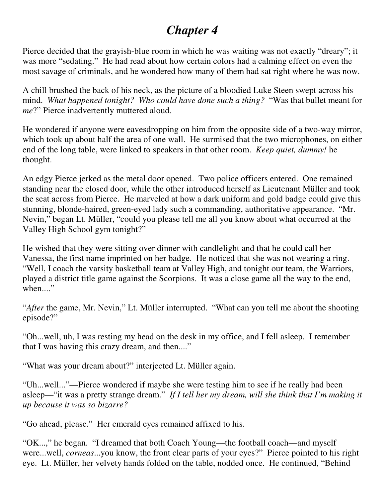### *Chapter 4*

Pierce decided that the grayish-blue room in which he was waiting was not exactly "dreary"; it was more "sedating." He had read about how certain colors had a calming effect on even the most savage of criminals, and he wondered how many of them had sat right where he was now.

A chill brushed the back of his neck, as the picture of a bloodied Luke Steen swept across his mind. *What happened tonight? Who could have done such a thing?* "Was that bullet meant for *me*?" Pierce inadvertently muttered aloud.

He wondered if anyone were eavesdropping on him from the opposite side of a two-way mirror, which took up about half the area of one wall. He surmised that the two microphones, on either end of the long table, were linked to speakers in that other room. *Keep quiet, dummy!* he thought.

An edgy Pierce jerked as the metal door opened. Two police officers entered. One remained standing near the closed door, while the other introduced herself as Lieutenant Müller and took the seat across from Pierce. He marveled at how a dark uniform and gold badge could give this stunning, blonde-haired, green-eyed lady such a commanding, authoritative appearance. "Mr. Nevin," began Lt. Müller, "could you please tell me all you know about what occurred at the Valley High School gym tonight?"

He wished that they were sitting over dinner with candlelight and that he could call her Vanessa, the first name imprinted on her badge. He noticed that she was not wearing a ring. "Well, I coach the varsity basketball team at Valley High, and tonight our team, the Warriors, played a district title game against the Scorpions. It was a close game all the way to the end,  $when...''$ 

"*After* the game, Mr. Nevin," Lt. Müller interrupted. "What can you tell me about the shooting episode?"

"Oh...well, uh, I was resting my head on the desk in my office, and I fell asleep. I remember that I was having this crazy dream, and then...."

"What was your dream about?" interjected Lt. Müller again.

"Uh...well..."—Pierce wondered if maybe she were testing him to see if he really had been asleep—"it was a pretty strange dream." *If I tell her my dream, will she think that I'm making it up because it was so bizarre?*

"Go ahead, please." Her emerald eyes remained affixed to his.

"OK...," he began. "I dreamed that both Coach Young—the football coach—and myself were...well, *corneas*...you know, the front clear parts of your eyes?" Pierce pointed to his right eye. Lt. Müller, her velvety hands folded on the table, nodded once. He continued, "Behind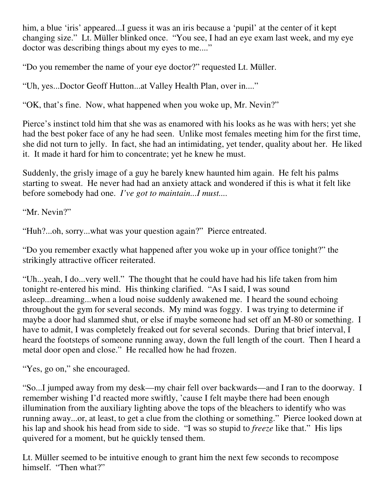him, a blue 'iris' appeared...I guess it was an iris because a 'pupil' at the center of it kept changing size." Lt. Müller blinked once. "You see, I had an eye exam last week, and my eye doctor was describing things about my eyes to me...."

"Do you remember the name of your eye doctor?" requested Lt. Müller.

"Uh, yes...Doctor Geoff Hutton...at Valley Health Plan, over in...."

"OK, that's fine. Now, what happened when you woke up, Mr. Nevin?"

Pierce's instinct told him that she was as enamored with his looks as he was with hers; yet she had the best poker face of any he had seen. Unlike most females meeting him for the first time, she did not turn to jelly. In fact, she had an intimidating, yet tender, quality about her. He liked it. It made it hard for him to concentrate; yet he knew he must.

Suddenly, the grisly image of a guy he barely knew haunted him again. He felt his palms starting to sweat. He never had had an anxiety attack and wondered if this is what it felt like before somebody had one. *I've got to maintain...I must....*

"Mr. Nevin?"

"Huh?...oh, sorry...what was your question again?" Pierce entreated.

"Do you remember exactly what happened after you woke up in your office tonight?" the strikingly attractive officer reiterated.

"Uh...yeah, I do...very well." The thought that he could have had his life taken from him tonight re-entered his mind. His thinking clarified. "As I said, I was sound asleep...dreaming...when a loud noise suddenly awakened me. I heard the sound echoing throughout the gym for several seconds. My mind was foggy. I was trying to determine if maybe a door had slammed shut, or else if maybe someone had set off an M-80 or something. I have to admit, I was completely freaked out for several seconds. During that brief interval, I heard the footsteps of someone running away, down the full length of the court. Then I heard a metal door open and close." He recalled how he had frozen.

"Yes, go on," she encouraged.

"So...I jumped away from my desk—my chair fell over backwards—and I ran to the doorway. I remember wishing I'd reacted more swiftly, 'cause I felt maybe there had been enough illumination from the auxiliary lighting above the tops of the bleachers to identify who was running away...or, at least, to get a clue from the clothing or something." Pierce looked down at his lap and shook his head from side to side. "I was so stupid to *freeze* like that." His lips quivered for a moment, but he quickly tensed them.

Lt. Müller seemed to be intuitive enough to grant him the next few seconds to recompose himself. "Then what?"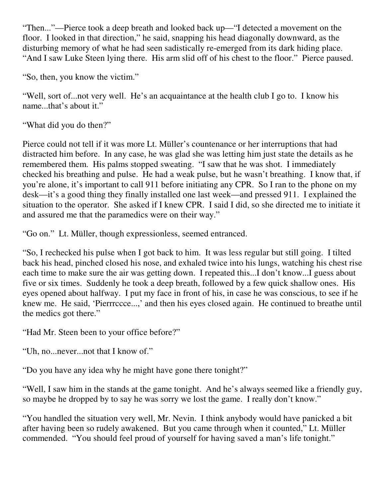"Then..."—Pierce took a deep breath and looked back up—"I detected a movement on the floor. I looked in that direction," he said, snapping his head diagonally downward, as the disturbing memory of what he had seen sadistically re-emerged from its dark hiding place. "And I saw Luke Steen lying there. His arm slid off of his chest to the floor." Pierce paused.

"So, then, you know the victim."

"Well, sort of...not very well. He's an acquaintance at the health club I go to. I know his name...that's about it."

"What did you do then?"

Pierce could not tell if it was more Lt. Müller's countenance or her interruptions that had distracted him before. In any case, he was glad she was letting him just state the details as he remembered them. His palms stopped sweating. "I saw that he was shot. I immediately checked his breathing and pulse. He had a weak pulse, but he wasn't breathing. I know that, if you're alone, it's important to call 911 before initiating any CPR. So I ran to the phone on my desk—it's a good thing they finally installed one last week—and pressed 911. I explained the situation to the operator. She asked if I knew CPR. I said I did, so she directed me to initiate it and assured me that the paramedics were on their way."

"Go on." Lt. Müller, though expressionless, seemed entranced.

"So, I rechecked his pulse when I got back to him. It was less regular but still going. I tilted back his head, pinched closed his nose, and exhaled twice into his lungs, watching his chest rise each time to make sure the air was getting down. I repeated this...I don't know...I guess about five or six times. Suddenly he took a deep breath, followed by a few quick shallow ones. His eyes opened about halfway. I put my face in front of his, in case he was conscious, to see if he knew me. He said, 'Pierrrccce...,' and then his eyes closed again. He continued to breathe until the medics got there."

"Had Mr. Steen been to your office before?"

"Uh, no...never...not that I know of."

"Do you have any idea why he might have gone there tonight?"

"Well, I saw him in the stands at the game tonight. And he's always seemed like a friendly guy, so maybe he dropped by to say he was sorry we lost the game. I really don't know."

"You handled the situation very well, Mr. Nevin. I think anybody would have panicked a bit after having been so rudely awakened. But you came through when it counted," Lt. Müller commended. "You should feel proud of yourself for having saved a man's life tonight."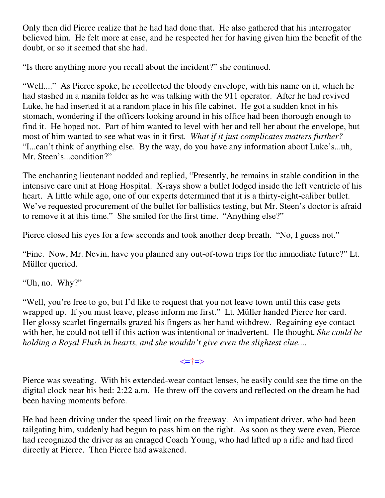Only then did Pierce realize that he had had done that. He also gathered that his interrogator believed him. He felt more at ease, and he respected her for having given him the benefit of the doubt, or so it seemed that she had.

"Is there anything more you recall about the incident?" she continued.

"Well...." As Pierce spoke, he recollected the bloody envelope, with his name on it, which he had stashed in a manila folder as he was talking with the 911 operator. After he had revived Luke, he had inserted it at a random place in his file cabinet. He got a sudden knot in his stomach, wondering if the officers looking around in his office had been thorough enough to find it. He hoped not. Part of him wanted to level with her and tell her about the envelope, but most of him wanted to see what was in it first. *What if it just complicates matters further?* "I...can't think of anything else. By the way, do you have any information about Luke's...uh, Mr. Steen's...condition?"

The enchanting lieutenant nodded and replied, "Presently, he remains in stable condition in the intensive care unit at Hoag Hospital. X-rays show a bullet lodged inside the left ventricle of his heart. A little while ago, one of our experts determined that it is a thirty-eight-caliber bullet. We've requested procurement of the bullet for ballistics testing, but Mr. Steen's doctor is afraid to remove it at this time." She smiled for the first time. "Anything else?"

Pierce closed his eyes for a few seconds and took another deep breath. "No, I guess not."

"Fine. Now, Mr. Nevin, have you planned any out-of-town trips for the immediate future?" Lt. Müller queried.

"Uh, no. Why?"

"Well, you're free to go, but I'd like to request that you not leave town until this case gets wrapped up. If you must leave, please inform me first." Lt. Müller handed Pierce her card. Her glossy scarlet fingernails grazed his fingers as her hand withdrew. Regaining eye contact with her, he could not tell if this action was intentional or inadvertent. He thought, *She could be holding a Royal Flush in hearts, and she wouldn't give even the slightest clue....*

#### <=†=>

Pierce was sweating. With his extended-wear contact lenses, he easily could see the time on the digital clock near his bed: 2:22 a.m. He threw off the covers and reflected on the dream he had been having moments before.

He had been driving under the speed limit on the freeway. An impatient driver, who had been tailgating him, suddenly had begun to pass him on the right. As soon as they were even, Pierce had recognized the driver as an enraged Coach Young, who had lifted up a rifle and had fired directly at Pierce. Then Pierce had awakened.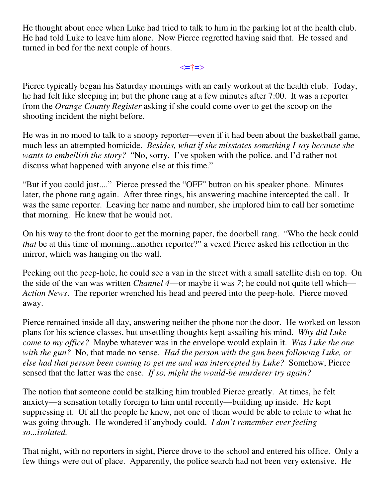He thought about once when Luke had tried to talk to him in the parking lot at the health club. He had told Luke to leave him alone. Now Pierce regretted having said that. He tossed and turned in bed for the next couple of hours.

<=†=>

Pierce typically began his Saturday mornings with an early workout at the health club. Today, he had felt like sleeping in; but the phone rang at a few minutes after 7:00. It was a reporter from the *Orange County Register* asking if she could come over to get the scoop on the shooting incident the night before.

He was in no mood to talk to a snoopy reporter—even if it had been about the basketball game, much less an attempted homicide. *Besides, what if she misstates something I say because she wants to embellish the story?* "No, sorry. I've spoken with the police, and I'd rather not discuss what happened with anyone else at this time."

"But if you could just...." Pierce pressed the "OFF" button on his speaker phone. Minutes later, the phone rang again. After three rings, his answering machine intercepted the call. It was the same reporter. Leaving her name and number, she implored him to call her sometime that morning. He knew that he would not.

On his way to the front door to get the morning paper, the doorbell rang. "Who the heck could *that* be at this time of morning...another reporter?" a vexed Pierce asked his reflection in the mirror, which was hanging on the wall.

Peeking out the peep-hole, he could see a van in the street with a small satellite dish on top. On the side of the van was written *Channel 4*—or maybe it was *7*; he could not quite tell which— *Action News*. The reporter wrenched his head and peered into the peep-hole. Pierce moved away.

Pierce remained inside all day, answering neither the phone nor the door. He worked on lesson plans for his science classes, but unsettling thoughts kept assailing his mind. *Why did Luke come to my office?* Maybe whatever was in the envelope would explain it. *Was Luke the one with the gun?* No, that made no sense. *Had the person with the gun been following Luke, or else had that person been coming to get me and was intercepted by Luke?* Somehow, Pierce sensed that the latter was the case. *If so, might the would-be murderer try again?*

The notion that someone could be stalking him troubled Pierce greatly. At times, he felt anxiety—a sensation totally foreign to him until recently—building up inside. He kept suppressing it. Of all the people he knew, not one of them would be able to relate to what he was going through. He wondered if anybody could. *I don't remember ever feeling so...isolated.*

That night, with no reporters in sight, Pierce drove to the school and entered his office. Only a few things were out of place. Apparently, the police search had not been very extensive. He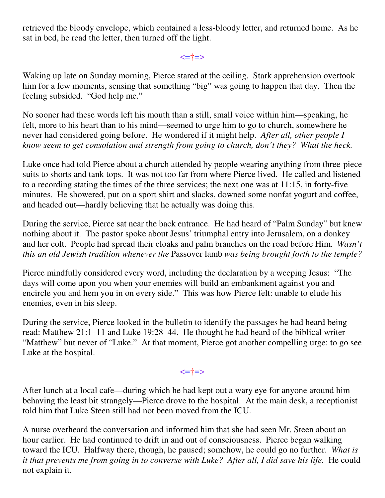retrieved the bloody envelope, which contained a less-bloody letter, and returned home. As he sat in bed, he read the letter, then turned off the light.

<=†=>

Waking up late on Sunday morning, Pierce stared at the ceiling. Stark apprehension overtook him for a few moments, sensing that something "big" was going to happen that day. Then the feeling subsided. "God help me."

No sooner had these words left his mouth than a still, small voice within him—speaking, he felt, more to his heart than to his mind—seemed to urge him to go to church, somewhere he never had considered going before. He wondered if it might help. *After all, other people I know seem to get consolation and strength from going to church, don't they? What the heck.*

Luke once had told Pierce about a church attended by people wearing anything from three-piece suits to shorts and tank tops. It was not too far from where Pierce lived. He called and listened to a recording stating the times of the three services; the next one was at 11:15, in forty-five minutes. He showered, put on a sport shirt and slacks, downed some nonfat yogurt and coffee, and headed out—hardly believing that he actually was doing this.

During the service, Pierce sat near the back entrance. He had heard of "Palm Sunday" but knew nothing about it. The pastor spoke about Jesus' triumphal entry into Jerusalem, on a donkey and her colt. People had spread their cloaks and palm branches on the road before Him. *Wasn't this an old Jewish tradition whenever the* Passover lamb *was being brought forth to the temple?*

Pierce mindfully considered every word, including the declaration by a weeping Jesus: "The days will come upon you when your enemies will build an embankment against you and encircle you and hem you in on every side." This was how Pierce felt: unable to elude his enemies, even in his sleep.

During the service, Pierce looked in the bulletin to identify the passages he had heard being read: Matthew 21:1–11 and Luke 19:28–44. He thought he had heard of the biblical writer "Matthew" but never of "Luke." At that moment, Pierce got another compelling urge: to go see Luke at the hospital.

<=†=>

After lunch at a local cafe—during which he had kept out a wary eye for anyone around him behaving the least bit strangely—Pierce drove to the hospital. At the main desk, a receptionist told him that Luke Steen still had not been moved from the ICU.

A nurse overheard the conversation and informed him that she had seen Mr. Steen about an hour earlier. He had continued to drift in and out of consciousness. Pierce began walking toward the ICU. Halfway there, though, he paused; somehow, he could go no further. *What is it that prevents me from going in to converse with Luke? After all, I did save his life.* He could not explain it.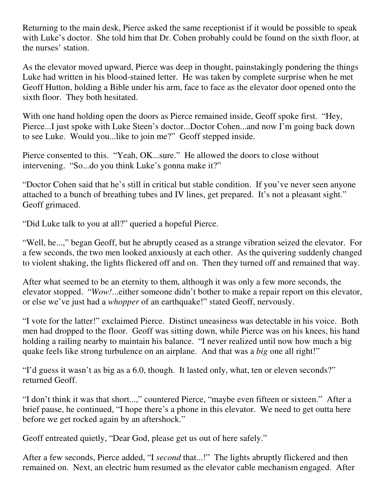Returning to the main desk, Pierce asked the same receptionist if it would be possible to speak with Luke's doctor. She told him that Dr. Cohen probably could be found on the sixth floor, at the nurses' station.

As the elevator moved upward, Pierce was deep in thought, painstakingly pondering the things Luke had written in his blood-stained letter. He was taken by complete surprise when he met Geoff Hutton, holding a Bible under his arm, face to face as the elevator door opened onto the sixth floor. They both hesitated.

With one hand holding open the doors as Pierce remained inside, Geoff spoke first. "Hey, Pierce...I just spoke with Luke Steen's doctor...Doctor Cohen...and now I'm going back down to see Luke. Would you...like to join me?" Geoff stepped inside.

Pierce consented to this. "Yeah, OK...sure." He allowed the doors to close without intervening. "So...do you think Luke's gonna make it?"

"Doctor Cohen said that he's still in critical but stable condition. If you've never seen anyone attached to a bunch of breathing tubes and IV lines, get prepared. It's not a pleasant sight." Geoff grimaced.

"Did Luke talk to you at all?" queried a hopeful Pierce.

"Well, he...," began Geoff, but he abruptly ceased as a strange vibration seized the elevator. For a few seconds, the two men looked anxiously at each other. As the quivering suddenly changed to violent shaking, the lights flickered off and on. Then they turned off and remained that way.

After what seemed to be an eternity to them, although it was only a few more seconds, the elevator stopped. "*Wow!*...either someone didn't bother to make a repair report on this elevator, or else we've just had a *whopper* of an earthquake!" stated Geoff, nervously.

"I vote for the latter!" exclaimed Pierce. Distinct uneasiness was detectable in his voice. Both men had dropped to the floor. Geoff was sitting down, while Pierce was on his knees, his hand holding a railing nearby to maintain his balance. "I never realized until now how much a big quake feels like strong turbulence on an airplane. And that was a *big* one all right!"

"I'd guess it wasn't as big as a 6.0, though. It lasted only, what, ten or eleven seconds?" returned Geoff.

"I don't think it was that short...," countered Pierce, "maybe even fifteen or sixteen." After a brief pause, he continued, "I hope there's a phone in this elevator. We need to get outta here before we get rocked again by an aftershock."

Geoff entreated quietly, "Dear God, please get us out of here safely."

After a few seconds, Pierce added, "I *second* that...!" The lights abruptly flickered and then remained on. Next, an electric hum resumed as the elevator cable mechanism engaged. After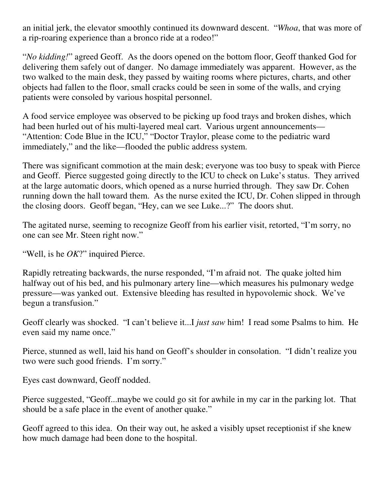an initial jerk, the elevator smoothly continued its downward descent. "*Whoa*, that was more of a rip-roaring experience than a bronco ride at a rodeo!"

"*No kidding!*" agreed Geoff. As the doors opened on the bottom floor, Geoff thanked God for delivering them safely out of danger. No damage immediately was apparent. However, as the two walked to the main desk, they passed by waiting rooms where pictures, charts, and other objects had fallen to the floor, small cracks could be seen in some of the walls, and crying patients were consoled by various hospital personnel.

A food service employee was observed to be picking up food trays and broken dishes, which had been hurled out of his multi-layered meal cart. Various urgent announcements— "Attention: Code Blue in the ICU," "Doctor Traylor, please come to the pediatric ward immediately," and the like—flooded the public address system.

There was significant commotion at the main desk; everyone was too busy to speak with Pierce and Geoff. Pierce suggested going directly to the ICU to check on Luke's status. They arrived at the large automatic doors, which opened as a nurse hurried through. They saw Dr. Cohen running down the hall toward them. As the nurse exited the ICU, Dr. Cohen slipped in through the closing doors. Geoff began, "Hey, can we see Luke...?" The doors shut.

The agitated nurse, seeming to recognize Geoff from his earlier visit, retorted, "I'm sorry, no one can see Mr. Steen right now."

"Well, is he *OK*?" inquired Pierce.

Rapidly retreating backwards, the nurse responded, "I'm afraid not. The quake jolted him halfway out of his bed, and his pulmonary artery line—which measures his pulmonary wedge pressure—was yanked out. Extensive bleeding has resulted in hypovolemic shock. We've begun a transfusion."

Geoff clearly was shocked. "I can't believe it...I *just saw* him! I read some Psalms to him. He even said my name once."

Pierce, stunned as well, laid his hand on Geoff's shoulder in consolation. "I didn't realize you two were such good friends. I'm sorry."

Eyes cast downward, Geoff nodded.

Pierce suggested, "Geoff...maybe we could go sit for awhile in my car in the parking lot. That should be a safe place in the event of another quake."

Geoff agreed to this idea. On their way out, he asked a visibly upset receptionist if she knew how much damage had been done to the hospital.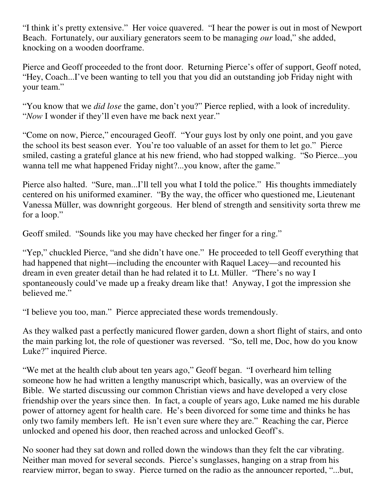"I think it's pretty extensive." Her voice quavered. "I hear the power is out in most of Newport Beach. Fortunately, our auxiliary generators seem to be managing *our* load," she added, knocking on a wooden doorframe.

Pierce and Geoff proceeded to the front door. Returning Pierce's offer of support, Geoff noted, "Hey, Coach...I've been wanting to tell you that you did an outstanding job Friday night with your team."

"You know that we *did lose* the game, don't you?" Pierce replied, with a look of incredulity. "*Now* I wonder if they'll even have me back next year."

"Come on now, Pierce," encouraged Geoff. "Your guys lost by only one point, and you gave the school its best season ever. You're too valuable of an asset for them to let go." Pierce smiled, casting a grateful glance at his new friend, who had stopped walking. "So Pierce...you wanna tell me what happened Friday night?...you know, after the game."

Pierce also halted. "Sure, man...I'll tell you what I told the police." His thoughts immediately centered on his uniformed examiner. "By the way, the officer who questioned me, Lieutenant Vanessa Müller, was downright gorgeous. Her blend of strength and sensitivity sorta threw me for a loop."

Geoff smiled. "Sounds like you may have checked her finger for a ring."

"Yep," chuckled Pierce, "and she didn't have one." He proceeded to tell Geoff everything that had happened that night—including the encounter with Raquel Lacey—and recounted his dream in even greater detail than he had related it to Lt. Müller. "There's no way I spontaneously could've made up a freaky dream like that! Anyway, I got the impression she believed me."

"I believe you too, man." Pierce appreciated these words tremendously.

As they walked past a perfectly manicured flower garden, down a short flight of stairs, and onto the main parking lot, the role of questioner was reversed. "So, tell me, Doc, how do you know Luke?" inquired Pierce.

"We met at the health club about ten years ago," Geoff began. "I overheard him telling someone how he had written a lengthy manuscript which, basically, was an overview of the Bible. We started discussing our common Christian views and have developed a very close friendship over the years since then. In fact, a couple of years ago, Luke named me his durable power of attorney agent for health care. He's been divorced for some time and thinks he has only two family members left. He isn't even sure where they are." Reaching the car, Pierce unlocked and opened his door, then reached across and unlocked Geoff's.

No sooner had they sat down and rolled down the windows than they felt the car vibrating. Neither man moved for several seconds. Pierce's sunglasses, hanging on a strap from his rearview mirror, began to sway. Pierce turned on the radio as the announcer reported, "...but,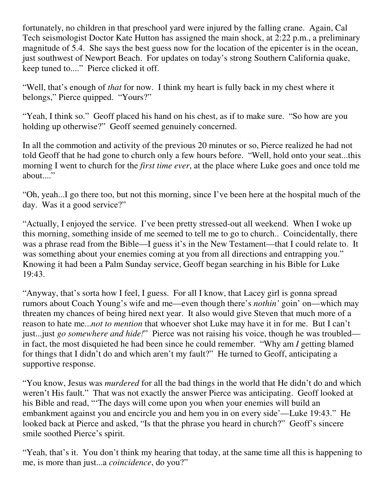fortunately, no children in that preschool yard were injured by the falling crane. Again, Cal Tech seismologist Doctor Kate Hutton has assigned the main shock, at 2:22 p.m., a preliminary magnitude of 5.4. She says the best guess now for the location of the epicenter is in the ocean, just southwest of Newport Beach. For updates on today's strong Southern California quake, keep tuned to...." Pierce clicked it off.

"Well, that's enough of *that* for now. I think my heart is fully back in my chest where it belongs," Pierce quipped. "Yours?"

"Yeah, I think so." Geoff placed his hand on his chest, as if to make sure. "So how are you holding up otherwise?" Geoff seemed genuinely concerned.

In all the commotion and activity of the previous 20 minutes or so, Pierce realized he had not told Geoff that he had gone to church only a few hours before. "Well, hold onto your seat...this morning I went to church for the *first time ever*, at the place where Luke goes and once told me about...."

"Oh, yeah...I go there too, but not this morning, since I've been here at the hospital much of the day. Was it a good service?"

"Actually, I enjoyed the service. I've been pretty stressed-out all weekend. When I woke up this morning, something inside of me seemed to tell me to go to church.. Coincidentally, there was a phrase read from the Bible—I guess it's in the New Testament—that I could relate to. It was something about your enemies coming at you from all directions and entrapping you." Knowing it had been a Palm Sunday service, Geoff began searching in his Bible for Luke 19:43.

"Anyway, that's sorta how I feel, I guess. For all I know, that Lacey girl is gonna spread rumors about Coach Young's wife and me—even though there's *nothin'* goin' on—which may threaten my chances of being hired next year. It also would give Steven that much more of a reason to hate me...*not to mention* that whoever shot Luke may have it in for me. But I can't just...just *go somewhere and hide!*" Pierce was not raising his voice, though he was troubled in fact, the most disquieted he had been since he could remember. "Why am *I* getting blamed for things that I didn't do and which aren't my fault?" He turned to Geoff, anticipating a supportive response.

"You know, Jesus was *murdered* for all the bad things in the world that He didn't do and which weren't His fault." That was not exactly the answer Pierce was anticipating. Geoff looked at his Bible and read, "'The days will come upon you when your enemies will build an embankment against you and encircle you and hem you in on every side'—Luke 19:43." He looked back at Pierce and asked, "Is that the phrase you heard in church?" Geoff's sincere smile soothed Pierce's spirit.

"Yeah, that's it. You don't think my hearing that today, at the same time all this is happening to me, is more than just...a *coincidence*, do you?"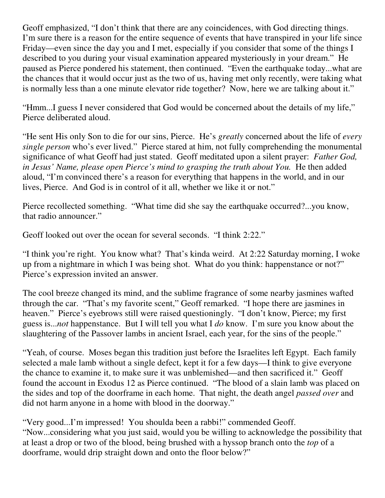Geoff emphasized, "I don't think that there are any coincidences, with God directing things. I'm sure there is a reason for the entire sequence of events that have transpired in your life since Friday—even since the day you and I met, especially if you consider that some of the things I described to you during your visual examination appeared mysteriously in your dream." He paused as Pierce pondered his statement, then continued. "Even the earthquake today...what are the chances that it would occur just as the two of us, having met only recently, were taking what is normally less than a one minute elevator ride together? Now, here we are talking about it."

"Hmm...I guess I never considered that God would be concerned about the details of my life," Pierce deliberated aloud.

"He sent His only Son to die for our sins, Pierce. He's *greatly* concerned about the life of *every single person* who's ever lived." Pierce stared at him, not fully comprehending the monumental significance of what Geoff had just stated. Geoff meditated upon a silent prayer: *Father God, in Jesus' Name, please open Pierce's mind to grasping the truth about You.* He then added aloud, "I'm convinced there's a reason for everything that happens in the world, and in our lives, Pierce. And God is in control of it all, whether we like it or not."

Pierce recollected something. "What time did she say the earthquake occurred?...you know, that radio announcer."

Geoff looked out over the ocean for several seconds. "I think 2:22."

"I think you're right. You know what? That's kinda weird. At 2:22 Saturday morning, I woke up from a nightmare in which I was being shot. What do you think: happenstance or not?" Pierce's expression invited an answer.

The cool breeze changed its mind, and the sublime fragrance of some nearby jasmines wafted through the car. "That's my favorite scent," Geoff remarked. "I hope there are jasmines in heaven." Pierce's eyebrows still were raised questioningly. "I don't know, Pierce; my first guess is...*not* happenstance. But I will tell you what I *do* know. I'm sure you know about the slaughtering of the Passover lambs in ancient Israel, each year, for the sins of the people."

"Yeah, of course. Moses began this tradition just before the Israelites left Egypt. Each family selected a male lamb without a single defect, kept it for a few days—I think to give everyone the chance to examine it, to make sure it was unblemished—and then sacrificed it." Geoff found the account in Exodus 12 as Pierce continued. "The blood of a slain lamb was placed on the sides and top of the doorframe in each home. That night, the death angel *passed over* and did not harm anyone in a home with blood in the doorway."

"Very good...I'm impressed! You shoulda been a rabbi!" commended Geoff. "Now...considering what you just said, would you be willing to acknowledge the possibility that at least a drop or two of the blood, being brushed with a hyssop branch onto the *top* of a doorframe, would drip straight down and onto the floor below?"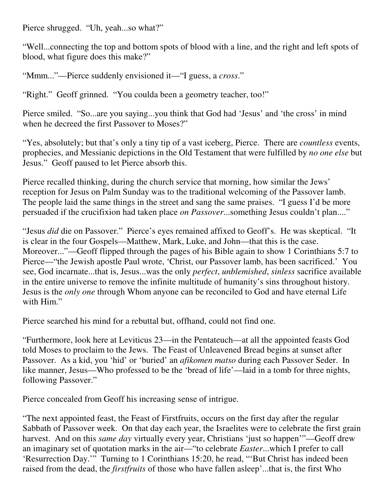Pierce shrugged. "Uh, yeah...so what?"

"Well...connecting the top and bottom spots of blood with a line, and the right and left spots of blood, what figure does this make?"

"Mmm..."—Pierce suddenly envisioned it—"I guess, a *cross*."

"Right." Geoff grinned. "You coulda been a geometry teacher, too!"

Pierce smiled. "So...are you saying...you think that God had 'Jesus' and 'the cross' in mind when he decreed the first Passover to Moses?"

"Yes, absolutely; but that's only a tiny tip of a vast iceberg, Pierce. There are *countless* events, prophecies, and Messianic depictions in the Old Testament that were fulfilled by *no one else* but Jesus." Geoff paused to let Pierce absorb this.

Pierce recalled thinking, during the church service that morning, how similar the Jews' reception for Jesus on Palm Sunday was to the traditional welcoming of the Passover lamb. The people laid the same things in the street and sang the same praises. "I guess I'd be more persuaded if the crucifixion had taken place *on Passover*...something Jesus couldn't plan...."

"Jesus *did* die on Passover." Pierce's eyes remained affixed to Geoff's. He was skeptical. "It is clear in the four Gospels—Matthew, Mark, Luke, and John—that this is the case. Moreover..."—Geoff flipped through the pages of his Bible again to show 1 Corinthians 5:7 to Pierce—"the Jewish apostle Paul wrote, 'Christ, our Passover lamb, has been sacrificed.' You see, God incarnate...that is, Jesus...was the only *perfect*, *unblemished*, *sinless* sacrifice available in the entire universe to remove the infinite multitude of humanity's sins throughout history. Jesus is the *only one* through Whom anyone can be reconciled to God and have eternal Life with Him."

Pierce searched his mind for a rebuttal but, offhand, could not find one.

"Furthermore, look here at Leviticus 23—in the Pentateuch—at all the appointed feasts God told Moses to proclaim to the Jews. The Feast of Unleavened Bread begins at sunset after Passover. As a kid, you 'hid' or 'buried' an *afikomen matso* during each Passover Seder. In like manner, Jesus—Who professed to be the 'bread of life'—laid in a tomb for three nights, following Passover."

Pierce concealed from Geoff his increasing sense of intrigue.

"The next appointed feast, the Feast of Firstfruits, occurs on the first day after the regular Sabbath of Passover week. On that day each year, the Israelites were to celebrate the first grain harvest. And on this *same day* virtually every year, Christians 'just so happen'"—Geoff drew an imaginary set of quotation marks in the air—"to celebrate *Easter*...which I prefer to call 'Resurrection Day.'" Turning to 1 Corinthians 15:20, he read, "'But Christ has indeed been raised from the dead, the *firstfruits* of those who have fallen asleep'...that is, the first Who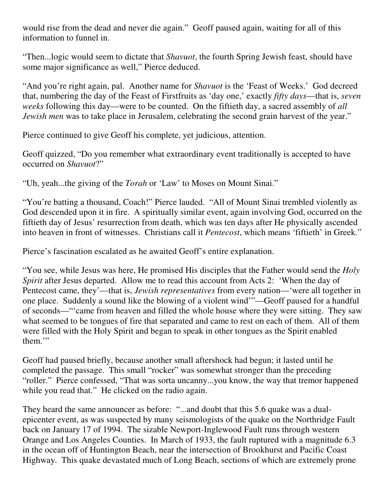would rise from the dead and never die again." Geoff paused again, waiting for all of this information to funnel in.

"Then...logic would seem to dictate that *Shavuot*, the fourth Spring Jewish feast, should have some major significance as well," Pierce deduced.

"And you're right again, pal. Another name for *Shavuot* is the 'Feast of Weeks.' God decreed that, numbering the day of the Feast of Firstfruits as 'day one,' exactly *fifty days*—that is, *seven weeks* following this day—were to be counted. On the fiftieth day, a sacred assembly of *all Jewish men* was to take place in Jerusalem, celebrating the second grain harvest of the year."

Pierce continued to give Geoff his complete, yet judicious, attention.

Geoff quizzed, "Do you remember what extraordinary event traditionally is accepted to have occurred on *Shavuot*?"

"Uh, yeah...the giving of the *Torah* or 'Law' to Moses on Mount Sinai."

"You're batting a thousand, Coach!" Pierce lauded. "All of Mount Sinai trembled violently as God descended upon it in fire. A spiritually similar event, again involving God, occurred on the fiftieth day of Jesus' resurrection from death, which was ten days after He physically ascended into heaven in front of witnesses. Christians call it *Pentecost*, which means 'fiftieth' in Greek."

Pierce's fascination escalated as he awaited Geoff's entire explanation.

"You see, while Jesus was here, He promised His disciples that the Father would send the *Holy Spirit* after Jesus departed. Allow me to read this account from Acts 2: 'When the day of Pentecost came, they'—that is, *Jewish representatives* from every nation—'were all together in one place. Suddenly a sound like the blowing of a violent wind'"—Geoff paused for a handful of seconds—"'came from heaven and filled the whole house where they were sitting. They saw what seemed to be tongues of fire that separated and came to rest on each of them. All of them were filled with the Holy Spirit and began to speak in other tongues as the Spirit enabled them."

Geoff had paused briefly, because another small aftershock had begun; it lasted until he completed the passage. This small "rocker" was somewhat stronger than the preceding "roller." Pierce confessed, "That was sorta uncanny...you know, the way that tremor happened while you read that." He clicked on the radio again.

They heard the same announcer as before: "...and doubt that this 5.6 quake was a dualepicenter event, as was suspected by many seismologists of the quake on the Northridge Fault back on January 17 of 1994. The sizable Newport-Inglewood Fault runs through western Orange and Los Angeles Counties. In March of 1933, the fault ruptured with a magnitude 6.3 in the ocean off of Huntington Beach, near the intersection of Brookhurst and Pacific Coast Highway. This quake devastated much of Long Beach, sections of which are extremely prone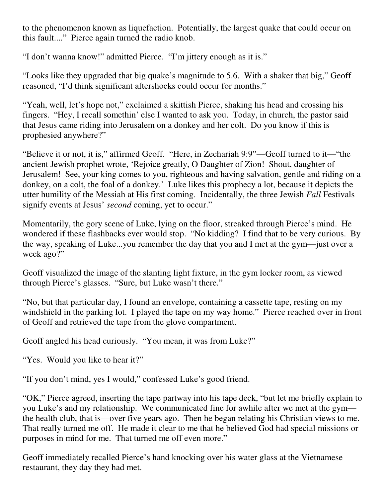to the phenomenon known as liquefaction. Potentially, the largest quake that could occur on this fault...." Pierce again turned the radio knob.

"I don't wanna know!" admitted Pierce. "I'm jittery enough as it is."

"Looks like they upgraded that big quake's magnitude to 5.6. With a shaker that big," Geoff reasoned, "I'd think significant aftershocks could occur for months."

"Yeah, well, let's hope not," exclaimed a skittish Pierce, shaking his head and crossing his fingers. "Hey, I recall somethin' else I wanted to ask you. Today, in church, the pastor said that Jesus came riding into Jerusalem on a donkey and her colt. Do you know if this is prophesied anywhere?"

"Believe it or not, it is," affirmed Geoff. "Here, in Zechariah 9:9"—Geoff turned to it—"the ancient Jewish prophet wrote, 'Rejoice greatly, O Daughter of Zion! Shout, daughter of Jerusalem! See, your king comes to you, righteous and having salvation, gentle and riding on a donkey, on a colt, the foal of a donkey.' Luke likes this prophecy a lot, because it depicts the utter humility of the Messiah at His first coming. Incidentally, the three Jewish *Fall* Festivals signify events at Jesus' *second* coming, yet to occur."

Momentarily, the gory scene of Luke, lying on the floor, streaked through Pierce's mind. He wondered if these flashbacks ever would stop. "No kidding? I find that to be very curious. By the way, speaking of Luke...you remember the day that you and I met at the gym—just over a week ago?"

Geoff visualized the image of the slanting light fixture, in the gym locker room, as viewed through Pierce's glasses. "Sure, but Luke wasn't there."

"No, but that particular day, I found an envelope, containing a cassette tape, resting on my windshield in the parking lot. I played the tape on my way home." Pierce reached over in front of Geoff and retrieved the tape from the glove compartment.

Geoff angled his head curiously. "You mean, it was from Luke?"

"Yes. Would you like to hear it?"

"If you don't mind, yes I would," confessed Luke's good friend.

"OK," Pierce agreed, inserting the tape partway into his tape deck, "but let me briefly explain to you Luke's and my relationship. We communicated fine for awhile after we met at the gym the health club, that is—over five years ago. Then he began relating his Christian views to me. That really turned me off. He made it clear to me that he believed God had special missions or purposes in mind for me. That turned me off even more."

Geoff immediately recalled Pierce's hand knocking over his water glass at the Vietnamese restaurant, they day they had met.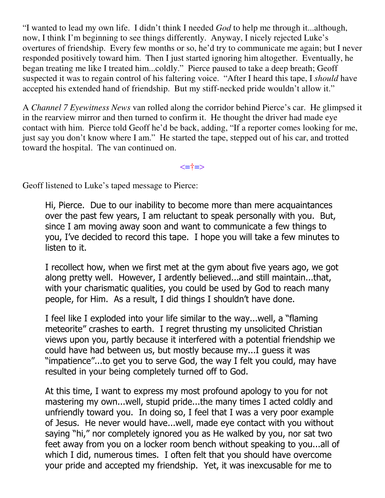"I wanted to lead my own life. I didn't think I needed *God* to help me through it...although, now, I think I'm beginning to see things differently. Anyway, I nicely rejected Luke's overtures of friendship. Every few months or so, he'd try to communicate me again; but I never responded positively toward him. Then I just started ignoring him altogether. Eventually, he began treating me like I treated him...coldly." Pierce paused to take a deep breath; Geoff suspected it was to regain control of his faltering voice. "After I heard this tape, I *should* have accepted his extended hand of friendship. But my stiff-necked pride wouldn't allow it."

A *Channel 7 Eyewitness News* van rolled along the corridor behind Pierce's car. He glimpsed it in the rearview mirror and then turned to confirm it. He thought the driver had made eye contact with him. Pierce told Geoff he'd be back, adding, "If a reporter comes looking for me, just say you don't know where I am." He started the tape, stepped out of his car, and trotted toward the hospital. The van continued on.

<=†=>

Geoff listened to Luke's taped message to Pierce:

Hi, Pierce. Due to our inability to become more than mere acquaintances over the past few years, I am reluctant to speak personally with you. But, since I am moving away soon and want to communicate a few things to you, I've decided to record this tape. I hope you will take a few minutes to listen to it.

I recollect how, when we first met at the gym about five years ago, we got along pretty well. However, I ardently believed...and still maintain...that, with your charismatic qualities, you could be used by God to reach many people, for Him. As a result, I did things I shouldn't have done.

I feel like I exploded into your life similar to the way...well, a "flaming meteorite" crashes to earth. I regret thrusting my unsolicited Christian views upon you, partly because it interfered with a potential friendship we could have had between us, but mostly because my...I guess it was "impatience"...to get you to serve God, the way I felt you could, may have resulted in your being completely turned off to God.

At this time, I want to express my most profound apology to you for not mastering my own...well, stupid pride...the many times I acted coldly and unfriendly toward you. In doing so, I feel that I was a very poor example of Jesus. He never would have...well, made eye contact with you without saying "hi," nor completely ignored you as He walked by you, nor sat two feet away from you on a locker room bench without speaking to you...all of which I did, numerous times. I often felt that you should have overcome your pride and accepted my friendship. Yet, it was inexcusable for me to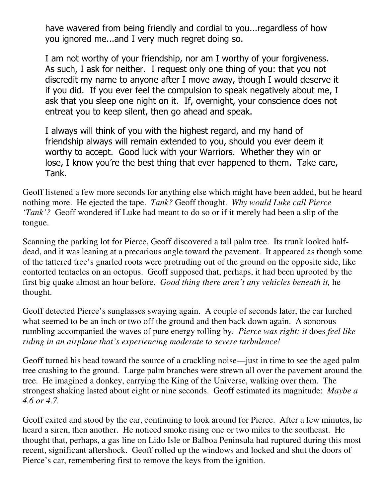have wavered from being friendly and cordial to you...regardless of how you ignored me...and I very much regret doing so.

I am not worthy of your friendship, nor am I worthy of your forgiveness. As such, I ask for neither. I request only one thing of you: that you not discredit my name to anyone after I move away, though I would deserve it if you did. If you ever feel the compulsion to speak negatively about me, I ask that you sleep one night on it. If, overnight, your conscience does not entreat you to keep silent, then go ahead and speak.

I always will think of you with the highest regard, and my hand of friendship always will remain extended to you, should you ever deem it worthy to accept. Good luck with your Warriors. Whether they win or lose, I know you're the best thing that ever happened to them. Take care, Tank.

Geoff listened a few more seconds for anything else which might have been added, but he heard nothing more. He ejected the tape. *Tank?* Geoff thought. *Why would Luke call Pierce 'Tank'?* Geoff wondered if Luke had meant to do so or if it merely had been a slip of the tongue.

Scanning the parking lot for Pierce, Geoff discovered a tall palm tree. Its trunk looked halfdead, and it was leaning at a precarious angle toward the pavement. It appeared as though some of the tattered tree's gnarled roots were protruding out of the ground on the opposite side, like contorted tentacles on an octopus. Geoff supposed that, perhaps, it had been uprooted by the first big quake almost an hour before. *Good thing there aren't any vehicles beneath it,* he thought.

Geoff detected Pierce's sunglasses swaying again. A couple of seconds later, the car lurched what seemed to be an inch or two off the ground and then back down again. A sonorous rumbling accompanied the waves of pure energy rolling by. *Pierce was right; it* does *feel like riding in an airplane that's experiencing moderate to severe turbulence!*

Geoff turned his head toward the source of a crackling noise—just in time to see the aged palm tree crashing to the ground. Large palm branches were strewn all over the pavement around the tree. He imagined a donkey, carrying the King of the Universe, walking over them. The strongest shaking lasted about eight or nine seconds. Geoff estimated its magnitude: *Maybe a 4.6 or 4.7.*

Geoff exited and stood by the car, continuing to look around for Pierce. After a few minutes, he heard a siren, then another. He noticed smoke rising one or two miles to the southeast. He thought that, perhaps, a gas line on Lido Isle or Balboa Peninsula had ruptured during this most recent, significant aftershock. Geoff rolled up the windows and locked and shut the doors of Pierce's car, remembering first to remove the keys from the ignition.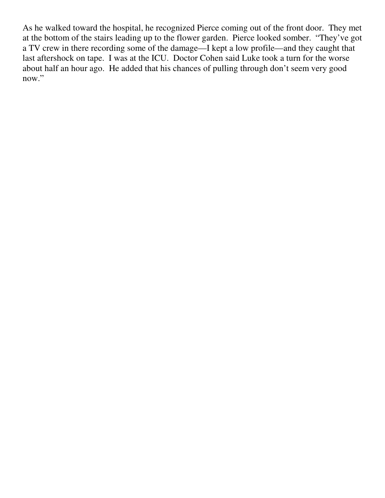As he walked toward the hospital, he recognized Pierce coming out of the front door. They met at the bottom of the stairs leading up to the flower garden. Pierce looked somber. "They've got a TV crew in there recording some of the damage—I kept a low profile—and they caught that last aftershock on tape. I was at the ICU. Doctor Cohen said Luke took a turn for the worse about half an hour ago. He added that his chances of pulling through don't seem very good now."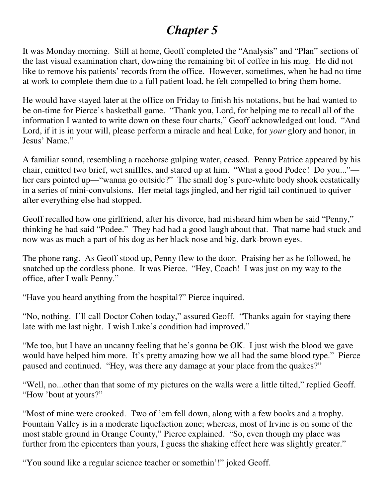# *Chapter 5*

It was Monday morning. Still at home, Geoff completed the "Analysis" and "Plan" sections of the last visual examination chart, downing the remaining bit of coffee in his mug. He did not like to remove his patients' records from the office. However, sometimes, when he had no time at work to complete them due to a full patient load, he felt compelled to bring them home.

He would have stayed later at the office on Friday to finish his notations, but he had wanted to be on-time for Pierce's basketball game. "Thank you, Lord, for helping me to recall all of the information I wanted to write down on these four charts," Geoff acknowledged out loud. "And Lord, if it is in your will, please perform a miracle and heal Luke, for *your* glory and honor, in Jesus' Name."

A familiar sound, resembling a racehorse gulping water, ceased. Penny Patrice appeared by his chair, emitted two brief, wet sniffles, and stared up at him. "What a good Podee! Do you..." her ears pointed up—"wanna go outside?" The small dog's pure-white body shook ecstatically in a series of mini-convulsions. Her metal tags jingled, and her rigid tail continued to quiver after everything else had stopped.

Geoff recalled how one girlfriend, after his divorce, had misheard him when he said "Penny," thinking he had said "Podee." They had had a good laugh about that. That name had stuck and now was as much a part of his dog as her black nose and big, dark-brown eyes.

The phone rang. As Geoff stood up, Penny flew to the door. Praising her as he followed, he snatched up the cordless phone. It was Pierce. "Hey, Coach! I was just on my way to the office, after I walk Penny."

"Have you heard anything from the hospital?" Pierce inquired.

"No, nothing. I'll call Doctor Cohen today," assured Geoff. "Thanks again for staying there late with me last night. I wish Luke's condition had improved."

"Me too, but I have an uncanny feeling that he's gonna be OK. I just wish the blood we gave would have helped him more. It's pretty amazing how we all had the same blood type." Pierce paused and continued. "Hey, was there any damage at your place from the quakes?"

"Well, no...other than that some of my pictures on the walls were a little tilted," replied Geoff. "How 'bout at yours?"

"Most of mine were crooked. Two of 'em fell down, along with a few books and a trophy. Fountain Valley is in a moderate liquefaction zone; whereas, most of Irvine is on some of the most stable ground in Orange County," Pierce explained. "So, even though my place was further from the epicenters than yours, I guess the shaking effect here was slightly greater."

"You sound like a regular science teacher or somethin'!" joked Geoff.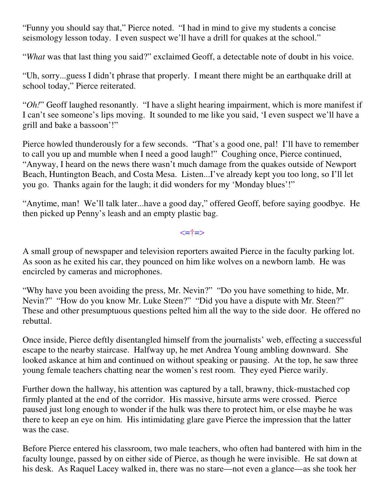"Funny you should say that," Pierce noted. "I had in mind to give my students a concise seismology lesson today. I even suspect we'll have a drill for quakes at the school."

"*What* was that last thing you said?" exclaimed Geoff, a detectable note of doubt in his voice.

"Uh, sorry...guess I didn't phrase that properly. I meant there might be an earthquake drill at school today," Pierce reiterated.

"*Oh!*" Geoff laughed resonantly. "I have a slight hearing impairment, which is more manifest if I can't see someone's lips moving. It sounded to me like you said, 'I even suspect we'll have a grill and bake a bassoon'!"

Pierce howled thunderously for a few seconds. "That's a good one, pal! I'll have to remember to call you up and mumble when I need a good laugh!" Coughing once, Pierce continued, "Anyway, I heard on the news there wasn't much damage from the quakes outside of Newport Beach, Huntington Beach, and Costa Mesa. Listen...I've already kept you too long, so I'll let you go. Thanks again for the laugh; it did wonders for my 'Monday blues'!"

"Anytime, man! We'll talk later...have a good day," offered Geoff, before saying goodbye. He then picked up Penny's leash and an empty plastic bag.

 $\le$   $\pm$   $\ge$ 

A small group of newspaper and television reporters awaited Pierce in the faculty parking lot. As soon as he exited his car, they pounced on him like wolves on a newborn lamb. He was encircled by cameras and microphones.

"Why have you been avoiding the press, Mr. Nevin?" "Do you have something to hide, Mr. Nevin?" "How do you know Mr. Luke Steen?" "Did you have a dispute with Mr. Steen?" These and other presumptuous questions pelted him all the way to the side door. He offered no rebuttal.

Once inside, Pierce deftly disentangled himself from the journalists' web, effecting a successful escape to the nearby staircase. Halfway up, he met Andrea Young ambling downward. She looked askance at him and continued on without speaking or pausing. At the top, he saw three young female teachers chatting near the women's rest room. They eyed Pierce warily.

Further down the hallway, his attention was captured by a tall, brawny, thick-mustached cop firmly planted at the end of the corridor. His massive, hirsute arms were crossed. Pierce paused just long enough to wonder if the hulk was there to protect him, or else maybe he was there to keep an eye on him. His intimidating glare gave Pierce the impression that the latter was the case.

Before Pierce entered his classroom, two male teachers, who often had bantered with him in the faculty lounge, passed by on either side of Pierce, as though he were invisible. He sat down at his desk. As Raquel Lacey walked in, there was no stare—not even a glance—as she took her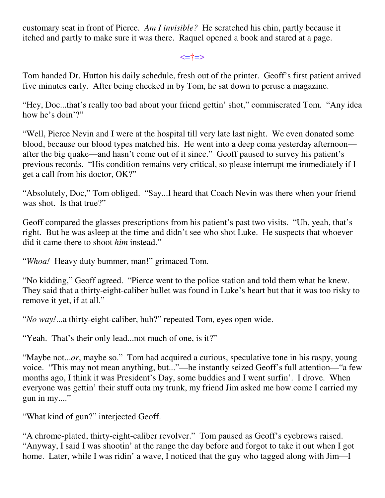customary seat in front of Pierce. *Am I invisible?* He scratched his chin, partly because it itched and partly to make sure it was there. Raquel opened a book and stared at a page.

<=†=>

Tom handed Dr. Hutton his daily schedule, fresh out of the printer. Geoff's first patient arrived five minutes early. After being checked in by Tom, he sat down to peruse a magazine.

"Hey, Doc...that's really too bad about your friend gettin' shot," commiserated Tom. "Any idea how he's doin'?"

"Well, Pierce Nevin and I were at the hospital till very late last night. We even donated some blood, because our blood types matched his. He went into a deep coma yesterday afternoon after the big quake—and hasn't come out of it since." Geoff paused to survey his patient's previous records. "His condition remains very critical, so please interrupt me immediately if I get a call from his doctor, OK?"

"Absolutely, Doc," Tom obliged. "Say...I heard that Coach Nevin was there when your friend was shot. Is that true?"

Geoff compared the glasses prescriptions from his patient's past two visits. "Uh, yeah, that's right. But he was asleep at the time and didn't see who shot Luke. He suspects that whoever did it came there to shoot *him* instead."

"*Whoa!* Heavy duty bummer, man!" grimaced Tom.

"No kidding," Geoff agreed. "Pierce went to the police station and told them what he knew. They said that a thirty-eight-caliber bullet was found in Luke's heart but that it was too risky to remove it yet, if at all."

"*No way!*...a thirty-eight-caliber, huh?" repeated Tom, eyes open wide.

"Yeah. That's their only lead...not much of one, is it?"

"Maybe not...*or*, maybe so." Tom had acquired a curious, speculative tone in his raspy, young voice. "This may not mean anything, but..."—he instantly seized Geoff's full attention—"a few months ago, I think it was President's Day, some buddies and I went surfin'. I drove. When everyone was gettin' their stuff outa my trunk, my friend Jim asked me how come I carried my gun in my...."

"What kind of gun?" interjected Geoff.

"A chrome-plated, thirty-eight-caliber revolver." Tom paused as Geoff's eyebrows raised. "Anyway, I said I was shootin' at the range the day before and forgot to take it out when I got home. Later, while I was ridin' a wave, I noticed that the guy who tagged along with Jim—I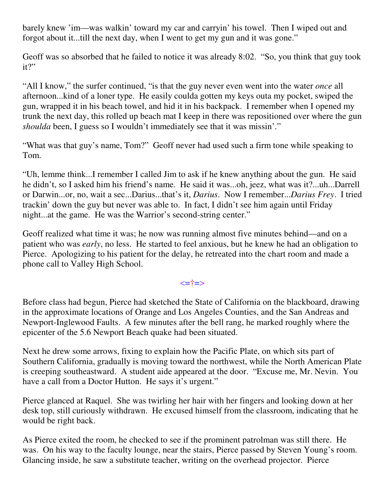barely knew 'im—was walkin' toward my car and carryin' his towel. Then I wiped out and forgot about it...till the next day, when I went to get my gun and it was gone."

Geoff was so absorbed that he failed to notice it was already 8:02. "So, you think that guy took it?"

"All I know," the surfer continued, "is that the guy never even went into the water *once* all afternoon...kind of a loner type. He easily coulda gotten my keys outa my pocket, swiped the gun, wrapped it in his beach towel, and hid it in his backpack. I remember when I opened my trunk the next day, this rolled up beach mat I keep in there was repositioned over where the gun *shoulda* been, I guess so I wouldn't immediately see that it was missin'."

"What was that guy's name, Tom?" Geoff never had used such a firm tone while speaking to Tom.

"Uh, lemme think...I remember I called Jim to ask if he knew anything about the gun. He said he didn't, so I asked him his friend's name. He said it was...oh, jeez, what was it?...uh...Darrell or Darwin...or, no, wait a sec...Darius...that's it, *Darius*. Now I remember...*Darius Frey*. I tried trackin' down the guy but never was able to. In fact, I didn't see him again until Friday night...at the game. He was the Warrior's second-string center."

Geoff realized what time it was; he now was running almost five minutes behind—and on a patient who was *early*, no less. He started to feel anxious, but he knew he had an obligation to Pierce. Apologizing to his patient for the delay, he retreated into the chart room and made a phone call to Valley High School.

#### <=†=>

Before class had begun, Pierce had sketched the State of California on the blackboard, drawing in the approximate locations of Orange and Los Angeles Counties, and the San Andreas and Newport-Inglewood Faults. A few minutes after the bell rang, he marked roughly where the epicenter of the 5.6 Newport Beach quake had been situated.

Next he drew some arrows, fixing to explain how the Pacific Plate, on which sits part of Southern California, gradually is moving toward the northwest, while the North American Plate is creeping southeastward. A student aide appeared at the door. "Excuse me, Mr. Nevin. You have a call from a Doctor Hutton. He says it's urgent."

Pierce glanced at Raquel. She was twirling her hair with her fingers and looking down at her desk top, still curiously withdrawn. He excused himself from the classroom, indicating that he would be right back.

As Pierce exited the room, he checked to see if the prominent patrolman was still there. He was. On his way to the faculty lounge, near the stairs, Pierce passed by Steven Young's room. Glancing inside, he saw a substitute teacher, writing on the overhead projector. Pierce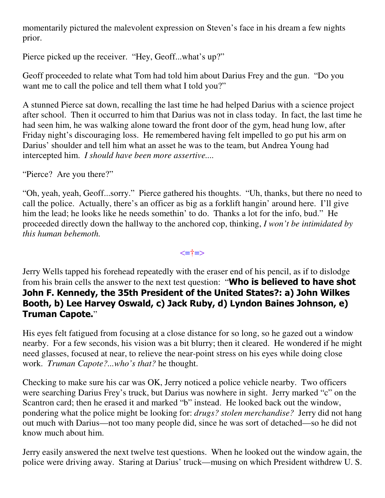momentarily pictured the malevolent expression on Steven's face in his dream a few nights prior.

Pierce picked up the receiver. "Hey, Geoff...what's up?"

Geoff proceeded to relate what Tom had told him about Darius Frey and the gun. "Do you want me to call the police and tell them what I told you?"

A stunned Pierce sat down, recalling the last time he had helped Darius with a science project after school. Then it occurred to him that Darius was not in class today. In fact, the last time he had seen him, he was walking alone toward the front door of the gym, head hung low, after Friday night's discouraging loss. He remembered having felt impelled to go put his arm on Darius' shoulder and tell him what an asset he was to the team, but Andrea Young had intercepted him. *I should have been more assertive....*

"Pierce? Are you there?"

"Oh, yeah, yeah, Geoff...sorry." Pierce gathered his thoughts. "Uh, thanks, but there no need to call the police. Actually, there's an officer as big as a forklift hangin' around here. I'll give him the lead; he looks like he needs somethin' to do. Thanks a lot for the info, bud." He proceeded directly down the hallway to the anchored cop, thinking, *I won't be intimidated by this human behemoth.*

<=†=>

Jerry Wells tapped his forehead repeatedly with the eraser end of his pencil, as if to dislodge from his brain cells the answer to the next test question: "Who is believed to have shot John F. Kennedy, the 35th President of the United States?: a) John Wilkes Booth, b) Lee Harvey Oswald, c) Jack Ruby, d) Lyndon Baines Johnson, e) Truman Capote."

His eyes felt fatigued from focusing at a close distance for so long, so he gazed out a window nearby. For a few seconds, his vision was a bit blurry; then it cleared. He wondered if he might need glasses, focused at near, to relieve the near-point stress on his eyes while doing close work. *Truman Capote?...who's that?* he thought.

Checking to make sure his car was OK, Jerry noticed a police vehicle nearby. Two officers were searching Darius Frey's truck, but Darius was nowhere in sight. Jerry marked "c" on the Scantron card; then he erased it and marked "b" instead. He looked back out the window, pondering what the police might be looking for: *drugs? stolen merchandise?* Jerry did not hang out much with Darius—not too many people did, since he was sort of detached—so he did not know much about him.

Jerry easily answered the next twelve test questions. When he looked out the window again, the police were driving away. Staring at Darius' truck—musing on which President withdrew U. S.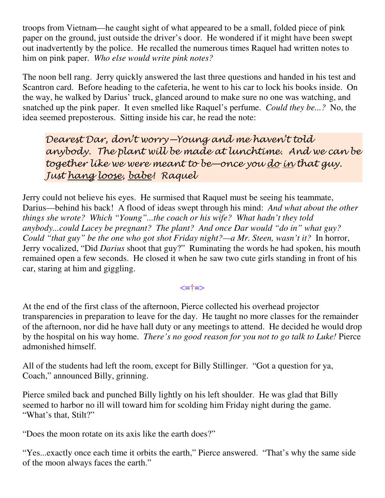troops from Vietnam—he caught sight of what appeared to be a small, folded piece of pink paper on the ground, just outside the driver's door. He wondered if it might have been swept out inadvertently by the police. He recalled the numerous times Raquel had written notes to him on pink paper. *Who else would write pink notes?*

The noon bell rang. Jerry quickly answered the last three questions and handed in his test and Scantron card. Before heading to the cafeteria, he went to his car to lock his books inside. On the way, he walked by Darius' truck, glanced around to make sure no one was watching, and snatched up the pink paper. It even smelled like Raquel's perfume. *Could they be...?* No, the idea seemed preposterous. Sitting inside his car, he read the note:

Dearest Dar, don't worry—Young and me haven't told anybody. The plant will be made at lunchtime. And we can be together like we were meant to be—once you <u>do in</u> that guy. Just hang loose, babe! Raquel

Jerry could not believe his eyes. He surmised that Raquel must be seeing his teammate, Darius—behind his back! A flood of ideas swept through his mind: *And what about the other things she wrote? Which "Young"...the coach or his wife? What hadn't they told anybody...could Lacey be pregnant? The plant? And once Dar would "do in" what guy? Could "that guy" be the one who got shot Friday night?—a Mr. Steen, wasn't it?* In horror, Jerry vocalized, "Did *Darius* shoot that guy?" Ruminating the words he had spoken, his mouth remained open a few seconds. He closed it when he saw two cute girls standing in front of his car, staring at him and giggling.

### <=†=>

At the end of the first class of the afternoon, Pierce collected his overhead projector transparencies in preparation to leave for the day. He taught no more classes for the remainder of the afternoon, nor did he have hall duty or any meetings to attend. He decided he would drop by the hospital on his way home. *There's no good reason for you not to go talk to Luke!* Pierce admonished himself.

All of the students had left the room, except for Billy Stillinger. "Got a question for ya, Coach," announced Billy, grinning.

Pierce smiled back and punched Billy lightly on his left shoulder. He was glad that Billy seemed to harbor no ill will toward him for scolding him Friday night during the game. "What's that, Stilt?"

"Does the moon rotate on its axis like the earth does?"

"Yes...exactly once each time it orbits the earth," Pierce answered. "That's why the same side of the moon always faces the earth."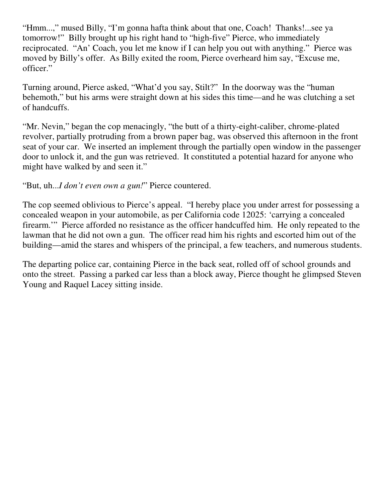"Hmm...," mused Billy, "I'm gonna hafta think about that one, Coach! Thanks!...see ya tomorrow!" Billy brought up his right hand to "high-five" Pierce, who immediately reciprocated. "An' Coach, you let me know if I can help you out with anything." Pierce was moved by Billy's offer. As Billy exited the room, Pierce overheard him say, "Excuse me, officer."

Turning around, Pierce asked, "What'd you say, Stilt?" In the doorway was the "human behemoth," but his arms were straight down at his sides this time—and he was clutching a set of handcuffs.

"Mr. Nevin," began the cop menacingly, "the butt of a thirty-eight-caliber, chrome-plated revolver, partially protruding from a brown paper bag, was observed this afternoon in the front seat of your car. We inserted an implement through the partially open window in the passenger door to unlock it, and the gun was retrieved. It constituted a potential hazard for anyone who might have walked by and seen it."

"But, uh...*I don't even own a gun!*" Pierce countered.

The cop seemed oblivious to Pierce's appeal. "I hereby place you under arrest for possessing a concealed weapon in your automobile, as per California code 12025: 'carrying a concealed firearm.'" Pierce afforded no resistance as the officer handcuffed him. He only repeated to the lawman that he did not own a gun. The officer read him his rights and escorted him out of the building—amid the stares and whispers of the principal, a few teachers, and numerous students.

The departing police car, containing Pierce in the back seat, rolled off of school grounds and onto the street. Passing a parked car less than a block away, Pierce thought he glimpsed Steven Young and Raquel Lacey sitting inside.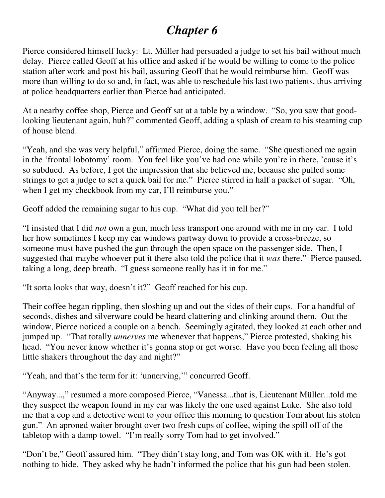# *Chapter 6*

Pierce considered himself lucky: Lt. Müller had persuaded a judge to set his bail without much delay. Pierce called Geoff at his office and asked if he would be willing to come to the police station after work and post his bail, assuring Geoff that he would reimburse him. Geoff was more than willing to do so and, in fact, was able to reschedule his last two patients, thus arriving at police headquarters earlier than Pierce had anticipated.

At a nearby coffee shop, Pierce and Geoff sat at a table by a window. "So, you saw that goodlooking lieutenant again, huh?" commented Geoff, adding a splash of cream to his steaming cup of house blend.

"Yeah, and she was very helpful," affirmed Pierce, doing the same. "She questioned me again in the 'frontal lobotomy' room. You feel like you've had one while you're in there, 'cause it's so subdued. As before, I got the impression that she believed me, because she pulled some strings to get a judge to set a quick bail for me." Pierce stirred in half a packet of sugar. "Oh, when I get my checkbook from my car, I'll reimburse you."

Geoff added the remaining sugar to his cup. "What did you tell her?"

"I insisted that I did *not* own a gun, much less transport one around with me in my car. I told her how sometimes I keep my car windows partway down to provide a cross-breeze, so someone must have pushed the gun through the open space on the passenger side. Then, I suggested that maybe whoever put it there also told the police that it *was* there." Pierce paused, taking a long, deep breath. "I guess someone really has it in for me."

"It sorta looks that way, doesn't it?" Geoff reached for his cup.

Their coffee began rippling, then sloshing up and out the sides of their cups. For a handful of seconds, dishes and silverware could be heard clattering and clinking around them. Out the window, Pierce noticed a couple on a bench. Seemingly agitated, they looked at each other and jumped up. "That totally *unnerves* me whenever that happens," Pierce protested, shaking his head. "You never know whether it's gonna stop or get worse. Have you been feeling all those little shakers throughout the day and night?"

"Yeah, and that's the term for it: 'unnerving,'" concurred Geoff.

"Anyway...," resumed a more composed Pierce, "Vanessa...that is, Lieutenant Müller...told me they suspect the weapon found in my car was likely the one used against Luke. She also told me that a cop and a detective went to your office this morning to question Tom about his stolen gun." An aproned waiter brought over two fresh cups of coffee, wiping the spill off of the tabletop with a damp towel. "I'm really sorry Tom had to get involved."

"Don't be," Geoff assured him. "They didn't stay long, and Tom was OK with it. He's got nothing to hide. They asked why he hadn't informed the police that his gun had been stolen.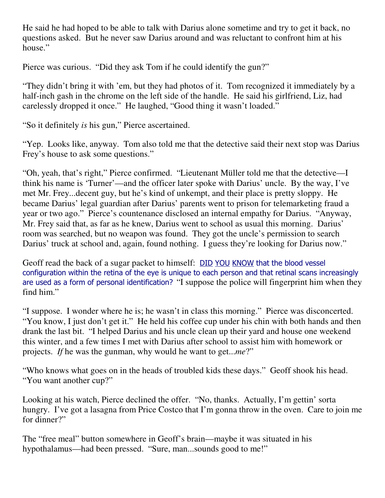He said he had hoped to be able to talk with Darius alone sometime and try to get it back, no questions asked. But he never saw Darius around and was reluctant to confront him at his house."

Pierce was curious. "Did they ask Tom if he could identify the gun?"

"They didn't bring it with 'em, but they had photos of it. Tom recognized it immediately by a half-inch gash in the chrome on the left side of the handle. He said his girlfriend, Liz, had carelessly dropped it once." He laughed, "Good thing it wasn't loaded."

"So it definitely *is* his gun," Pierce ascertained.

"Yep. Looks like, anyway. Tom also told me that the detective said their next stop was Darius Frey's house to ask some questions."

"Oh, yeah, that's right," Pierce confirmed. "Lieutenant Müller told me that the detective—I think his name is 'Turner'—and the officer later spoke with Darius' uncle. By the way, I've met Mr. Frey...decent guy, but he's kind of unkempt, and their place is pretty sloppy. He became Darius' legal guardian after Darius' parents went to prison for telemarketing fraud a year or two ago." Pierce's countenance disclosed an internal empathy for Darius. "Anyway, Mr. Frey said that, as far as he knew, Darius went to school as usual this morning. Darius' room was searched, but no weapon was found. They got the uncle's permission to search Darius' truck at school and, again, found nothing. I guess they're looking for Darius now."

Geoff read the back of a sugar packet to himself: DID YOU KNOW that the blood vessel configuration within the retina of the eye is unique to each person and that retinal scans increasingly are used as a form of personal identification? "I suppose the police will fingerprint him when they find him."

"I suppose. I wonder where he is; he wasn't in class this morning." Pierce was disconcerted. "You know, I just don't get it." He held his coffee cup under his chin with both hands and then drank the last bit. "I helped Darius and his uncle clean up their yard and house one weekend this winter, and a few times I met with Darius after school to assist him with homework or projects. *If* he was the gunman, why would he want to get...*me*?"

"Who knows what goes on in the heads of troubled kids these days." Geoff shook his head. "You want another cup?"

Looking at his watch, Pierce declined the offer. "No, thanks. Actually, I'm gettin' sorta hungry. I've got a lasagna from Price Costco that I'm gonna throw in the oven. Care to join me for dinner?"

The "free meal" button somewhere in Geoff's brain—maybe it was situated in his hypothalamus—had been pressed. "Sure, man...sounds good to me!"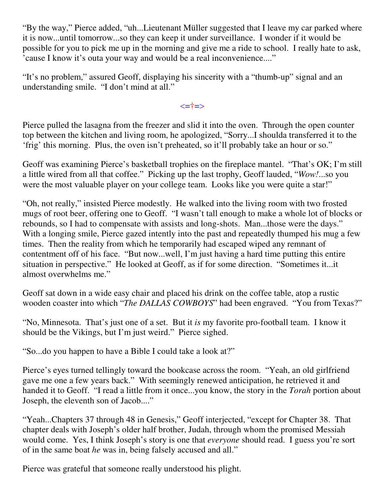"By the way," Pierce added, "uh...Lieutenant Müller suggested that I leave my car parked where it is now...until tomorrow...so they can keep it under surveillance. I wonder if it would be possible for you to pick me up in the morning and give me a ride to school. I really hate to ask, 'cause I know it's outa your way and would be a real inconvenience...."

"It's no problem," assured Geoff, displaying his sincerity with a "thumb-up" signal and an understanding smile. "I don't mind at all."

<=†=>

Pierce pulled the lasagna from the freezer and slid it into the oven. Through the open counter top between the kitchen and living room, he apologized, "Sorry...I shoulda transferred it to the 'frig' this morning. Plus, the oven isn't preheated, so it'll probably take an hour or so."

Geoff was examining Pierce's basketball trophies on the fireplace mantel. "That's OK; I'm still a little wired from all that coffee." Picking up the last trophy, Geoff lauded, "*Wow!*...so you were the most valuable player on your college team. Looks like you were quite a star!"

"Oh, not really," insisted Pierce modestly. He walked into the living room with two frosted mugs of root beer, offering one to Geoff. "I wasn't tall enough to make a whole lot of blocks or rebounds, so I had to compensate with assists and long-shots. Man...those were the days." With a longing smile, Pierce gazed intently into the past and repeatedly thumped his mug a few times. Then the reality from which he temporarily had escaped wiped any remnant of contentment off of his face. "But now...well, I'm just having a hard time putting this entire situation in perspective." He looked at Geoff, as if for some direction. "Sometimes it...it almost overwhelms me."

Geoff sat down in a wide easy chair and placed his drink on the coffee table, atop a rustic wooden coaster into which "*The DALLAS COWBOYS*" had been engraved. "You from Texas?"

"No, Minnesota. That's just one of a set. But it *is* my favorite pro-football team. I know it should be the Vikings, but I'm just weird." Pierce sighed.

"So...do you happen to have a Bible I could take a look at?"

Pierce's eyes turned tellingly toward the bookcase across the room. "Yeah, an old girlfriend gave me one a few years back." With seemingly renewed anticipation, he retrieved it and handed it to Geoff. "I read a little from it once...you know, the story in the *Torah* portion about Joseph, the eleventh son of Jacob...."

"Yeah...Chapters 37 through 48 in Genesis," Geoff interjected, "except for Chapter 38. That chapter deals with Joseph's older half brother, Judah, through whom the promised Messiah would come. Yes, I think Joseph's story is one that *everyone* should read. I guess you're sort of in the same boat *he* was in, being falsely accused and all."

Pierce was grateful that someone really understood his plight.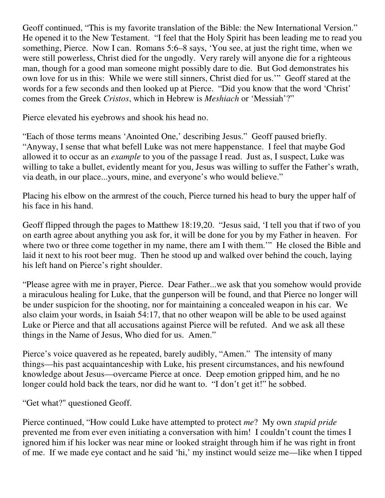Geoff continued, "This is my favorite translation of the Bible: the New International Version." He opened it to the New Testament. "I feel that the Holy Spirit has been leading me to read you something, Pierce. Now I can. Romans 5:6–8 says, 'You see, at just the right time, when we were still powerless, Christ died for the ungodly. Very rarely will anyone die for a righteous man, though for a good man someone might possibly dare to die. But God demonstrates his own love for us in this: While we were still sinners, Christ died for us.'" Geoff stared at the words for a few seconds and then looked up at Pierce. "Did you know that the word 'Christ' comes from the Greek *Cristos*, which in Hebrew is *Meshiach* or 'Messiah'?"

Pierce elevated his eyebrows and shook his head no.

"Each of those terms means 'Anointed One,' describing Jesus." Geoff paused briefly. "Anyway, I sense that what befell Luke was not mere happenstance. I feel that maybe God allowed it to occur as an *example* to you of the passage I read. Just as, I suspect, Luke was willing to take a bullet, evidently meant for you, Jesus was willing to suffer the Father's wrath, via death, in our place...yours, mine, and everyone's who would believe."

Placing his elbow on the armrest of the couch, Pierce turned his head to bury the upper half of his face in his hand.

Geoff flipped through the pages to Matthew 18:19,20. "Jesus said, 'I tell you that if two of you on earth agree about anything you ask for, it will be done for you by my Father in heaven. For where two or three come together in my name, there am I with them." He closed the Bible and laid it next to his root beer mug. Then he stood up and walked over behind the couch, laying his left hand on Pierce's right shoulder.

"Please agree with me in prayer, Pierce. Dear Father...we ask that you somehow would provide a miraculous healing for Luke, that the gunperson will be found, and that Pierce no longer will be under suspicion for the shooting, nor for maintaining a concealed weapon in his car. We also claim your words, in Isaiah 54:17, that no other weapon will be able to be used against Luke or Pierce and that all accusations against Pierce will be refuted. And we ask all these things in the Name of Jesus, Who died for us. Amen."

Pierce's voice quavered as he repeated, barely audibly, "Amen." The intensity of many things—his past acquaintanceship with Luke, his present circumstances, and his newfound knowledge about Jesus—overcame Pierce at once. Deep emotion gripped him, and he no longer could hold back the tears, nor did he want to. "I don't get it!" he sobbed.

"Get what?" questioned Geoff.

Pierce continued, "How could Luke have attempted to protect *me*? My own *stupid pride* prevented me from ever even initiating a conversation with him! I couldn't count the times I ignored him if his locker was near mine or looked straight through him if he was right in front of me. If we made eye contact and he said 'hi,' my instinct would seize me—like when I tipped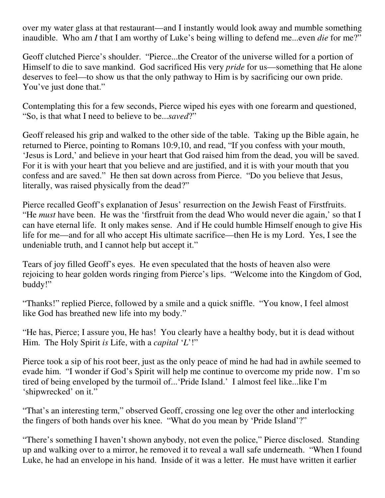over my water glass at that restaurant—and I instantly would look away and mumble something inaudible. Who am *I* that I am worthy of Luke's being willing to defend me...even *die* for me?"

Geoff clutched Pierce's shoulder. "Pierce...the Creator of the universe willed for a portion of Himself to die to save mankind. God sacrificed His very *pride* for us—something that He alone deserves to feel—to show us that the only pathway to Him is by sacrificing our own pride. You've just done that."

Contemplating this for a few seconds, Pierce wiped his eyes with one forearm and questioned, "So, is that what I need to believe to be...*saved*?"

Geoff released his grip and walked to the other side of the table. Taking up the Bible again, he returned to Pierce, pointing to Romans 10:9,10, and read, "If you confess with your mouth, 'Jesus is Lord,' and believe in your heart that God raised him from the dead, you will be saved. For it is with your heart that you believe and are justified, and it is with your mouth that you confess and are saved." He then sat down across from Pierce. "Do you believe that Jesus, literally, was raised physically from the dead?"

Pierce recalled Geoff's explanation of Jesus' resurrection on the Jewish Feast of Firstfruits. "He *must* have been. He was the 'firstfruit from the dead Who would never die again,' so that I can have eternal life. It only makes sense. And if He could humble Himself enough to give His life for me—and for all who accept His ultimate sacrifice—then He is my Lord. Yes, I see the undeniable truth, and I cannot help but accept it."

Tears of joy filled Geoff's eyes. He even speculated that the hosts of heaven also were rejoicing to hear golden words ringing from Pierce's lips. "Welcome into the Kingdom of God, buddy!"

"Thanks!" replied Pierce, followed by a smile and a quick sniffle. "You know, I feel almost like God has breathed new life into my body."

"He has, Pierce; I assure you, He has! You clearly have a healthy body, but it is dead without Him. The Holy Spirit *is* Life, with a *capital* '*L*'!"

Pierce took a sip of his root beer, just as the only peace of mind he had had in awhile seemed to evade him. "I wonder if God's Spirit will help me continue to overcome my pride now. I'm so tired of being enveloped by the turmoil of...'Pride Island.' I almost feel like...like I'm 'shipwrecked' on it."

"That's an interesting term," observed Geoff, crossing one leg over the other and interlocking the fingers of both hands over his knee. "What do you mean by 'Pride Island'?"

"There's something I haven't shown anybody, not even the police," Pierce disclosed. Standing up and walking over to a mirror, he removed it to reveal a wall safe underneath. "When I found Luke, he had an envelope in his hand. Inside of it was a letter. He must have written it earlier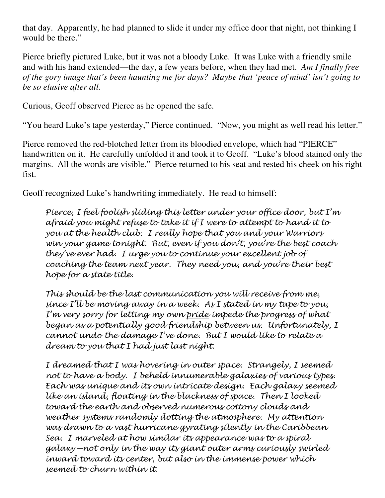that day. Apparently, he had planned to slide it under my office door that night, not thinking I would be there."

Pierce briefly pictured Luke, but it was not a bloody Luke. It was Luke with a friendly smile and with his hand extended—the day, a few years before, when they had met. *Am I finally free of the gory image that's been haunting me for days? Maybe that 'peace of mind' isn't going to be so elusive after all.*

Curious, Geoff observed Pierce as he opened the safe.

"You heard Luke's tape yesterday," Pierce continued. "Now, you might as well read his letter."

Pierce removed the red-blotched letter from its bloodied envelope, which had "PIERCE" handwritten on it. He carefully unfolded it and took it to Geoff. "Luke's blood stained only the margins. All the words are visible." Pierce returned to his seat and rested his cheek on his right fist.

Geoff recognized Luke's handwriting immediately. He read to himself:

Pierce, I feel foolish sliding this letter under your office door, but I'm afraid you might refuse to take it if I were to attempt to hand it to you at the health club. I really hope that you and your Warriors win your game tonight. But, even if you don't, you're the best coach they've ever had. I urge you to continue your excellent job of coaching the team next year. They need you, and you're their best hope for a state title.

This should be the last communication you will receive from me, since I'll be moving away in a week. As I stated in my tape to you, I'm very sorry for letting my own pride impede the progress of what began as a potentially good friendship between us. Unfortunately, I cannot undo the damage I've done. But I would like to relate a dream to you that I had just last night.

I dreamed that I was hovering in outer space. Strangely, I seemed not to have a body. I beheld innumerable galaxies of various types. Each was unique and its own intricate design. Each galaxy seemed like an island, floating in the blackness of space. Then I looked toward the earth and observed numerous cottony clouds and weather systems randomly dotting the atmosphere. My attention was drawn to a vast hurricane gyrating silently in the Caribbean Sea. I marveled at how similar its appearance was to a spiral galaxy—not only in the way its giant outer arms curiously swirled inward toward its center, but also in the immense power which seemed to churn within it.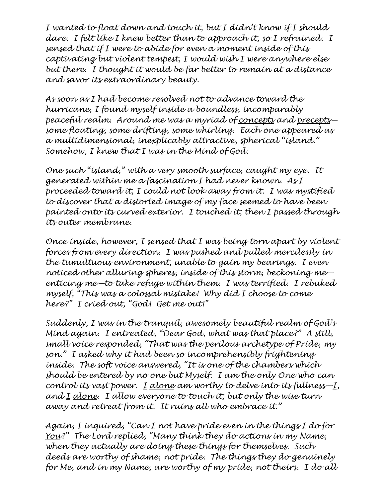I wanted to float down and touch it, but I didn't know if I should dare. I felt like I knew better than to approach it, so I refrained. I sensed that if I were to abide for even a moment inside of this captivating but violent tempest, I would wish I were anywhere else but there. I thought it would be far better to remain at a distance and savor its extraordinary beauty.

As soon as I had become resolved not to advance toward the hurricane, I found myself inside a boundless, incomparably peaceful realm. Around me was a myriad of concepts and preceptssome floating, some drifting, some whirling. Each one appeared as a multidimensional, inexplicably attractive, spherical "island." Somehow, I knew that I was in the Mind of God.

One such "island," with a very smooth surface, caught my eye. It generated within me a fascination I had never known. As I proceeded toward it, I could not look away from it. I was mystified to discover that a distorted image of my face seemed to have been painted onto its curved exterior. I touched it; then I passed through its outer membrane.

Once inside, however, I sensed that I was being torn apart by violent forces from every direction. I was pushed and pulled mercilessly in the tumultuous environment, unable to gain my bearings. I even noticed other alluring spheres, inside of this storm, beckoning me enticing me—to take refuge within them. I was terrified. I rebuked myself, "This was a colossal mistake! Why did I choose to come here?" I cried out, "God! Get me out!"

Suddenly, I was in the tranguil, awesomely beautiful realm of  $God's$ Mind again. I entreated, "Dear God, what was that place?" A still, small voice responded, "That was the perilous archetype of Pride, my son." I asked why it had been so incomprehensibly frightening inside. The soft voice answered, "It is one of the chambers which should be entered by no one but Myself. I am the only One who can control its vast power. I alone am worthy to delve into its fullness $-I$ , and  $I$  alone. I allow everyone to touch it; but only the wise turn away and retreat from it. It ruins all who embrace it."

Again, I inquired, "Can I not have pride even in the things I do for You?" The Lord replied, "Many think they do actions in my Name, when they actually are doing these things for themselves. Such deeds are worthy of shame, not pride. The things they do genuinely for Me, and in my Name, are worthy of my pride, not theirs. I do all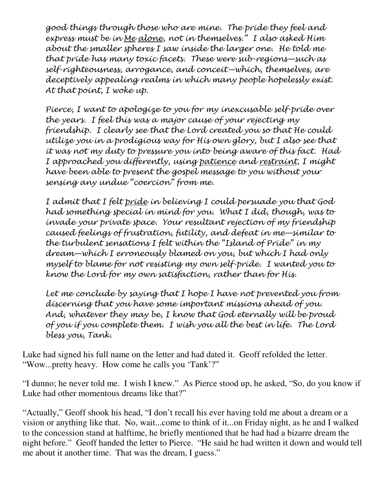good things through those who are mine. The pride they feel and express must be in Me alone, not in themselves." I also asked Him about the smaller spheres I saw inside the larger one. He told me that pride has many toxic facets. These were sub-regions—such as self-righteousness, arrogance, and conceit—which, themselves, are deceptively appealing realms in which many people hopelessly exist. At that point, I woke up.

Pierce, I want to apologize to you for my inexcusable self-pride over the years. I feel this was a major cause of your rejecting my friendship. I clearly see that the Lord created you so that He could utilize you in a prodigious way for His own glory, but I also see that it was not my duty to pressure you into being aware of this fact. Had I approached you differently, using patience and restraint, I might have been able to present the gospel message to you without your sensing any undue "coercion" from me.

I admit that I felt pride in believing I could persuade you that God had something special in mind for you. What I did, though, was to invade your private space. Your resultant rejection of my friendship caused feelings of frustration, futility, and defeat in me—similar to the turbulent sensations I felt within the "Island of Pride" in my dream—which I erroneously blamed on you, but which I had only myself to blame for not resisting my own self-pride. I wanted you to know the Lord for my own satisfaction, rather than for His.

Let me conclude by saying that I hope I have not prevented you from discerning that you have some important missions ahead of you. And, whatever they may be, I know that God eternally will be proud of you if you complete them. I wish you all the best in life. The Lord bless you, Tank.

Luke had signed his full name on the letter and had dated it. Geoff refolded the letter. "Wow...pretty heavy. How come he calls you 'Tank'?"

"I dunno; he never told me. I wish I knew." As Pierce stood up, he asked, "So, do you know if Luke had other momentous dreams like that?"

"Actually," Geoff shook his head, "I don't recall his ever having told me about a dream or a vision or anything like that. No, wait...come to think of it...on Friday night, as he and I walked to the concession stand at halftime, he briefly mentioned that he had had a bizarre dream the night before." Geoff handed the letter to Pierce. "He said he had written it down and would tell me about it another time. That was the dream, I guess."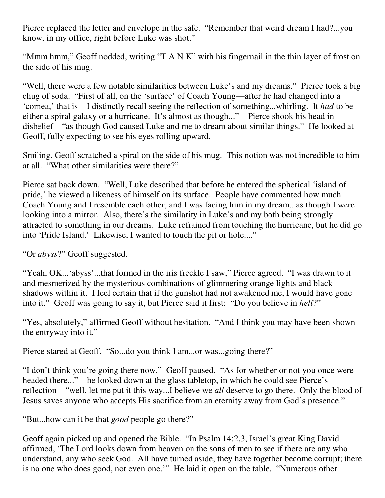Pierce replaced the letter and envelope in the safe. "Remember that weird dream I had?...you know, in my office, right before Luke was shot."

"Mmm hmm," Geoff nodded, writing "T A N K" with his fingernail in the thin layer of frost on the side of his mug.

"Well, there were a few notable similarities between Luke's and my dreams." Pierce took a big chug of soda. "First of all, on the 'surface' of Coach Young—after he had changed into a 'cornea,' that is—I distinctly recall seeing the reflection of something...whirling. It *had* to be either a spiral galaxy or a hurricane. It's almost as though..."—Pierce shook his head in disbelief—"as though God caused Luke and me to dream about similar things." He looked at Geoff, fully expecting to see his eyes rolling upward.

Smiling, Geoff scratched a spiral on the side of his mug. This notion was not incredible to him at all. "What other similarities were there?"

Pierce sat back down. "Well, Luke described that before he entered the spherical 'island of pride,' he viewed a likeness of himself on its surface. People have commented how much Coach Young and I resemble each other, and I was facing him in my dream...as though I were looking into a mirror. Also, there's the similarity in Luke's and my both being strongly attracted to something in our dreams. Luke refrained from touching the hurricane, but he did go into 'Pride Island.' Likewise, I wanted to touch the pit or hole...."

"Or *abyss*?" Geoff suggested.

"Yeah, OK...'abyss'...that formed in the iris freckle I saw," Pierce agreed. "I was drawn to it and mesmerized by the mysterious combinations of glimmering orange lights and black shadows within it. I feel certain that if the gunshot had not awakened me, I would have gone into it." Geoff was going to say it, but Pierce said it first: "Do you believe in *hell*?"

"Yes, absolutely," affirmed Geoff without hesitation. "And I think you may have been shown the entryway into it."

Pierce stared at Geoff. "So...do you think I am...or was...going there?"

"I don't think you're going there now." Geoff paused. "As for whether or not you once were headed there..."—he looked down at the glass tabletop, in which he could see Pierce's reflection—"well, let me put it this way...I believe we *all* deserve to go there. Only the blood of Jesus saves anyone who accepts His sacrifice from an eternity away from God's presence."

"But...how can it be that *good* people go there?"

Geoff again picked up and opened the Bible. "In Psalm 14:2,3, Israel's great King David affirmed, 'The Lord looks down from heaven on the sons of men to see if there are any who understand, any who seek God. All have turned aside, they have together become corrupt; there is no one who does good, not even one.'" He laid it open on the table. "Numerous other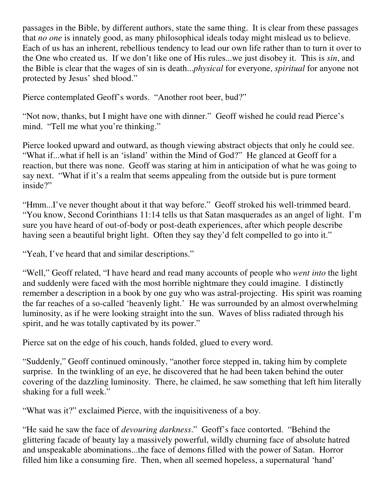passages in the Bible, by different authors, state the same thing. It is clear from these passages that *no one* is innately good, as many philosophical ideals today might mislead us to believe. Each of us has an inherent, rebellious tendency to lead our own life rather than to turn it over to the One who created us. If we don't like one of His rules...we just disobey it. This is *sin*, and the Bible is clear that the wages of sin is death...*physical* for everyone, *spiritual* for anyone not protected by Jesus' shed blood."

Pierce contemplated Geoff's words. "Another root beer, bud?"

"Not now, thanks, but I might have one with dinner." Geoff wished he could read Pierce's mind. "Tell me what you're thinking."

Pierce looked upward and outward, as though viewing abstract objects that only he could see. "What if...what if hell is an 'island' within the Mind of God?" He glanced at Geoff for a reaction, but there was none. Geoff was staring at him in anticipation of what he was going to say next. "What if it's a realm that seems appealing from the outside but is pure torment inside?"

"Hmm...I've never thought about it that way before." Geoff stroked his well-trimmed beard. "You know, Second Corinthians 11:14 tells us that Satan masquerades as an angel of light. I'm sure you have heard of out-of-body or post-death experiences, after which people describe having seen a beautiful bright light. Often they say they'd felt compelled to go into it."

"Yeah, I've heard that and similar descriptions."

"Well," Geoff related, "I have heard and read many accounts of people who *went into* the light and suddenly were faced with the most horrible nightmare they could imagine. I distinctly remember a description in a book by one guy who was astral-projecting. His spirit was roaming the far reaches of a so-called 'heavenly light.' He was surrounded by an almost overwhelming luminosity, as if he were looking straight into the sun. Waves of bliss radiated through his spirit, and he was totally captivated by its power."

Pierce sat on the edge of his couch, hands folded, glued to every word.

"Suddenly," Geoff continued ominously, "another force stepped in, taking him by complete surprise. In the twinkling of an eye, he discovered that he had been taken behind the outer covering of the dazzling luminosity. There, he claimed, he saw something that left him literally shaking for a full week."

"What was it?" exclaimed Pierce, with the inquisitiveness of a boy.

"He said he saw the face of *devouring darkness*." Geoff's face contorted. "Behind the glittering facade of beauty lay a massively powerful, wildly churning face of absolute hatred and unspeakable abominations...the face of demons filled with the power of Satan. Horror filled him like a consuming fire. Then, when all seemed hopeless, a supernatural 'hand'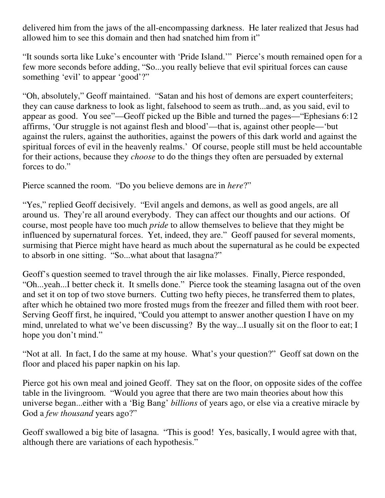delivered him from the jaws of the all-encompassing darkness. He later realized that Jesus had allowed him to see this domain and then had snatched him from it"

"It sounds sorta like Luke's encounter with 'Pride Island.'" Pierce's mouth remained open for a few more seconds before adding, "So...you really believe that evil spiritual forces can cause something 'evil' to appear 'good'?"

"Oh, absolutely," Geoff maintained. "Satan and his host of demons are expert counterfeiters; they can cause darkness to look as light, falsehood to seem as truth...and, as you said, evil to appear as good. You see"—Geoff picked up the Bible and turned the pages—"Ephesians 6:12 affirms, 'Our struggle is not against flesh and blood'—that is, against other people—'but against the rulers, against the authorities, against the powers of this dark world and against the spiritual forces of evil in the heavenly realms.' Of course, people still must be held accountable for their actions, because they *choose* to do the things they often are persuaded by external forces to do."

Pierce scanned the room. "Do you believe demons are in *here*?"

"Yes," replied Geoff decisively. "Evil angels and demons, as well as good angels, are all around us. They're all around everybody. They can affect our thoughts and our actions. Of course, most people have too much *pride* to allow themselves to believe that they might be influenced by supernatural forces. Yet, indeed, they are." Geoff paused for several moments, surmising that Pierce might have heard as much about the supernatural as he could be expected to absorb in one sitting. "So...what about that lasagna?"

Geoff's question seemed to travel through the air like molasses. Finally, Pierce responded, "Oh...yeah...I better check it. It smells done." Pierce took the steaming lasagna out of the oven and set it on top of two stove burners. Cutting two hefty pieces, he transferred them to plates, after which he obtained two more frosted mugs from the freezer and filled them with root beer. Serving Geoff first, he inquired, "Could you attempt to answer another question I have on my mind, unrelated to what we've been discussing? By the way...I usually sit on the floor to eat; I hope you don't mind."

"Not at all. In fact, I do the same at my house. What's your question?" Geoff sat down on the floor and placed his paper napkin on his lap.

Pierce got his own meal and joined Geoff. They sat on the floor, on opposite sides of the coffee table in the livingroom. "Would you agree that there are two main theories about how this universe began...either with a 'Big Bang' *billions* of years ago, or else via a creative miracle by God a *few thousand* years ago?"

Geoff swallowed a big bite of lasagna. "This is good! Yes, basically, I would agree with that, although there are variations of each hypothesis."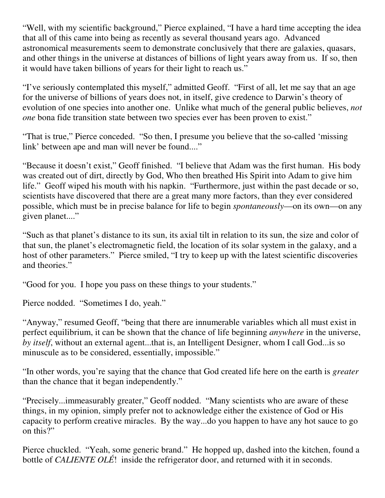"Well, with my scientific background," Pierce explained, "I have a hard time accepting the idea that all of this came into being as recently as several thousand years ago. Advanced astronomical measurements seem to demonstrate conclusively that there are galaxies, quasars, and other things in the universe at distances of billions of light years away from us. If so, then it would have taken billions of years for their light to reach us."

"I've seriously contemplated this myself," admitted Geoff. "First of all, let me say that an age for the universe of billions of years does not, in itself, give credence to Darwin's theory of evolution of one species into another one. Unlike what much of the general public believes, *not one* bona fide transition state between two species ever has been proven to exist."

"That is true," Pierce conceded. "So then, I presume you believe that the so-called 'missing link' between ape and man will never be found...."

"Because it doesn't exist," Geoff finished. "I believe that Adam was the first human. His body was created out of dirt, directly by God, Who then breathed His Spirit into Adam to give him life." Geoff wiped his mouth with his napkin. "Furthermore, just within the past decade or so, scientists have discovered that there are a great many more factors, than they ever considered possible, which must be in precise balance for life to begin *spontaneously*—on its own—on any given planet...."

"Such as that planet's distance to its sun, its axial tilt in relation to its sun, the size and color of that sun, the planet's electromagnetic field, the location of its solar system in the galaxy, and a host of other parameters." Pierce smiled, "I try to keep up with the latest scientific discoveries and theories."

"Good for you. I hope you pass on these things to your students."

Pierce nodded. "Sometimes I do, yeah."

"Anyway," resumed Geoff, "being that there are innumerable variables which all must exist in perfect equilibrium, it can be shown that the chance of life beginning *anywhere* in the universe, *by itself*, without an external agent...that is, an Intelligent Designer, whom I call God...is so minuscule as to be considered, essentially, impossible."

"In other words, you're saying that the chance that God created life here on the earth is *greater* than the chance that it began independently."

"Precisely...immeasurably greater," Geoff nodded. "Many scientists who are aware of these things, in my opinion, simply prefer not to acknowledge either the existence of God or His capacity to perform creative miracles. By the way...do you happen to have any hot sauce to go on this?"

Pierce chuckled. "Yeah, some generic brand." He hopped up, dashed into the kitchen, found a bottle of *CALIENTE OLÉ*! inside the refrigerator door, and returned with it in seconds.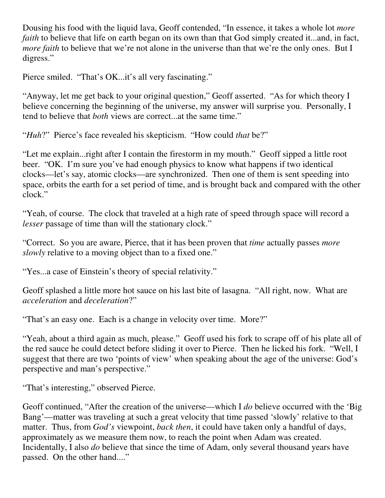Dousing his food with the liquid lava, Geoff contended, "In essence, it takes a whole lot *more faith* to believe that life on earth began on its own than that God simply created it...and, in fact, *more faith* to believe that we're not alone in the universe than that we're the only ones. But I digress."

Pierce smiled. "That's OK...it's all very fascinating."

"Anyway, let me get back to your original question," Geoff asserted. "As for which theory I believe concerning the beginning of the universe, my answer will surprise you. Personally, I tend to believe that *both* views are correct...at the same time."

"*Huh*?" Pierce's face revealed his skepticism. "How could *that* be?"

"Let me explain...right after I contain the firestorm in my mouth." Geoff sipped a little root beer. "OK. I'm sure you've had enough physics to know what happens if two identical clocks—let's say, atomic clocks—are synchronized. Then one of them is sent speeding into space, orbits the earth for a set period of time, and is brought back and compared with the other clock."

"Yeah, of course. The clock that traveled at a high rate of speed through space will record a *lesser* passage of time than will the stationary clock."

"Correct. So you are aware, Pierce, that it has been proven that *time* actually passes *more slowly* relative to a moving object than to a fixed one."

"Yes...a case of Einstein's theory of special relativity."

Geoff splashed a little more hot sauce on his last bite of lasagna. "All right, now. What are *acceleration* and *deceleration*?"

"That's an easy one. Each is a change in velocity over time. More?"

"Yeah, about a third again as much, please." Geoff used his fork to scrape off of his plate all of the red sauce he could detect before sliding it over to Pierce. Then he licked his fork. "Well, I suggest that there are two 'points of view' when speaking about the age of the universe: God's perspective and man's perspective."

"That's interesting," observed Pierce.

Geoff continued, "After the creation of the universe—which I *do* believe occurred with the 'Big Bang'—matter was traveling at such a great velocity that time passed 'slowly' relative to that matter. Thus, from *God's* viewpoint, *back then*, it could have taken only a handful of days, approximately as we measure them now, to reach the point when Adam was created. Incidentally, I also *do* believe that since the time of Adam, only several thousand years have passed. On the other hand...."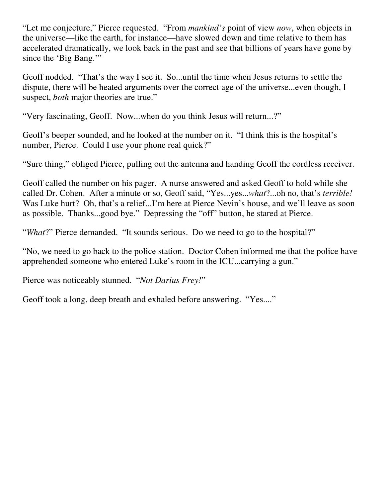"Let me conjecture," Pierce requested. "From *mankind's* point of view *now*, when objects in the universe—like the earth, for instance—have slowed down and time relative to them has accelerated dramatically, we look back in the past and see that billions of years have gone by since the 'Big Bang.'"

Geoff nodded. "That's the way I see it. So...until the time when Jesus returns to settle the dispute, there will be heated arguments over the correct age of the universe...even though, I suspect, *both* major theories are true."

"Very fascinating, Geoff. Now...when do you think Jesus will return...?"

Geoff's beeper sounded, and he looked at the number on it. "I think this is the hospital's number, Pierce. Could I use your phone real quick?"

"Sure thing," obliged Pierce, pulling out the antenna and handing Geoff the cordless receiver.

Geoff called the number on his pager. A nurse answered and asked Geoff to hold while she called Dr. Cohen. After a minute or so, Geoff said, "Yes...yes...*what*?...oh no, that's *terrible!* Was Luke hurt? Oh, that's a relief...I'm here at Pierce Nevin's house, and we'll leave as soon as possible. Thanks...good bye." Depressing the "off" button, he stared at Pierce.

"*What*?" Pierce demanded. "It sounds serious. Do we need to go to the hospital?"

"No, we need to go back to the police station. Doctor Cohen informed me that the police have apprehended someone who entered Luke's room in the ICU...carrying a gun."

Pierce was noticeably stunned. "*Not Darius Frey!*"

Geoff took a long, deep breath and exhaled before answering. "Yes...."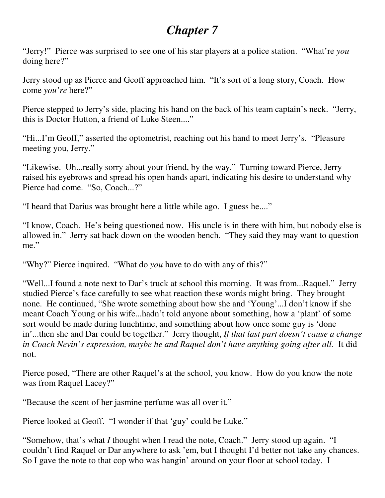# *Chapter 7*

"Jerry!" Pierce was surprised to see one of his star players at a police station. "What're *you* doing here?"

Jerry stood up as Pierce and Geoff approached him. "It's sort of a long story, Coach. How come *you're* here?"

Pierce stepped to Jerry's side, placing his hand on the back of his team captain's neck. "Jerry, this is Doctor Hutton, a friend of Luke Steen...."

"Hi...I'm Geoff," asserted the optometrist, reaching out his hand to meet Jerry's. "Pleasure meeting you, Jerry."

"Likewise. Uh...really sorry about your friend, by the way." Turning toward Pierce, Jerry raised his eyebrows and spread his open hands apart, indicating his desire to understand why Pierce had come. "So, Coach...?"

"I heard that Darius was brought here a little while ago. I guess he...."

"I know, Coach. He's being questioned now. His uncle is in there with him, but nobody else is allowed in." Jerry sat back down on the wooden bench. "They said they may want to question me."

"Why?" Pierce inquired. "What do *you* have to do with any of this?"

"Well...I found a note next to Dar's truck at school this morning. It was from...Raquel." Jerry studied Pierce's face carefully to see what reaction these words might bring. They brought none. He continued, "She wrote something about how she and 'Young'...I don't know if she meant Coach Young or his wife...hadn't told anyone about something, how a 'plant' of some sort would be made during lunchtime, and something about how once some guy is 'done in'...then she and Dar could be together." Jerry thought, *If that last part doesn't cause a change in Coach Nevin's expression, maybe he and Raquel don't have anything going after all.* It did not.

Pierce posed, "There are other Raquel's at the school, you know. How do you know the note was from Raquel Lacey?"

"Because the scent of her jasmine perfume was all over it."

Pierce looked at Geoff. "I wonder if that 'guy' could be Luke."

"Somehow, that's what *I* thought when I read the note, Coach." Jerry stood up again. "I couldn't find Raquel or Dar anywhere to ask 'em, but I thought I'd better not take any chances. So I gave the note to that cop who was hangin' around on your floor at school today. I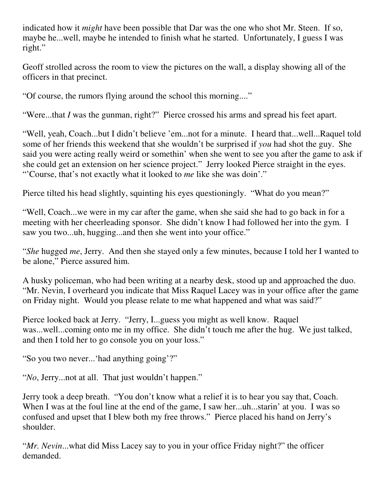indicated how it *might* have been possible that Dar was the one who shot Mr. Steen. If so, maybe he...well, maybe he intended to finish what he started. Unfortunately, I guess I was right."

Geoff strolled across the room to view the pictures on the wall, a display showing all of the officers in that precinct.

"Of course, the rumors flying around the school this morning...."

"Were...that *I* was the gunman, right?" Pierce crossed his arms and spread his feet apart.

"Well, yeah, Coach...but I didn't believe 'em...not for a minute. I heard that...well...Raquel told some of her friends this weekend that she wouldn't be surprised if *you* had shot the guy. She said you were acting really weird or somethin' when she went to see you after the game to ask if she could get an extension on her science project." Jerry looked Pierce straight in the eyes. "'Course, that's not exactly what it looked to *me* like she was doin'."

Pierce tilted his head slightly, squinting his eyes questioningly. "What do you mean?"

"Well, Coach...we were in my car after the game, when she said she had to go back in for a meeting with her cheerleading sponsor. She didn't know I had followed her into the gym. I saw you two...uh, hugging...and then she went into your office."

"*She* hugged *me*, Jerry. And then she stayed only a few minutes, because I told her I wanted to be alone," Pierce assured him.

A husky policeman, who had been writing at a nearby desk, stood up and approached the duo. "Mr. Nevin, I overheard you indicate that Miss Raquel Lacey was in your office after the game on Friday night. Would you please relate to me what happened and what was said?"

Pierce looked back at Jerry. "Jerry, I...guess you might as well know. Raquel was...well...coming onto me in my office. She didn't touch me after the hug. We just talked, and then I told her to go console you on your loss."

"So you two never...'had anything going'?"

"*No*, Jerry...not at all. That just wouldn't happen."

Jerry took a deep breath. "You don't know what a relief it is to hear you say that, Coach. When I was at the foul line at the end of the game, I saw her...uh...starin' at you. I was so confused and upset that I blew both my free throws." Pierce placed his hand on Jerry's shoulder.

"*Mr. Nevin*...what did Miss Lacey say to you in your office Friday night?" the officer demanded.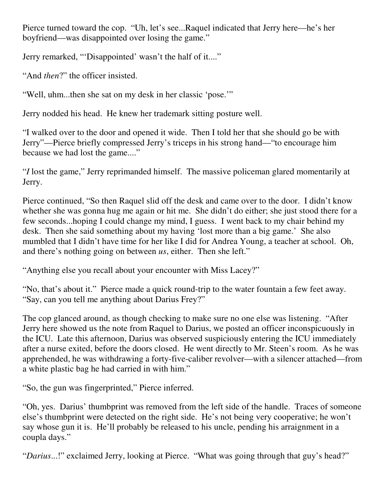Pierce turned toward the cop. "Uh, let's see...Raquel indicated that Jerry here—he's her boyfriend—was disappointed over losing the game."

Jerry remarked, "'Disappointed' wasn't the half of it...."

"And *then*?" the officer insisted.

"Well, uhm...then she sat on my desk in her classic 'pose.'"

Jerry nodded his head. He knew her trademark sitting posture well.

"I walked over to the door and opened it wide. Then I told her that she should go be with Jerry"—Pierce briefly compressed Jerry's triceps in his strong hand—"to encourage him because we had lost the game...."

"*I* lost the game," Jerry reprimanded himself. The massive policeman glared momentarily at Jerry.

Pierce continued, "So then Raquel slid off the desk and came over to the door. I didn't know whether she was gonna hug me again or hit me. She didn't do either; she just stood there for a few seconds...hoping I could change my mind, I guess. I went back to my chair behind my desk. Then she said something about my having 'lost more than a big game.' She also mumbled that I didn't have time for her like I did for Andrea Young, a teacher at school. Oh, and there's nothing going on between *us*, either. Then she left."

"Anything else you recall about your encounter with Miss Lacey?"

"No, that's about it." Pierce made a quick round-trip to the water fountain a few feet away. "Say, can you tell me anything about Darius Frey?"

The cop glanced around, as though checking to make sure no one else was listening. "After Jerry here showed us the note from Raquel to Darius, we posted an officer inconspicuously in the ICU. Late this afternoon, Darius was observed suspiciously entering the ICU immediately after a nurse exited, before the doors closed. He went directly to Mr. Steen's room. As he was apprehended, he was withdrawing a forty-five-caliber revolver—with a silencer attached—from a white plastic bag he had carried in with him."

"So, the gun was fingerprinted," Pierce inferred.

"Oh, yes. Darius' thumbprint was removed from the left side of the handle. Traces of someone else's thumbprint were detected on the right side. He's not being very cooperative; he won't say whose gun it is. He'll probably be released to his uncle, pending his arraignment in a coupla days."

"*Darius*...!" exclaimed Jerry, looking at Pierce. "What was going through that guy's head?"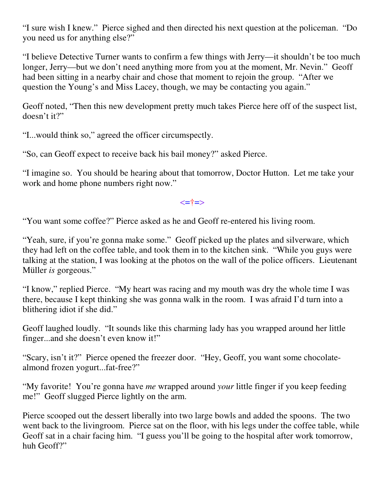"I sure wish I knew." Pierce sighed and then directed his next question at the policeman. "Do you need us for anything else?"

"I believe Detective Turner wants to confirm a few things with Jerry—it shouldn't be too much longer, Jerry—but we don't need anything more from you at the moment, Mr. Nevin." Geoff had been sitting in a nearby chair and chose that moment to rejoin the group. "After we question the Young's and Miss Lacey, though, we may be contacting you again."

Geoff noted, "Then this new development pretty much takes Pierce here off of the suspect list, doesn't it?"

"I...would think so," agreed the officer circumspectly.

"So, can Geoff expect to receive back his bail money?" asked Pierce.

"I imagine so. You should be hearing about that tomorrow, Doctor Hutton. Let me take your work and home phone numbers right now."

<=†=>

"You want some coffee?" Pierce asked as he and Geoff re-entered his living room.

"Yeah, sure, if you're gonna make some." Geoff picked up the plates and silverware, which they had left on the coffee table, and took them in to the kitchen sink. "While you guys were talking at the station, I was looking at the photos on the wall of the police officers. Lieutenant Müller *is* gorgeous."

"I know," replied Pierce. "My heart was racing and my mouth was dry the whole time I was there, because I kept thinking she was gonna walk in the room. I was afraid I'd turn into a blithering idiot if she did."

Geoff laughed loudly. "It sounds like this charming lady has you wrapped around her little finger...and she doesn't even know it!"

"Scary, isn't it?" Pierce opened the freezer door. "Hey, Geoff, you want some chocolatealmond frozen yogurt...fat-free?"

"My favorite! You're gonna have *me* wrapped around *your* little finger if you keep feeding me!" Geoff slugged Pierce lightly on the arm.

Pierce scooped out the dessert liberally into two large bowls and added the spoons. The two went back to the livingroom. Pierce sat on the floor, with his legs under the coffee table, while Geoff sat in a chair facing him. "I guess you'll be going to the hospital after work tomorrow, huh Geoff?"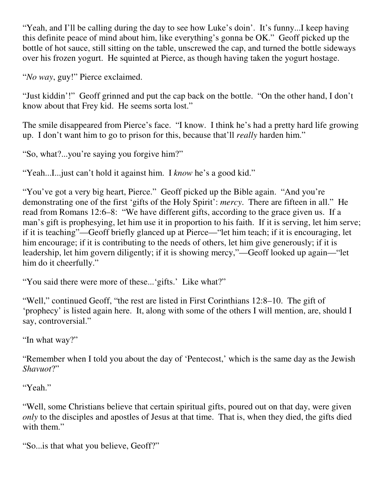"Yeah, and I'll be calling during the day to see how Luke's doin'. It's funny...I keep having this definite peace of mind about him, like everything's gonna be OK." Geoff picked up the bottle of hot sauce, still sitting on the table, unscrewed the cap, and turned the bottle sideways over his frozen yogurt. He squinted at Pierce, as though having taken the yogurt hostage.

"*No way*, guy!" Pierce exclaimed.

"Just kiddin'!" Geoff grinned and put the cap back on the bottle. "On the other hand, I don't know about that Frey kid. He seems sorta lost."

The smile disappeared from Pierce's face. "I know. I think he's had a pretty hard life growing up. I don't want him to go to prison for this, because that'll *really* harden him."

"So, what?...you're saying you forgive him?"

"Yeah...I...just can't hold it against him. I *know* he's a good kid."

"You've got a very big heart, Pierce." Geoff picked up the Bible again. "And you're demonstrating one of the first 'gifts of the Holy Spirit': *mercy*. There are fifteen in all." He read from Romans 12:6–8: "We have different gifts, according to the grace given us. If a man's gift is prophesying, let him use it in proportion to his faith. If it is serving, let him serve; if it is teaching"—Geoff briefly glanced up at Pierce—"let him teach; if it is encouraging, let him encourage; if it is contributing to the needs of others, let him give generously; if it is leadership, let him govern diligently; if it is showing mercy,"—Geoff looked up again—"let him do it cheerfully."

"You said there were more of these...'gifts.' Like what?"

"Well," continued Geoff, "the rest are listed in First Corinthians 12:8–10. The gift of 'prophecy' is listed again here. It, along with some of the others I will mention, are, should I say, controversial."

"In what way?"

"Remember when I told you about the day of 'Pentecost,' which is the same day as the Jewish *Shavuot*?"

"Yeah."

"Well, some Christians believe that certain spiritual gifts, poured out on that day, were given *only* to the disciples and apostles of Jesus at that time. That is, when they died, the gifts died with them."

"So...is that what you believe, Geoff?"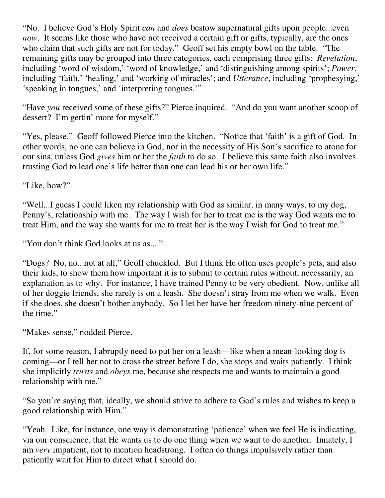"No. I believe God's Holy Spirit *can* and *does* bestow supernatural gifts upon people...even *now*. It seems like those who have not received a certain gift or gifts, typically, are the ones who claim that such gifts are not for today." Geoff set his empty bowl on the table. "The remaining gifts may be grouped into three categories, each comprising three gifts: *Revelation*, including 'word of wisdom,' 'word of knowledge,' and 'distinguishing among spirits'; *Power*, including 'faith,' 'healing,' and 'working of miracles'; and *Utterance*, including 'prophesying,' 'speaking in tongues,' and 'interpreting tongues.'"

"Have *you* received some of these gifts?" Pierce inquired. "And do you want another scoop of dessert? I'm gettin' more for myself."

"Yes, please." Geoff followed Pierce into the kitchen. "Notice that 'faith' is a gift of God. In other words, no one can believe in God, nor in the necessity of His Son's sacrifice to atone for our sins, unless God *gives* him or her the *faith* to do so. I believe this same faith also involves trusting God to lead one's life better than one can lead his or her own life."

"Like, how?"

"Well...I guess I could liken my relationship with God as similar, in many ways, to my dog, Penny's, relationship with me. The way I wish for her to treat me is the way God wants me to treat Him, and the way she wants for me to treat her is the way I wish for God to treat me."

"You don't think God looks at us as...."

"Dogs? No, no...not at all," Geoff chuckled. But I think He often uses people's pets, and also their kids, to show them how important it is to submit to certain rules without, necessarily, an explanation as to why. For instance, I have trained Penny to be very obedient. Now, unlike all of her doggie friends, she rarely is on a leash. She doesn't stray from me when we walk. Even if she does, she doesn't bother anybody. So I let her have her freedom ninety-nine percent of the time."

"Makes sense," nodded Pierce.

If, for some reason, I abruptly need to put her on a leash—like when a mean-looking dog is coming—or I tell her not to cross the street before I do, she stops and waits patiently. I think she implicitly *trusts* and *obeys* me, because she respects me and wants to maintain a good relationship with me."

"So you're saying that, ideally, we should strive to adhere to God's rules and wishes to keep a good relationship with Him."

"Yeah. Like, for instance, one way is demonstrating 'patience' when we feel He is indicating, via our conscience, that He wants us to do one thing when we want to do another. Innately, I am *very* impatient, not to mention headstrong. I often do things impulsively rather than patiently wait for Him to direct what I should do.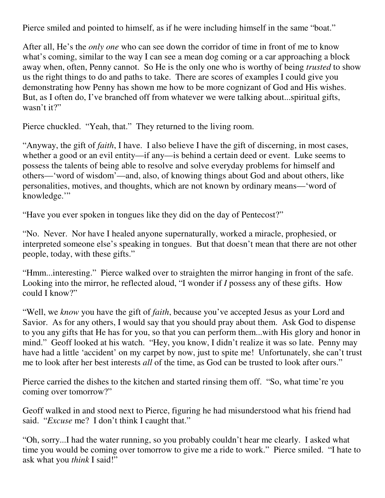Pierce smiled and pointed to himself, as if he were including himself in the same "boat."

After all, He's the *only one* who can see down the corridor of time in front of me to know what's coming, similar to the way I can see a mean dog coming or a car approaching a block away when, often, Penny cannot. So He is the only one who is worthy of being *trusted* to show us the right things to do and paths to take. There are scores of examples I could give you demonstrating how Penny has shown me how to be more cognizant of God and His wishes. But, as I often do, I've branched off from whatever we were talking about...spiritual gifts, wasn't it?"

Pierce chuckled. "Yeah, that." They returned to the living room.

"Anyway, the gift of *faith*, I have. I also believe I have the gift of discerning, in most cases, whether a good or an evil entity—if any—is behind a certain deed or event. Luke seems to possess the talents of being able to resolve and solve everyday problems for himself and others—'word of wisdom'—and, also, of knowing things about God and about others, like personalities, motives, and thoughts, which are not known by ordinary means—'word of knowledge."

"Have you ever spoken in tongues like they did on the day of Pentecost?"

"No. Never. Nor have I healed anyone supernaturally, worked a miracle, prophesied, or interpreted someone else's speaking in tongues. But that doesn't mean that there are not other people, today, with these gifts."

"Hmm...interesting." Pierce walked over to straighten the mirror hanging in front of the safe. Looking into the mirror, he reflected aloud, "I wonder if *I* possess any of these gifts. How could I know?"

"Well, we *know* you have the gift of *faith*, because you've accepted Jesus as your Lord and Savior. As for any others, I would say that you should pray about them. Ask God to dispense to you any gifts that He has for you, so that you can perform them...with His glory and honor in mind." Geoff looked at his watch. "Hey, you know, I didn't realize it was so late. Penny may have had a little 'accident' on my carpet by now, just to spite me! Unfortunately, she can't trust me to look after her best interests *all* of the time, as God can be trusted to look after ours."

Pierce carried the dishes to the kitchen and started rinsing them off. "So, what time're you coming over tomorrow?"

Geoff walked in and stood next to Pierce, figuring he had misunderstood what his friend had said. "*Excuse* me? I don't think I caught that."

"Oh, sorry...I had the water running, so you probably couldn't hear me clearly. I asked what time you would be coming over tomorrow to give me a ride to work." Pierce smiled. "I hate to ask what you *think* I said!"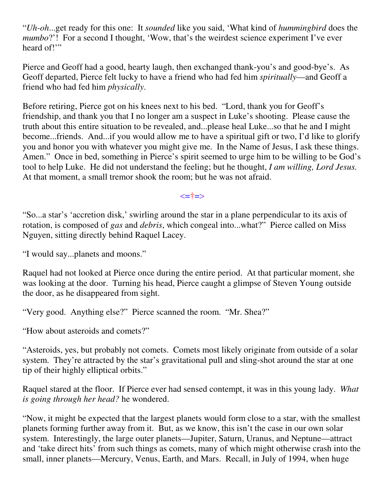"*Uh-oh*...get ready for this one: It *sounded* like you said, 'What kind of *hummingbird* does the *mumbo*?'! For a second I thought, 'Wow, that's the weirdest science experiment I've ever heard of!"

Pierce and Geoff had a good, hearty laugh, then exchanged thank-you's and good-bye's. As Geoff departed, Pierce felt lucky to have a friend who had fed him *spiritually*—and Geoff a friend who had fed him *physically*.

Before retiring, Pierce got on his knees next to his bed. "Lord, thank you for Geoff's friendship, and thank you that I no longer am a suspect in Luke's shooting. Please cause the truth about this entire situation to be revealed, and...please heal Luke...so that he and I might become...friends. And...if you would allow me to have a spiritual gift or two, I'd like to glorify you and honor you with whatever you might give me. In the Name of Jesus, I ask these things. Amen." Once in bed, something in Pierce's spirit seemed to urge him to be willing to be God's tool to help Luke. He did not understand the feeling; but he thought, *I am willing, Lord Jesus.* At that moment, a small tremor shook the room; but he was not afraid.

#### <=†=>

"So...a star's 'accretion disk,' swirling around the star in a plane perpendicular to its axis of rotation, is composed of *gas* and *debris*, which congeal into...what?" Pierce called on Miss Nguyen, sitting directly behind Raquel Lacey.

"I would say...planets and moons."

Raquel had not looked at Pierce once during the entire period. At that particular moment, she was looking at the door. Turning his head, Pierce caught a glimpse of Steven Young outside the door, as he disappeared from sight.

"Very good. Anything else?" Pierce scanned the room. "Mr. Shea?"

"How about asteroids and comets?"

"Asteroids, yes, but probably not comets. Comets most likely originate from outside of a solar system. They're attracted by the star's gravitational pull and sling-shot around the star at one tip of their highly elliptical orbits."

Raquel stared at the floor. If Pierce ever had sensed contempt, it was in this young lady. *What is going through her head?* he wondered.

"Now, it might be expected that the largest planets would form close to a star, with the smallest planets forming further away from it. But, as we know, this isn't the case in our own solar system. Interestingly, the large outer planets—Jupiter, Saturn, Uranus, and Neptune—attract and 'take direct hits' from such things as comets, many of which might otherwise crash into the small, inner planets—Mercury, Venus, Earth, and Mars. Recall, in July of 1994, when huge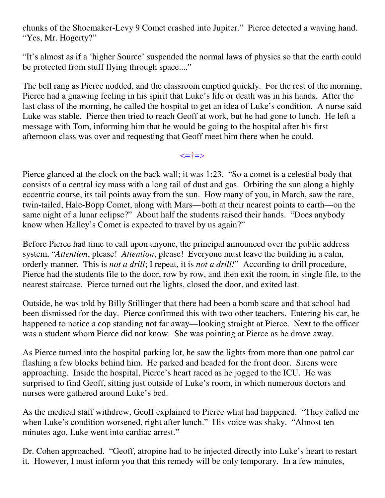chunks of the Shoemaker-Levy 9 Comet crashed into Jupiter." Pierce detected a waving hand. "Yes, Mr. Hogerty?"

"It's almost as if a 'higher Source' suspended the normal laws of physics so that the earth could be protected from stuff flying through space...."

The bell rang as Pierce nodded, and the classroom emptied quickly. For the rest of the morning, Pierce had a gnawing feeling in his spirit that Luke's life or death was in his hands. After the last class of the morning, he called the hospital to get an idea of Luke's condition. A nurse said Luke was stable. Pierce then tried to reach Geoff at work, but he had gone to lunch. He left a message with Tom, informing him that he would be going to the hospital after his first afternoon class was over and requesting that Geoff meet him there when he could.

#### <=†=>

Pierce glanced at the clock on the back wall; it was 1:23. "So a comet is a celestial body that consists of a central icy mass with a long tail of dust and gas. Orbiting the sun along a highly eccentric course, its tail points away from the sun. How many of you, in March, saw the rare, twin-tailed, Hale-Bopp Comet, along with Mars—both at their nearest points to earth—on the same night of a lunar eclipse?" About half the students raised their hands. "Does anybody know when Halley's Comet is expected to travel by us again?"

Before Pierce had time to call upon anyone, the principal announced over the public address system, "*Attention*, please! *Attention*, please! Everyone must leave the building in a calm, orderly manner. This is *not a drill*; I repeat, it is *not a drill!*" According to drill procedure, Pierce had the students file to the door, row by row, and then exit the room, in single file, to the nearest staircase. Pierce turned out the lights, closed the door, and exited last.

Outside, he was told by Billy Stillinger that there had been a bomb scare and that school had been dismissed for the day. Pierce confirmed this with two other teachers. Entering his car, he happened to notice a cop standing not far away—looking straight at Pierce. Next to the officer was a student whom Pierce did not know. She was pointing at Pierce as he drove away.

As Pierce turned into the hospital parking lot, he saw the lights from more than one patrol car flashing a few blocks behind him. He parked and headed for the front door. Sirens were approaching. Inside the hospital, Pierce's heart raced as he jogged to the ICU. He was surprised to find Geoff, sitting just outside of Luke's room, in which numerous doctors and nurses were gathered around Luke's bed.

As the medical staff withdrew, Geoff explained to Pierce what had happened. "They called me when Luke's condition worsened, right after lunch." His voice was shaky. "Almost ten minutes ago, Luke went into cardiac arrest."

Dr. Cohen approached. "Geoff, atropine had to be injected directly into Luke's heart to restart it. However, I must inform you that this remedy will be only temporary. In a few minutes,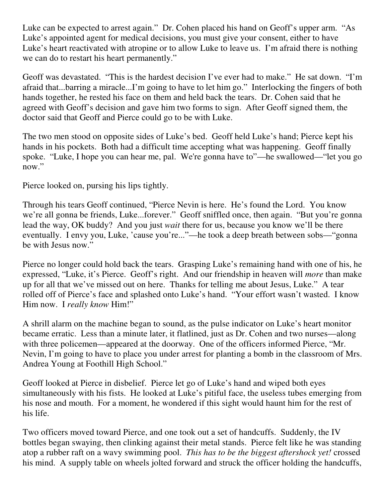Luke can be expected to arrest again." Dr. Cohen placed his hand on Geoff's upper arm. "As Luke's appointed agent for medical decisions, you must give your consent, either to have Luke's heart reactivated with atropine or to allow Luke to leave us. I'm afraid there is nothing we can do to restart his heart permanently."

Geoff was devastated. "This is the hardest decision I've ever had to make." He sat down. "I'm afraid that...barring a miracle...I'm going to have to let him go." Interlocking the fingers of both hands together, he rested his face on them and held back the tears. Dr. Cohen said that he agreed with Geoff's decision and gave him two forms to sign. After Geoff signed them, the doctor said that Geoff and Pierce could go to be with Luke.

The two men stood on opposite sides of Luke's bed. Geoff held Luke's hand; Pierce kept his hands in his pockets. Both had a difficult time accepting what was happening. Geoff finally spoke. "Luke, I hope you can hear me, pal. We're gonna have to"—he swallowed—"let you go now."

Pierce looked on, pursing his lips tightly.

Through his tears Geoff continued, "Pierce Nevin is here. He's found the Lord. You know we're all gonna be friends, Luke...forever." Geoff sniffled once, then again. "But you're gonna lead the way, OK buddy? And you just *wait* there for us, because you know we'll be there eventually. I envy you, Luke, 'cause you're..."—he took a deep breath between sobs—"gonna be with Jesus now."

Pierce no longer could hold back the tears. Grasping Luke's remaining hand with one of his, he expressed, "Luke, it's Pierce. Geoff's right. And our friendship in heaven will *more* than make up for all that we've missed out on here. Thanks for telling me about Jesus, Luke." A tear rolled off of Pierce's face and splashed onto Luke's hand. "Your effort wasn't wasted. I know Him now. I *really know* Him!"

A shrill alarm on the machine began to sound, as the pulse indicator on Luke's heart monitor became erratic. Less than a minute later, it flatlined, just as Dr. Cohen and two nurses—along with three policemen—appeared at the doorway. One of the officers informed Pierce, "Mr. Nevin, I'm going to have to place you under arrest for planting a bomb in the classroom of Mrs. Andrea Young at Foothill High School."

Geoff looked at Pierce in disbelief. Pierce let go of Luke's hand and wiped both eyes simultaneously with his fists. He looked at Luke's pitiful face, the useless tubes emerging from his nose and mouth. For a moment, he wondered if this sight would haunt him for the rest of his life.

Two officers moved toward Pierce, and one took out a set of handcuffs. Suddenly, the IV bottles began swaying, then clinking against their metal stands. Pierce felt like he was standing atop a rubber raft on a wavy swimming pool. *This has to be the biggest aftershock yet!* crossed his mind. A supply table on wheels jolted forward and struck the officer holding the handcuffs,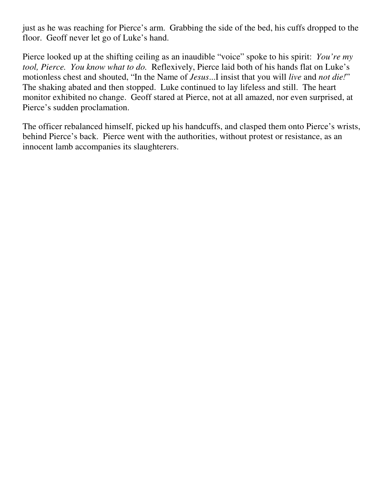just as he was reaching for Pierce's arm. Grabbing the side of the bed, his cuffs dropped to the floor. Geoff never let go of Luke's hand.

Pierce looked up at the shifting ceiling as an inaudible "voice" spoke to his spirit: *You're my tool, Pierce. You know what to do.* Reflexively, Pierce laid both of his hands flat on Luke's motionless chest and shouted, "In the Name of *Jesus*...I insist that you will *live* and *not die!*" The shaking abated and then stopped. Luke continued to lay lifeless and still. The heart monitor exhibited no change. Geoff stared at Pierce, not at all amazed, nor even surprised, at Pierce's sudden proclamation.

The officer rebalanced himself, picked up his handcuffs, and clasped them onto Pierce's wrists, behind Pierce's back. Pierce went with the authorities, without protest or resistance, as an innocent lamb accompanies its slaughterers.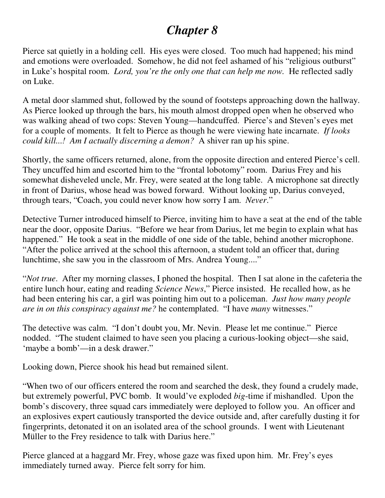# *Chapter 8*

Pierce sat quietly in a holding cell. His eyes were closed. Too much had happened; his mind and emotions were overloaded. Somehow, he did not feel ashamed of his "religious outburst" in Luke's hospital room. *Lord, you're the only one that can help me now.* He reflected sadly on Luke.

A metal door slammed shut, followed by the sound of footsteps approaching down the hallway. As Pierce looked up through the bars, his mouth almost dropped open when he observed who was walking ahead of two cops: Steven Young—handcuffed. Pierce's and Steven's eyes met for a couple of moments. It felt to Pierce as though he were viewing hate incarnate. *If looks could kill...! Am I actually discerning a demon?* A shiver ran up his spine.

Shortly, the same officers returned, alone, from the opposite direction and entered Pierce's cell. They uncuffed him and escorted him to the "frontal lobotomy" room. Darius Frey and his somewhat disheveled uncle, Mr. Frey, were seated at the long table. A microphone sat directly in front of Darius, whose head was bowed forward. Without looking up, Darius conveyed, through tears, "Coach, you could never know how sorry I am. *Never*."

Detective Turner introduced himself to Pierce, inviting him to have a seat at the end of the table near the door, opposite Darius. "Before we hear from Darius, let me begin to explain what has happened." He took a seat in the middle of one side of the table, behind another microphone. "After the police arrived at the school this afternoon, a student told an officer that, during lunchtime, she saw you in the classroom of Mrs. Andrea Young...."

"*Not true*. After my morning classes, I phoned the hospital. Then I sat alone in the cafeteria the entire lunch hour, eating and reading *Science News*," Pierce insisted. He recalled how, as he had been entering his car, a girl was pointing him out to a policeman. *Just how many people are in on this conspiracy against me?* he contemplated. "I have *many* witnesses."

The detective was calm. "I don't doubt you, Mr. Nevin. Please let me continue." Pierce nodded. "The student claimed to have seen you placing a curious-looking object—she said, 'maybe a bomb'—in a desk drawer."

Looking down, Pierce shook his head but remained silent.

"When two of our officers entered the room and searched the desk, they found a crudely made, but extremely powerful, PVC bomb. It would've exploded *big*-time if mishandled. Upon the bomb's discovery, three squad cars immediately were deployed to follow you. An officer and an explosives expert cautiously transported the device outside and, after carefully dusting it for fingerprints, detonated it on an isolated area of the school grounds. I went with Lieutenant Müller to the Frey residence to talk with Darius here."

Pierce glanced at a haggard Mr. Frey, whose gaze was fixed upon him. Mr. Frey's eyes immediately turned away. Pierce felt sorry for him.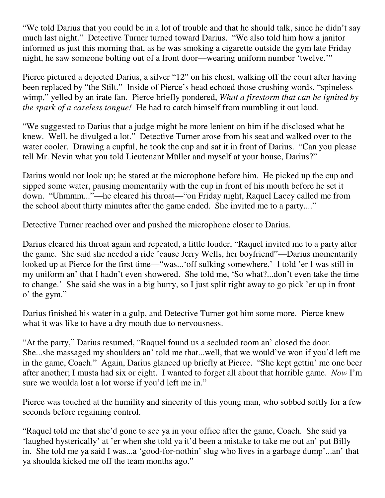"We told Darius that you could be in a lot of trouble and that he should talk, since he didn't say much last night." Detective Turner turned toward Darius. "We also told him how a janitor informed us just this morning that, as he was smoking a cigarette outside the gym late Friday night, he saw someone bolting out of a front door—wearing uniform number 'twelve.'"

Pierce pictured a dejected Darius, a silver "12" on his chest, walking off the court after having been replaced by "the Stilt." Inside of Pierce's head echoed those crushing words, "spineless wimp," yelled by an irate fan. Pierce briefly pondered, *What a firestorm that can be ignited by the spark of a careless tongue!* He had to catch himself from mumbling it out loud.

"We suggested to Darius that a judge might be more lenient on him if he disclosed what he knew. Well, he divulged a lot." Detective Turner arose from his seat and walked over to the water cooler. Drawing a cupful, he took the cup and sat it in front of Darius. "Can you please tell Mr. Nevin what you told Lieutenant Müller and myself at your house, Darius?"

Darius would not look up; he stared at the microphone before him. He picked up the cup and sipped some water, pausing momentarily with the cup in front of his mouth before he set it down. "Uhmmm..."—he cleared his throat—"on Friday night, Raquel Lacey called me from the school about thirty minutes after the game ended. She invited me to a party...."

Detective Turner reached over and pushed the microphone closer to Darius.

Darius cleared his throat again and repeated, a little louder, "Raquel invited me to a party after the game. She said she needed a ride 'cause Jerry Wells, her boyfriend"—Darius momentarily looked up at Pierce for the first time—"was...'off sulking somewhere.' I told 'er I was still in my uniform an' that I hadn't even showered. She told me, 'So what?...don't even take the time to change.' She said she was in a big hurry, so I just split right away to go pick 'er up in front o' the gym."

Darius finished his water in a gulp, and Detective Turner got him some more. Pierce knew what it was like to have a dry mouth due to nervousness.

"At the party," Darius resumed, "Raquel found us a secluded room an' closed the door. She...she massaged my shoulders an' told me that...well, that we would've won if you'd left me in the game, Coach." Again, Darius glanced up briefly at Pierce. "She kept gettin' me one beer after another; I musta had six or eight. I wanted to forget all about that horrible game. *Now* I'm sure we woulda lost a lot worse if you'd left me in."

Pierce was touched at the humility and sincerity of this young man, who sobbed softly for a few seconds before regaining control.

"Raquel told me that she'd gone to see ya in your office after the game, Coach. She said ya 'laughed hysterically' at 'er when she told ya it'd been a mistake to take me out an' put Billy in. She told me ya said I was...a 'good-for-nothin' slug who lives in a garbage dump'...an' that ya shoulda kicked me off the team months ago."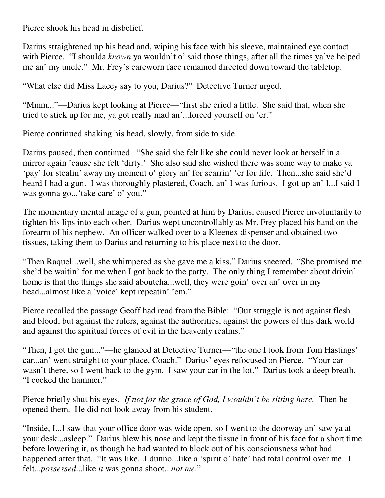Pierce shook his head in disbelief.

Darius straightened up his head and, wiping his face with his sleeve, maintained eye contact with Pierce. "I shoulda *known* ya wouldn't o' said those things, after all the times ya've helped me an' my uncle." Mr. Frey's careworn face remained directed down toward the tabletop.

"What else did Miss Lacey say to you, Darius?" Detective Turner urged.

"Mmm..."—Darius kept looking at Pierce—"first she cried a little. She said that, when she tried to stick up for me, ya got really mad an'...forced yourself on 'er."

Pierce continued shaking his head, slowly, from side to side.

Darius paused, then continued. "She said she felt like she could never look at herself in a mirror again 'cause she felt 'dirty.' She also said she wished there was some way to make ya 'pay' for stealin' away my moment o' glory an' for scarrin' 'er for life. Then...she said she'd heard I had a gun. I was thoroughly plastered, Coach, an' I was furious. I got up an' I...I said I was gonna go...'take care' o' you."

The momentary mental image of a gun, pointed at him by Darius, caused Pierce involuntarily to tighten his lips into each other. Darius wept uncontrollably as Mr. Frey placed his hand on the forearm of his nephew. An officer walked over to a Kleenex dispenser and obtained two tissues, taking them to Darius and returning to his place next to the door.

"Then Raquel...well, she whimpered as she gave me a kiss," Darius sneered. "She promised me she'd be waitin' for me when I got back to the party. The only thing I remember about drivin' home is that the things she said aboutcha...well, they were goin' over an' over in my head...almost like a 'voice' kept repeatin' 'em."

Pierce recalled the passage Geoff had read from the Bible: "Our struggle is not against flesh and blood, but against the rulers, against the authorities, against the powers of this dark world and against the spiritual forces of evil in the heavenly realms."

"Then, I got the gun..."—he glanced at Detective Turner—"the one I took from Tom Hastings' car...an' went straight to your place, Coach." Darius' eyes refocused on Pierce. "Your car wasn't there, so I went back to the gym. I saw your car in the lot." Darius took a deep breath. "I cocked the hammer."

Pierce briefly shut his eyes. *If not for the grace of God, I wouldn't be sitting here.* Then he opened them. He did not look away from his student.

"Inside, I...I saw that your office door was wide open, so I went to the doorway an' saw ya at your desk...asleep." Darius blew his nose and kept the tissue in front of his face for a short time before lowering it, as though he had wanted to block out of his consciousness what had happened after that. "It was like...I dunno...like a 'spirit o' hate' had total control over me. I felt...*possessed*...like *it* was gonna shoot...*not me*."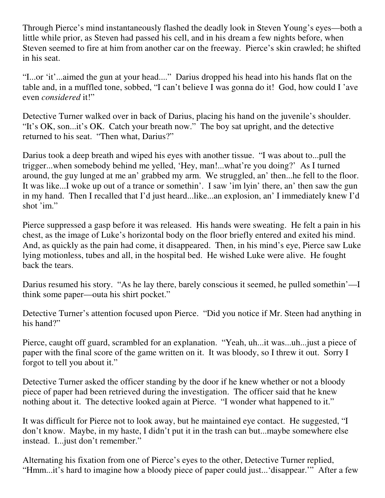Through Pierce's mind instantaneously flashed the deadly look in Steven Young's eyes—both a little while prior, as Steven had passed his cell, and in his dream a few nights before, when Steven seemed to fire at him from another car on the freeway. Pierce's skin crawled; he shifted in his seat.

"I...or 'it'...aimed the gun at your head...." Darius dropped his head into his hands flat on the table and, in a muffled tone, sobbed, "I can't believe I was gonna do it! God, how could I 'ave even *considered* it!"

Detective Turner walked over in back of Darius, placing his hand on the juvenile's shoulder. "It's OK, son...it's OK. Catch your breath now." The boy sat upright, and the detective returned to his seat. "Then what, Darius?"

Darius took a deep breath and wiped his eyes with another tissue. "I was about to...pull the trigger...when somebody behind me yelled, 'Hey, man!...what're you doing?' As I turned around, the guy lunged at me an' grabbed my arm. We struggled, an' then...he fell to the floor. It was like...I woke up out of a trance or somethin'. I saw 'im lyin' there, an' then saw the gun in my hand. Then I recalled that I'd just heard...like...an explosion, an' I immediately knew I'd shot 'im."

Pierce suppressed a gasp before it was released. His hands were sweating. He felt a pain in his chest, as the image of Luke's horizontal body on the floor briefly entered and exited his mind. And, as quickly as the pain had come, it disappeared. Then, in his mind's eye, Pierce saw Luke lying motionless, tubes and all, in the hospital bed. He wished Luke were alive. He fought back the tears.

Darius resumed his story. "As he lay there, barely conscious it seemed, he pulled somethin'—I think some paper—outa his shirt pocket."

Detective Turner's attention focused upon Pierce. "Did you notice if Mr. Steen had anything in his hand?"

Pierce, caught off guard, scrambled for an explanation. "Yeah, uh...it was...uh...just a piece of paper with the final score of the game written on it. It was bloody, so I threw it out. Sorry I forgot to tell you about it."

Detective Turner asked the officer standing by the door if he knew whether or not a bloody piece of paper had been retrieved during the investigation. The officer said that he knew nothing about it. The detective looked again at Pierce. "I wonder what happened to it."

It was difficult for Pierce not to look away, but he maintained eye contact. He suggested, "I don't know. Maybe, in my haste, I didn't put it in the trash can but...maybe somewhere else instead. I...just don't remember."

Alternating his fixation from one of Pierce's eyes to the other, Detective Turner replied, "Hmm...it's hard to imagine how a bloody piece of paper could just...'disappear.'" After a few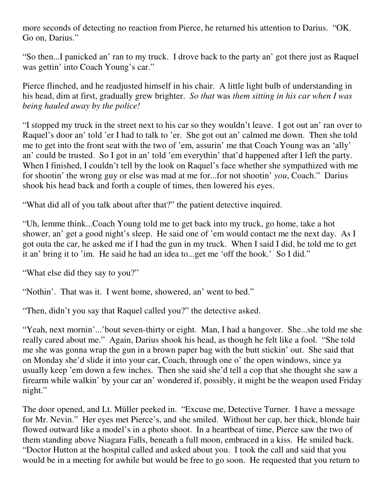more seconds of detecting no reaction from Pierce, he returned his attention to Darius. "OK. Go on, Darius."

"So then...I panicked an' ran to my truck. I drove back to the party an' got there just as Raquel was gettin' into Coach Young's car."

Pierce flinched, and he readjusted himself in his chair. A little light bulb of understanding in his head, dim at first, gradually grew brighter. *So that* was *them sitting in his car when I was being hauled away by the police!*

"I stopped my truck in the street next to his car so they wouldn't leave. I got out an' ran over to Raquel's door an' told 'er I had to talk to 'er. She got out an' calmed me down. Then she told me to get into the front seat with the two of 'em, assurin' me that Coach Young was an 'ally' an' could be trusted. So I got in an' told 'em everythin' that'd happened after I left the party. When I finished, I couldn't tell by the look on Raquel's face whether she sympathized with me for shootin' the wrong guy or else was mad at me for...for not shootin' *you*, Coach." Darius shook his head back and forth a couple of times, then lowered his eyes.

"What did all of you talk about after that?" the patient detective inquired.

"Uh, lemme think...Coach Young told me to get back into my truck, go home, take a hot shower, an' get a good night's sleep. He said one of 'em would contact me the next day. As I got outa the car, he asked me if I had the gun in my truck. When I said I did, he told me to get it an' bring it to 'im. He said he had an idea to...get me 'off the hook.' So I did."

"What else did they say to you?"

"Nothin'. That was it. I went home, showered, an' went to bed."

"Then, didn't you say that Raquel called you?" the detective asked.

"Yeah, next mornin'...'bout seven-thirty or eight. Man, I had a hangover. She...she told me she really cared about me." Again, Darius shook his head, as though he felt like a fool. "She told me she was gonna wrap the gun in a brown paper bag with the butt stickin' out. She said that on Monday she'd slide it into your car, Coach, through one o' the open windows, since ya usually keep 'em down a few inches. Then she said she'd tell a cop that she thought she saw a firearm while walkin' by your car an' wondered if, possibly, it might be the weapon used Friday night."

The door opened, and Lt. Müller peeked in. "Excuse me, Detective Turner. I have a message for Mr. Nevin." Her eyes met Pierce's, and she smiled. Without her cap, her thick, blonde hair flowed outward like a model's in a photo shoot. In a heartbeat of time, Pierce saw the two of them standing above Niagara Falls, beneath a full moon, embraced in a kiss. He smiled back. "Doctor Hutton at the hospital called and asked about you. I took the call and said that you would be in a meeting for awhile but would be free to go soon. He requested that you return to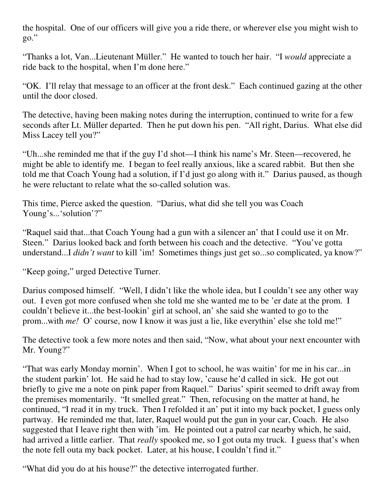the hospital. One of our officers will give you a ride there, or wherever else you might wish to go."

"Thanks a lot, Van...Lieutenant Müller." He wanted to touch her hair. "I *would* appreciate a ride back to the hospital, when I'm done here."

"OK. I'll relay that message to an officer at the front desk." Each continued gazing at the other until the door closed.

The detective, having been making notes during the interruption, continued to write for a few seconds after Lt. Müller departed. Then he put down his pen. "All right, Darius. What else did Miss Lacey tell you?"

"Uh...she reminded me that if the guy I'd shot—I think his name's Mr. Steen—recovered, he might be able to identify me. I began to feel really anxious, like a scared rabbit. But then she told me that Coach Young had a solution, if I'd just go along with it." Darius paused, as though he were reluctant to relate what the so-called solution was.

This time, Pierce asked the question. "Darius, what did she tell you was Coach Young's...'solution'?"

"Raquel said that...that Coach Young had a gun with a silencer an' that I could use it on Mr. Steen." Darius looked back and forth between his coach and the detective. "You've gotta understand...I *didn't want* to kill 'im! Sometimes things just get so...so complicated, ya know?"

"Keep going," urged Detective Turner.

Darius composed himself. "Well, I didn't like the whole idea, but I couldn't see any other way out. I even got more confused when she told me she wanted me to be 'er date at the prom. I couldn't believe it...the best-lookin' girl at school, an' she said she wanted to go to the prom...with *me!* O' course, now I know it was just a lie, like everythin' else she told me!"

The detective took a few more notes and then said, "Now, what about your next encounter with Mr. Young?"

"That was early Monday mornin'. When I got to school, he was waitin' for me in his car...in the student parkin' lot. He said he had to stay low, 'cause he'd called in sick. He got out briefly to give me a note on pink paper from Raquel." Darius' spirit seemed to drift away from the premises momentarily. "It smelled great." Then, refocusing on the matter at hand, he continued, "I read it in my truck. Then I refolded it an' put it into my back pocket, I guess only partway. He reminded me that, later, Raquel would put the gun in your car, Coach. He also suggested that I leave right then with 'im. He pointed out a patrol car nearby which, he said, had arrived a little earlier. That *really* spooked me, so I got outa my truck. I guess that's when the note fell outa my back pocket. Later, at his house, I couldn't find it."

"What did you do at his house?" the detective interrogated further.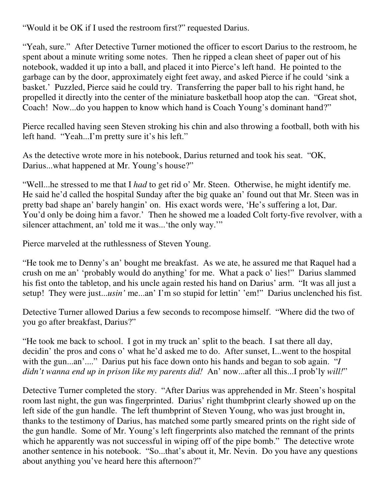"Would it be OK if I used the restroom first?" requested Darius.

"Yeah, sure." After Detective Turner motioned the officer to escort Darius to the restroom, he spent about a minute writing some notes. Then he ripped a clean sheet of paper out of his notebook, wadded it up into a ball, and placed it into Pierce's left hand. He pointed to the garbage can by the door, approximately eight feet away, and asked Pierce if he could 'sink a basket.' Puzzled, Pierce said he could try. Transferring the paper ball to his right hand, he propelled it directly into the center of the miniature basketball hoop atop the can. "Great shot, Coach! Now...do you happen to know which hand is Coach Young's dominant hand?"

Pierce recalled having seen Steven stroking his chin and also throwing a football, both with his left hand. "Yeah...I'm pretty sure it's his left."

As the detective wrote more in his notebook, Darius returned and took his seat. "OK, Darius...what happened at Mr. Young's house?"

"Well...he stressed to me that I *had* to get rid o' Mr. Steen. Otherwise, he might identify me. He said he'd called the hospital Sunday after the big quake an' found out that Mr. Steen was in pretty bad shape an' barely hangin' on. His exact words were, 'He's suffering a lot, Dar. You'd only be doing him a favor.' Then he showed me a loaded Colt forty-five revolver, with a silencer attachment, an' told me it was...'the only way.'"

Pierce marveled at the ruthlessness of Steven Young.

"He took me to Denny's an' bought me breakfast. As we ate, he assured me that Raquel had a crush on me an' 'probably would do anything' for me. What a pack o' lies!" Darius slammed his fist onto the tabletop, and his uncle again rested his hand on Darius' arm. "It was all just a setup! They were just...*usin'* me...an' I'm so stupid for lettin' 'em!" Darius unclenched his fist.

Detective Turner allowed Darius a few seconds to recompose himself. "Where did the two of you go after breakfast, Darius?"

"He took me back to school. I got in my truck an' split to the beach. I sat there all day, decidin' the pros and cons o' what he'd asked me to do. After sunset, I...went to the hospital with the gun...an'...." Darius put his face down onto his hands and began to sob again. "*I didn't wanna end up in prison like my parents did!* An' now...after all this...I prob'ly *will!*"

Detective Turner completed the story. "After Darius was apprehended in Mr. Steen's hospital room last night, the gun was fingerprinted. Darius' right thumbprint clearly showed up on the left side of the gun handle. The left thumbprint of Steven Young, who was just brought in, thanks to the testimony of Darius, has matched some partly smeared prints on the right side of the gun handle. Some of Mr. Young's left fingerprints also matched the remnant of the prints which he apparently was not successful in wiping off of the pipe bomb." The detective wrote another sentence in his notebook. "So...that's about it, Mr. Nevin. Do you have any questions about anything you've heard here this afternoon?"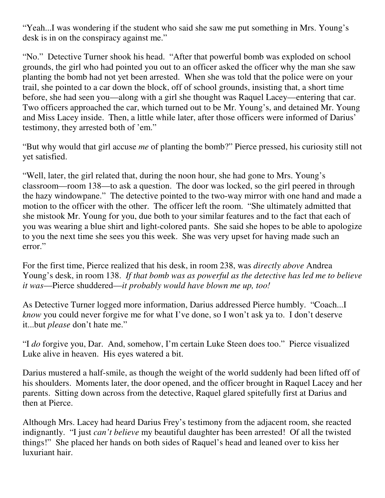"Yeah...I was wondering if the student who said she saw me put something in Mrs. Young's desk is in on the conspiracy against me."

"No." Detective Turner shook his head. "After that powerful bomb was exploded on school grounds, the girl who had pointed you out to an officer asked the officer why the man she saw planting the bomb had not yet been arrested. When she was told that the police were on your trail, she pointed to a car down the block, off of school grounds, insisting that, a short time before, she had seen you—along with a girl she thought was Raquel Lacey—entering that car. Two officers approached the car, which turned out to be Mr. Young's, and detained Mr. Young and Miss Lacey inside. Then, a little while later, after those officers were informed of Darius' testimony, they arrested both of 'em."

"But why would that girl accuse *me* of planting the bomb?" Pierce pressed, his curiosity still not yet satisfied.

"Well, later, the girl related that, during the noon hour, she had gone to Mrs. Young's classroom—room 138—to ask a question. The door was locked, so the girl peered in through the hazy windowpane." The detective pointed to the two-way mirror with one hand and made a motion to the officer with the other. The officer left the room. "She ultimately admitted that she mistook Mr. Young for you, due both to your similar features and to the fact that each of you was wearing a blue shirt and light-colored pants. She said she hopes to be able to apologize to you the next time she sees you this week. She was very upset for having made such an error."

For the first time, Pierce realized that his desk, in room 238, was *directly above* Andrea Young's desk, in room 138. *If that bomb was as powerful as the detective has led me to believe it was*—Pierce shuddered—*it probably would have blown me up, too!*

As Detective Turner logged more information, Darius addressed Pierce humbly. "Coach...I *know* you could never forgive me for what I've done, so I won't ask ya to. I don't deserve it...but *please* don't hate me."

"I *do* forgive you, Dar. And, somehow, I'm certain Luke Steen does too." Pierce visualized Luke alive in heaven. His eyes watered a bit.

Darius mustered a half-smile, as though the weight of the world suddenly had been lifted off of his shoulders. Moments later, the door opened, and the officer brought in Raquel Lacey and her parents. Sitting down across from the detective, Raquel glared spitefully first at Darius and then at Pierce.

Although Mrs. Lacey had heard Darius Frey's testimony from the adjacent room, she reacted indignantly. "I just *can't believe* my beautiful daughter has been arrested! Of all the twisted things!" She placed her hands on both sides of Raquel's head and leaned over to kiss her luxuriant hair.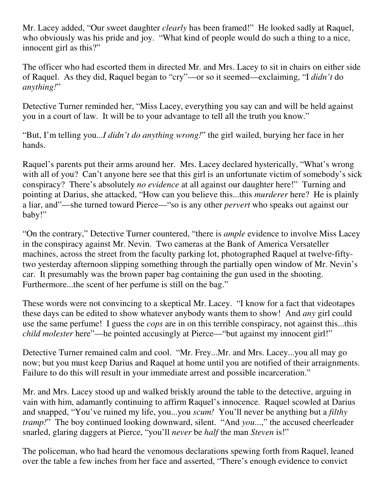Mr. Lacey added, "Our sweet daughter *clearly* has been framed!" He looked sadly at Raquel, who obviously was his pride and joy. "What kind of people would do such a thing to a nice, innocent girl as this?"

The officer who had escorted them in directed Mr. and Mrs. Lacey to sit in chairs on either side of Raquel. As they did, Raquel began to "cry"—or so it seemed—exclaiming, "I *didn't* do *anything!*"

Detective Turner reminded her, "Miss Lacey, everything you say can and will be held against you in a court of law. It will be to your advantage to tell all the truth you know."

"But, I'm telling you...*I didn't do anything wrong!*" the girl wailed, burying her face in her hands.

Raquel's parents put their arms around her. Mrs. Lacey declared hysterically, "What's wrong with all of you? Can't anyone here see that this girl is an unfortunate victim of somebody's sick conspiracy? There's absolutely *no evidence* at all against our daughter here!" Turning and pointing at Darius, she attacked, "How can you believe this...this *murderer* here? He is plainly a liar, and"—she turned toward Pierce—"so is any other *pervert* who speaks out against our baby!"

"On the contrary," Detective Turner countered, "there is *ample* evidence to involve Miss Lacey in the conspiracy against Mr. Nevin. Two cameras at the Bank of America Versateller machines, across the street from the faculty parking lot, photographed Raquel at twelve-fiftytwo yesterday afternoon slipping something through the partially open window of Mr. Nevin's car. It presumably was the brown paper bag containing the gun used in the shooting. Furthermore...the scent of her perfume is still on the bag."

These words were not convincing to a skeptical Mr. Lacey. "I know for a fact that videotapes these days can be edited to show whatever anybody wants them to show! And *any* girl could use the same perfume! I guess the *cops* are in on this terrible conspiracy, not against this...this *child molester* here"—he pointed accusingly at Pierce—"but against my innocent girl!"

Detective Turner remained calm and cool. "Mr. Frey...Mr. and Mrs. Lacey...you all may go now; but you must keep Darius and Raquel at home until you are notified of their arraignments. Failure to do this will result in your immediate arrest and possible incarceration."

Mr. and Mrs. Lacey stood up and walked briskly around the table to the detective, arguing in vain with him, adamantly continuing to affirm Raquel's innocence. Raquel scowled at Darius and snapped, "You've ruined my life, you...you *scum!* You'll never be anything but a *filthy tramp!*" The boy continued looking downward, silent. "And *you*...," the accused cheerleader snarled, glaring daggers at Pierce, "you'll *never* be *half* the man *Steven* is!"

The policeman, who had heard the venomous declarations spewing forth from Raquel, leaned over the table a few inches from her face and asserted, "There's enough evidence to convict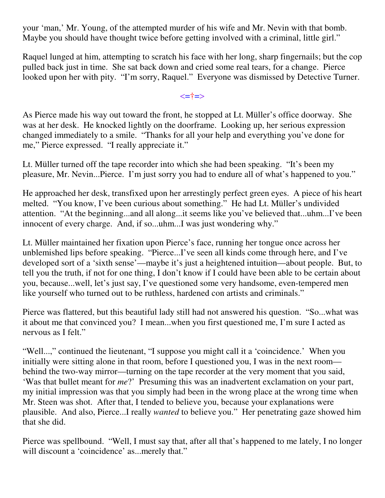your 'man,' Mr. Young, of the attempted murder of his wife and Mr. Nevin with that bomb. Maybe you should have thought twice before getting involved with a criminal, little girl."

Raquel lunged at him, attempting to scratch his face with her long, sharp fingernails; but the cop pulled back just in time. She sat back down and cried some real tears, for a change. Pierce looked upon her with pity. "I'm sorry, Raquel." Everyone was dismissed by Detective Turner.

<=†=>

As Pierce made his way out toward the front, he stopped at Lt. Müller's office doorway. She was at her desk. He knocked lightly on the doorframe. Looking up, her serious expression changed immediately to a smile. "Thanks for all your help and everything you've done for me," Pierce expressed. "I really appreciate it."

Lt. Müller turned off the tape recorder into which she had been speaking. "It's been my pleasure, Mr. Nevin...Pierce. I'm just sorry you had to endure all of what's happened to you."

He approached her desk, transfixed upon her arrestingly perfect green eyes. A piece of his heart melted. "You know, I've been curious about something." He had Lt. Müller's undivided attention. "At the beginning...and all along...it seems like you've believed that...uhm...I've been innocent of every charge. And, if so...uhm...I was just wondering why."

Lt. Müller maintained her fixation upon Pierce's face, running her tongue once across her unblemished lips before speaking. "Pierce...I've seen all kinds come through here, and I've developed sort of a 'sixth sense'—maybe it's just a heightened intuition—about people. But, to tell you the truth, if not for one thing, I don't know if I could have been able to be certain about you, because...well, let's just say, I've questioned some very handsome, even-tempered men like yourself who turned out to be ruthless, hardened con artists and criminals."

Pierce was flattered, but this beautiful lady still had not answered his question. "So...what was it about me that convinced you? I mean...when you first questioned me, I'm sure I acted as nervous as I felt."

"Well...," continued the lieutenant, "I suppose you might call it a 'coincidence.' When you initially were sitting alone in that room, before I questioned you, I was in the next room behind the two-way mirror—turning on the tape recorder at the very moment that you said, 'Was that bullet meant for *me*?' Presuming this was an inadvertent exclamation on your part, my initial impression was that you simply had been in the wrong place at the wrong time when Mr. Steen was shot. After that, I tended to believe you, because your explanations were plausible. And also, Pierce...I really *wanted* to believe you." Her penetrating gaze showed him that she did.

Pierce was spellbound. "Well, I must say that, after all that's happened to me lately, I no longer will discount a 'coincidence' as...merely that."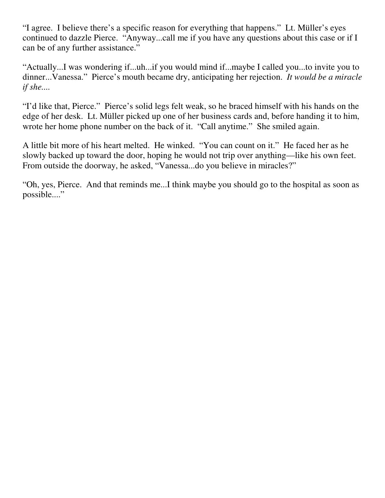"I agree. I believe there's a specific reason for everything that happens." Lt. Müller's eyes continued to dazzle Pierce. "Anyway...call me if you have any questions about this case or if I can be of any further assistance."

"Actually...I was wondering if...uh...if you would mind if...maybe I called you...to invite you to dinner...Vanessa." Pierce's mouth became dry, anticipating her rejection. *It would be a miracle if she....*

"I'd like that, Pierce." Pierce's solid legs felt weak, so he braced himself with his hands on the edge of her desk. Lt. Müller picked up one of her business cards and, before handing it to him, wrote her home phone number on the back of it. "Call anytime." She smiled again.

A little bit more of his heart melted. He winked. "You can count on it." He faced her as he slowly backed up toward the door, hoping he would not trip over anything—like his own feet. From outside the doorway, he asked, "Vanessa...do you believe in miracles?"

"Oh, yes, Pierce. And that reminds me...I think maybe you should go to the hospital as soon as possible...."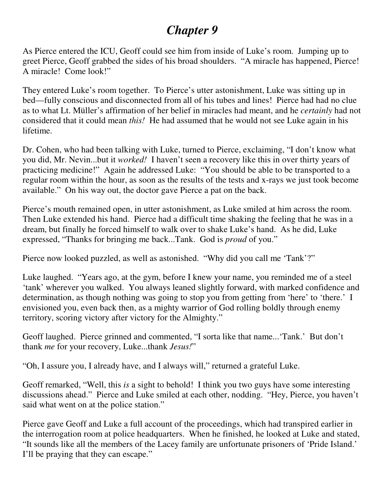# *Chapter 9*

As Pierce entered the ICU, Geoff could see him from inside of Luke's room. Jumping up to greet Pierce, Geoff grabbed the sides of his broad shoulders. "A miracle has happened, Pierce! A miracle! Come look!"

They entered Luke's room together. To Pierce's utter astonishment, Luke was sitting up in bed—fully conscious and disconnected from all of his tubes and lines! Pierce had had no clue as to what Lt. Müller's affirmation of her belief in miracles had meant, and he *certainly* had not considered that it could mean *this!* He had assumed that he would not see Luke again in his lifetime.

Dr. Cohen, who had been talking with Luke, turned to Pierce, exclaiming, "I don't know what you did, Mr. Nevin...but it *worked!* I haven't seen a recovery like this in over thirty years of practicing medicine!" Again he addressed Luke: "You should be able to be transported to a regular room within the hour, as soon as the results of the tests and x-rays we just took become available." On his way out, the doctor gave Pierce a pat on the back.

Pierce's mouth remained open, in utter astonishment, as Luke smiled at him across the room. Then Luke extended his hand. Pierce had a difficult time shaking the feeling that he was in a dream, but finally he forced himself to walk over to shake Luke's hand. As he did, Luke expressed, "Thanks for bringing me back...Tank. God is *proud* of you."

Pierce now looked puzzled, as well as astonished. "Why did you call me 'Tank'?"

Luke laughed. "Years ago, at the gym, before I knew your name, you reminded me of a steel 'tank' wherever you walked. You always leaned slightly forward, with marked confidence and determination, as though nothing was going to stop you from getting from 'here' to 'there.' I envisioned you, even back then, as a mighty warrior of God rolling boldly through enemy territory, scoring victory after victory for the Almighty."

Geoff laughed. Pierce grinned and commented, "I sorta like that name...'Tank.' But don't thank *me* for your recovery, Luke...thank *Jesus!*"

"Oh, I assure you, I already have, and I always will," returned a grateful Luke.

Geoff remarked, "Well, this *is* a sight to behold! I think you two guys have some interesting discussions ahead." Pierce and Luke smiled at each other, nodding. "Hey, Pierce, you haven't said what went on at the police station."

Pierce gave Geoff and Luke a full account of the proceedings, which had transpired earlier in the interrogation room at police headquarters. When he finished, he looked at Luke and stated, "It sounds like all the members of the Lacey family are unfortunate prisoners of 'Pride Island.' I'll be praying that they can escape."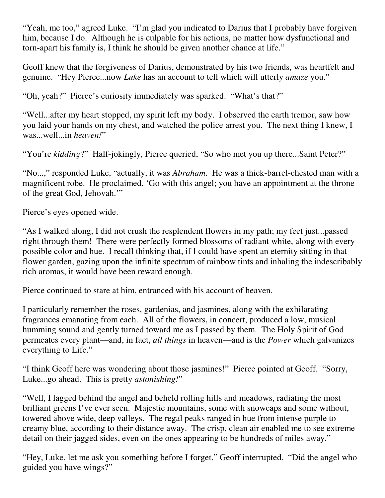"Yeah, me too," agreed Luke. "I'm glad you indicated to Darius that I probably have forgiven him, because I do. Although he is culpable for his actions, no matter how dysfunctional and torn-apart his family is, I think he should be given another chance at life."

Geoff knew that the forgiveness of Darius, demonstrated by his two friends, was heartfelt and genuine. "Hey Pierce...now *Luke* has an account to tell which will utterly *amaze* you."

"Oh, yeah?" Pierce's curiosity immediately was sparked. "What's that?"

"Well...after my heart stopped, my spirit left my body. I observed the earth tremor, saw how you laid your hands on my chest, and watched the police arrest you. The next thing I knew, I was...well...in *heaven!*"

"You're *kidding*?" Half-jokingly, Pierce queried, "So who met you up there...Saint Peter?"

"No...," responded Luke, "actually, it was *Abraham*. He was a thick-barrel-chested man with a magnificent robe. He proclaimed, 'Go with this angel; you have an appointment at the throne of the great God, Jehovah.'"

Pierce's eyes opened wide.

"As I walked along, I did not crush the resplendent flowers in my path; my feet just...passed right through them! There were perfectly formed blossoms of radiant white, along with every possible color and hue. I recall thinking that, if I could have spent an eternity sitting in that flower garden, gazing upon the infinite spectrum of rainbow tints and inhaling the indescribably rich aromas, it would have been reward enough.

Pierce continued to stare at him, entranced with his account of heaven.

I particularly remember the roses, gardenias, and jasmines, along with the exhilarating fragrances emanating from each. All of the flowers, in concert, produced a low, musical humming sound and gently turned toward me as I passed by them. The Holy Spirit of God permeates every plant—and, in fact, *all things* in heaven—and is the *Power* which galvanizes everything to Life."

"I think Geoff here was wondering about those jasmines!" Pierce pointed at Geoff. "Sorry, Luke...go ahead. This is pretty *astonishing!*"

"Well, I lagged behind the angel and beheld rolling hills and meadows, radiating the most brilliant greens I've ever seen. Majestic mountains, some with snowcaps and some without, towered above wide, deep valleys. The regal peaks ranged in hue from intense purple to creamy blue, according to their distance away. The crisp, clean air enabled me to see extreme detail on their jagged sides, even on the ones appearing to be hundreds of miles away."

"Hey, Luke, let me ask you something before I forget," Geoff interrupted. "Did the angel who guided you have wings?"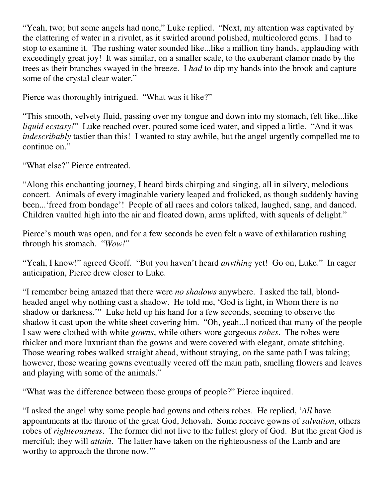"Yeah, two; but some angels had none," Luke replied. "Next, my attention was captivated by the clattering of water in a rivulet, as it swirled around polished, multicolored gems. I had to stop to examine it. The rushing water sounded like...like a million tiny hands, applauding with exceedingly great joy! It was similar, on a smaller scale, to the exuberant clamor made by the trees as their branches swayed in the breeze. I *had* to dip my hands into the brook and capture some of the crystal clear water."

Pierce was thoroughly intrigued. "What was it like?"

"This smooth, velvety fluid, passing over my tongue and down into my stomach, felt like...like *liquid ecstasy!*" Luke reached over, poured some iced water, and sipped a little. "And it was *indescribably* tastier than this! I wanted to stay awhile, but the angel urgently compelled me to continue on."

"What else?" Pierce entreated.

"Along this enchanting journey, I heard birds chirping and singing, all in silvery, melodious concert. Animals of every imaginable variety leaped and frolicked, as though suddenly having been...'freed from bondage'! People of all races and colors talked, laughed, sang, and danced. Children vaulted high into the air and floated down, arms uplifted, with squeals of delight."

Pierce's mouth was open, and for a few seconds he even felt a wave of exhilaration rushing through his stomach. "*Wow!*"

"Yeah, I know!" agreed Geoff. "But you haven't heard *anything* yet! Go on, Luke." In eager anticipation, Pierce drew closer to Luke.

"I remember being amazed that there were *no shadows* anywhere. I asked the tall, blondheaded angel why nothing cast a shadow. He told me, 'God is light, in Whom there is no shadow or darkness.'" Luke held up his hand for a few seconds, seeming to observe the shadow it cast upon the white sheet covering him. "Oh, yeah...I noticed that many of the people I saw were clothed with white *gowns*, while others wore gorgeous *robes*. The robes were thicker and more luxuriant than the gowns and were covered with elegant, ornate stitching. Those wearing robes walked straight ahead, without straying, on the same path I was taking; however, those wearing gowns eventually veered off the main path, smelling flowers and leaves and playing with some of the animals."

"What was the difference between those groups of people?" Pierce inquired.

"I asked the angel why some people had gowns and others robes. He replied, '*All* have appointments at the throne of the great God, Jehovah. Some receive gowns of *salvation*, others robes of *righteousness*. The former did not live to the fullest glory of God. But the great God is merciful; they will *attain*. The latter have taken on the righteousness of the Lamb and are worthy to approach the throne now.'"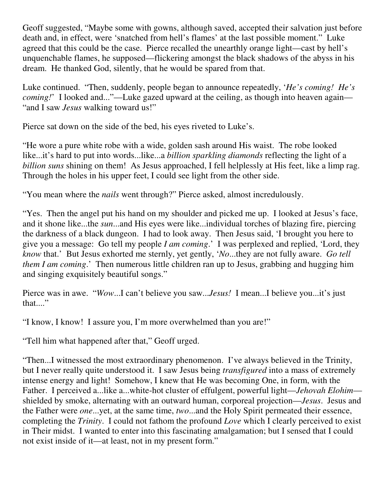Geoff suggested, "Maybe some with gowns, although saved, accepted their salvation just before death and, in effect, were 'snatched from hell's flames' at the last possible moment." Luke agreed that this could be the case. Pierce recalled the unearthly orange light—cast by hell's unquenchable flames, he supposed—flickering amongst the black shadows of the abyss in his dream. He thanked God, silently, that he would be spared from that.

Luke continued. "Then, suddenly, people began to announce repeatedly, '*He's coming! He's coming!*' I looked and..."—Luke gazed upward at the ceiling, as though into heaven again— "and I saw *Jesus* walking toward us!"

Pierce sat down on the side of the bed, his eyes riveted to Luke's.

"He wore a pure white robe with a wide, golden sash around His waist. The robe looked like...it's hard to put into words...like...a *billion sparkling diamonds* reflecting the light of a *billion suns* shining on them! As Jesus approached, I fell helplessly at His feet, like a limp rag. Through the holes in his upper feet, I could see light from the other side.

"You mean where the *nails* went through?" Pierce asked, almost incredulously.

"Yes. Then the angel put his hand on my shoulder and picked me up. I looked at Jesus's face, and it shone like...the *sun*...and His eyes were like...individual torches of blazing fire, piercing the darkness of a black dungeon. I had to look away. Then Jesus said, 'I brought you here to give you a message: Go tell my people *I am coming*.' I was perplexed and replied, 'Lord, they *know* that.' But Jesus exhorted me sternly, yet gently, '*No*...they are not fully aware. *Go tell them I am coming*.' Then numerous little children ran up to Jesus, grabbing and hugging him and singing exquisitely beautiful songs."

Pierce was in awe. "*Wow*...I can't believe you saw...*Jesus!* I mean...I believe you...it's just that...."

"I know, I know! I assure you, I'm more overwhelmed than you are!"

"Tell him what happened after that," Geoff urged.

"Then...I witnessed the most extraordinary phenomenon. I've always believed in the Trinity, but I never really quite understood it. I saw Jesus being *transfigured* into a mass of extremely intense energy and light! Somehow, I knew that He was becoming One, in form, with the Father. I perceived a...like a...white-hot cluster of effulgent, powerful light—*Jehovah Elohim* shielded by smoke, alternating with an outward human, corporeal projection—*Jesus*. Jesus and the Father were *one*...yet, at the same time, *two*...and the Holy Spirit permeated their essence, completing the *Trinity*. I could not fathom the profound *Love* which I clearly perceived to exist in Their midst. I wanted to enter into this fascinating amalgamation; but I sensed that I could not exist inside of it—at least, not in my present form."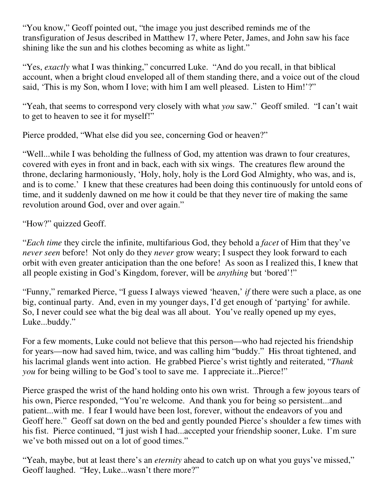"You know," Geoff pointed out, "the image you just described reminds me of the transfiguration of Jesus described in Matthew 17, where Peter, James, and John saw his face shining like the sun and his clothes becoming as white as light."

"Yes, *exactly* what I was thinking," concurred Luke. "And do you recall, in that biblical account, when a bright cloud enveloped all of them standing there, and a voice out of the cloud said, 'This is my Son, whom I love; with him I am well pleased. Listen to Him!'?"

"Yeah, that seems to correspond very closely with what *you* saw." Geoff smiled. "I can't wait to get to heaven to see it for myself!"

Pierce prodded, "What else did you see, concerning God or heaven?"

"Well...while I was beholding the fullness of God, my attention was drawn to four creatures, covered with eyes in front and in back, each with six wings. The creatures flew around the throne, declaring harmoniously, 'Holy, holy, holy is the Lord God Almighty, who was, and is, and is to come.' I knew that these creatures had been doing this continuously for untold eons of time, and it suddenly dawned on me how it could be that they never tire of making the same revolution around God, over and over again."

"How?" quizzed Geoff.

"*Each time* they circle the infinite, multifarious God, they behold a *facet* of Him that they've *never seen* before! Not only do they *never* grow weary; I suspect they look forward to each orbit with even greater anticipation than the one before! As soon as I realized this, I knew that all people existing in God's Kingdom, forever, will be *anything* but 'bored'!"

"Funny," remarked Pierce, "I guess I always viewed 'heaven,' *if* there were such a place, as one big, continual party. And, even in my younger days, I'd get enough of 'partying' for awhile. So, I never could see what the big deal was all about. You've really opened up my eyes, Luke...buddy."

For a few moments, Luke could not believe that this person—who had rejected his friendship for years—now had saved him, twice, and was calling him "buddy." His throat tightened, and his lacrimal glands went into action. He grabbed Pierce's wrist tightly and reiterated, "*Thank you* for being willing to be God's tool to save me. I appreciate it...Pierce!"

Pierce grasped the wrist of the hand holding onto his own wrist. Through a few joyous tears of his own, Pierce responded, "You're welcome. And thank you for being so persistent...and patient...with me. I fear I would have been lost, forever, without the endeavors of you and Geoff here." Geoff sat down on the bed and gently pounded Pierce's shoulder a few times with his fist. Pierce continued, "I just wish I had...accepted your friendship sooner, Luke. I'm sure we've both missed out on a lot of good times."

"Yeah, maybe, but at least there's an *eternity* ahead to catch up on what you guys've missed," Geoff laughed. "Hey, Luke...wasn't there more?"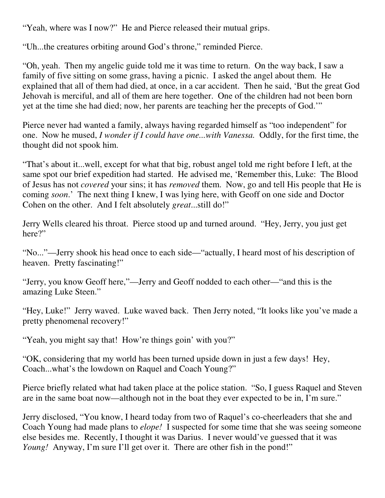"Yeah, where was I now?" He and Pierce released their mutual grips.

"Uh...the creatures orbiting around God's throne," reminded Pierce.

"Oh, yeah. Then my angelic guide told me it was time to return. On the way back, I saw a family of five sitting on some grass, having a picnic. I asked the angel about them. He explained that all of them had died, at once, in a car accident. Then he said, 'But the great God Jehovah is merciful, and all of them are here together. One of the children had not been born yet at the time she had died; now, her parents are teaching her the precepts of God.'"

Pierce never had wanted a family, always having regarded himself as "too independent" for one. Now he mused, *I wonder if I could have one...with Vanessa.* Oddly, for the first time, the thought did not spook him.

"That's about it...well, except for what that big, robust angel told me right before I left, at the same spot our brief expedition had started. He advised me, 'Remember this, Luke: The Blood of Jesus has not *covered* your sins; it has *removed* them. Now, go and tell His people that He is coming *soon*.' The next thing I knew, I was lying here, with Geoff on one side and Doctor Cohen on the other. And I felt absolutely *great*...still do!"

Jerry Wells cleared his throat. Pierce stood up and turned around. "Hey, Jerry, you just get here?"

"No..."—Jerry shook his head once to each side—"actually, I heard most of his description of heaven. Pretty fascinating!"

"Jerry, you know Geoff here,"—Jerry and Geoff nodded to each other—"and this is the amazing Luke Steen."

"Hey, Luke!" Jerry waved. Luke waved back. Then Jerry noted, "It looks like you've made a pretty phenomenal recovery!"

"Yeah, you might say that! How're things goin' with you?"

"OK, considering that my world has been turned upside down in just a few days! Hey, Coach...what's the lowdown on Raquel and Coach Young?"

Pierce briefly related what had taken place at the police station. "So, I guess Raquel and Steven are in the same boat now—although not in the boat they ever expected to be in, I'm sure."

Jerry disclosed, "You know, I heard today from two of Raquel's co-cheerleaders that she and Coach Young had made plans to *elope!* I suspected for some time that she was seeing someone else besides me. Recently, I thought it was Darius. I never would've guessed that it was *Young!* Anyway, I'm sure I'll get over it. There are other fish in the pond!"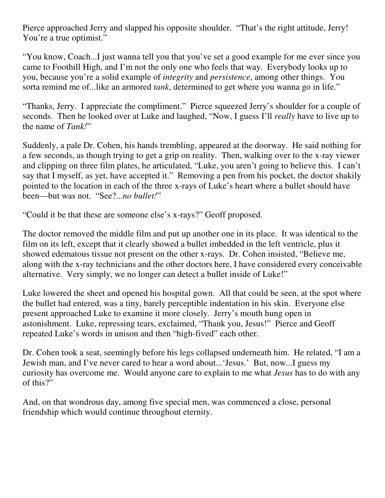Pierce approached Jerry and slapped his opposite shoulder. "That's the right attitude, Jerry! You're a true optimist."

"You know, Coach...I just wanna tell you that you've set a good example for me ever since you came to Foothill High, and I'm not the only one who feels that way. Everybody looks up to you, because you're a solid example of *integrity* and *persistence*, among other things. You sorta remind me of...like an armored *tank*, determined to get where you wanna go in life."

"Thanks, Jerry. I appreciate the compliment." Pierce squeezed Jerry's shoulder for a couple of seconds. Then he looked over at Luke and laughed, "Now, I guess I'll *really* have to live up to the name of *Tank!*"

Suddenly, a pale Dr. Cohen, his hands trembling, appeared at the doorway. He said nothing for a few seconds, as though trying to get a grip on reality. Then, walking over to the x-ray viewer and clipping on three film plates, he articulated, "Luke, you aren't going to believe this. I can't say that I myself, as yet, have accepted it." Removing a pen from his pocket, the doctor shakily pointed to the location in each of the three x-rays of Luke's heart where a bullet should have been—but was not. "See?...*no bullet!*"

"Could it be that these are someone else's x-rays?" Geoff proposed.

The doctor removed the middle film and put up another one in its place. It was identical to the film on its left, except that it clearly showed a bullet imbedded in the left ventricle, plus it showed edematous tissue not present on the other x-rays. Dr. Cohen insisted, "Believe me, along with the x-ray technicians and the other doctors here, I have considered every conceivable alternative. Very simply, we no longer can detect a bullet inside of Luke!"

Luke lowered the sheet and opened his hospital gown. All that could be seen, at the spot where the bullet had entered, was a tiny, barely perceptible indentation in his skin. Everyone else present approached Luke to examine it more closely. Jerry's mouth hung open in astonishment. Luke, repressing tears, exclaimed, "Thank you, Jesus!" Pierce and Geoff repeated Luke's words in unison and then "high-fived" each other.

Dr. Cohen took a seat, seemingly before his legs collapsed underneath him. He related, "I am a Jewish man, and I've never cared to hear a word about...'Jesus.' But, now...I guess my curiosity has overcome me. Would anyone care to explain to me what *Jesus* has to do with any of this?"

And, on that wondrous day, among five special men, was commenced a close, personal friendship which would continue throughout eternity.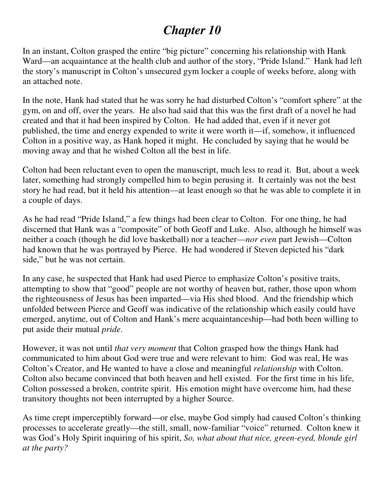### *Chapter 10*

In an instant, Colton grasped the entire "big picture" concerning his relationship with Hank Ward—an acquaintance at the health club and author of the story, "Pride Island." Hank had left the story's manuscript in Colton's unsecured gym locker a couple of weeks before, along with an attached note.

In the note, Hank had stated that he was sorry he had disturbed Colton's "comfort sphere" at the gym, on and off, over the years. He also had said that this was the first draft of a novel he had created and that it had been inspired by Colton. He had added that, even if it never got published, the time and energy expended to write it were worth it—if, somehow, it influenced Colton in a positive way, as Hank hoped it might. He concluded by saying that he would be moving away and that he wished Colton all the best in life.

Colton had been reluctant even to open the manuscript, much less to read it. But, about a week later, something had strongly compelled him to begin perusing it. It certainly was not the best story he had read, but it held his attention—at least enough so that he was able to complete it in a couple of days.

As he had read "Pride Island," a few things had been clear to Colton. For one thing, he had discerned that Hank was a "composite" of both Geoff and Luke. Also, although he himself was neither a coach (though he did love basketball) nor a teacher—*nor even* part Jewish—Colton had known that he was portrayed by Pierce. He had wondered if Steven depicted his "dark side," but he was not certain.

In any case, he suspected that Hank had used Pierce to emphasize Colton's positive traits, attempting to show that "good" people are not worthy of heaven but, rather, those upon whom the righteousness of Jesus has been imparted—via His shed blood. And the friendship which unfolded between Pierce and Geoff was indicative of the relationship which easily could have emerged, anytime, out of Colton and Hank's mere acquaintanceship—had both been willing to put aside their mutual *pride*.

However, it was not until *that very moment* that Colton grasped how the things Hank had communicated to him about God were true and were relevant to him: God was real, He was Colton's Creator, and He wanted to have a close and meaningful *relationship* with Colton. Colton also became convinced that both heaven and hell existed. For the first time in his life, Colton possessed a broken, contrite spirit. His emotion might have overcome him, had these transitory thoughts not been interrupted by a higher Source.

As time crept imperceptibly forward—or else, maybe God simply had caused Colton's thinking processes to accelerate greatly—the still, small, now-familiar "voice" returned. Colton knew it was God's Holy Spirit inquiring of his spirit, *So, what about that nice, green-eyed, blonde girl at the party?*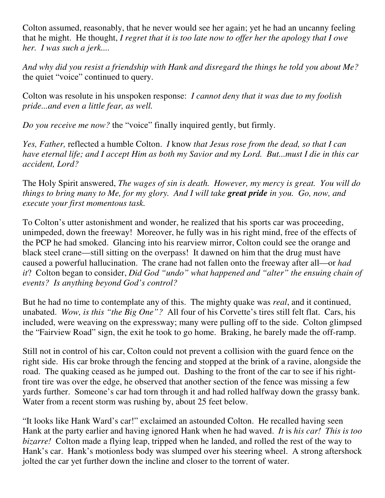Colton assumed, reasonably, that he never would see her again; yet he had an uncanny feeling that he might. He thought, *I regret that it is too late now to offer her the apology that I owe her. I was such a jerk....*

*And why did you resist a friendship with Hank and disregard the things he told you about Me?* the quiet "voice" continued to query.

Colton was resolute in his unspoken response: *I cannot deny that it was due to my foolish pride...and even a little fear, as well.*

*Do you receive me now?* the "voice" finally inquired gently, but firmly.

*Yes, Father,* reflected a humble Colton. *I* know *that Jesus rose from the dead, so that I can have eternal life; and I accept Him as both my Savior and my Lord. But...must I die in this car accident, Lord?*

The Holy Spirit answered, *The wages of sin is death. However, my mercy is great. You will do things to bring many to Me, for my glory. And I will take great pride in you. Go, now, and execute your first momentous task.*

To Colton's utter astonishment and wonder, he realized that his sports car was proceeding, unimpeded, down the freeway! Moreover, he fully was in his right mind, free of the effects of the PCP he had smoked. Glancing into his rearview mirror, Colton could see the orange and black steel crane—still sitting on the overpass! It dawned on him that the drug must have caused a powerful hallucination. The crane had not fallen onto the freeway after all—or *had it*? Colton began to consider, *Did God "undo" what happened and "alter" the ensuing chain of events? Is anything beyond God's control?*

But he had no time to contemplate any of this. The mighty quake was *real*, and it continued, unabated. *Wow, is this "the Big One"?* All four of his Corvette's tires still felt flat. Cars, his included, were weaving on the expressway; many were pulling off to the side. Colton glimpsed the "Fairview Road" sign, the exit he took to go home. Braking, he barely made the off-ramp.

Still not in control of his car, Colton could not prevent a collision with the guard fence on the right side. His car broke through the fencing and stopped at the brink of a ravine, alongside the road. The quaking ceased as he jumped out. Dashing to the front of the car to see if his rightfront tire was over the edge, he observed that another section of the fence was missing a few yards further. Someone's car had torn through it and had rolled halfway down the grassy bank. Water from a recent storm was rushing by, about 25 feet below.

"It looks like Hank Ward's car!" exclaimed an astounded Colton. He recalled having seen Hank at the party earlier and having ignored Hank when he had waved. *It* is *his car! This is too bizarre!* Colton made a flying leap, tripped when he landed, and rolled the rest of the way to Hank's car. Hank's motionless body was slumped over his steering wheel. A strong aftershock jolted the car yet further down the incline and closer to the torrent of water.